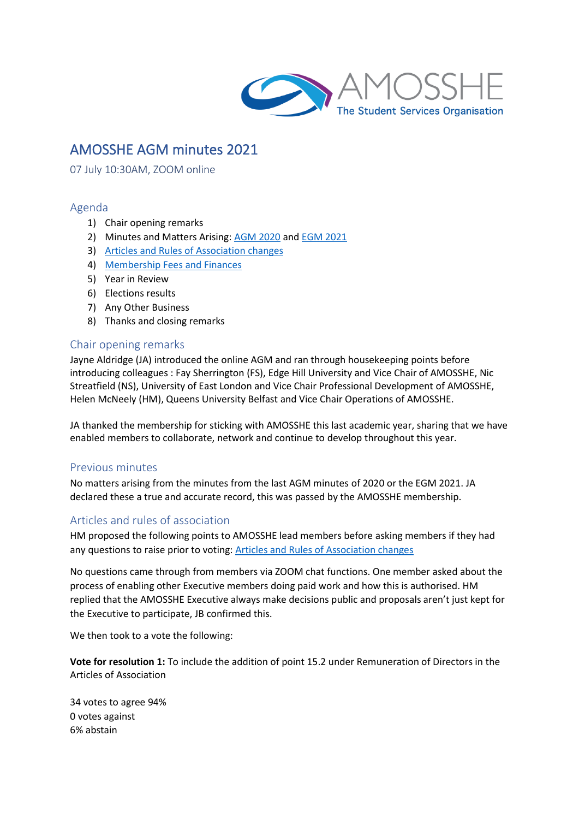

# AMOSSHE AGM minutes 2021

07 July 10:30AM, ZOOM online

## Agenda

- 1) Chair opening remarks
- 2) Minutes and Matters Arising: [AGM 2020](bookmark://_AMOSSHE_AGM_minutes/) and [EGM 2021](bookmark://_EGM_attendance_and/)
- 3) Articles and Rules [of Association changes](bookmark://_AMOSSHE_changes_to/)
- 4) [Membership Fees and Finances](bookmark://_AMOSSHE_Membership_Fees/)
- 5) Year in Review
- 6) Elections results
- 7) Any Other Business
- 8) Thanks and closing remarks

## Chair opening remarks

Jayne Aldridge (JA) introduced the online AGM and ran through housekeeping points before introducing colleagues : Fay Sherrington (FS), Edge Hill University and Vice Chair of AMOSSHE, Nic Streatfield (NS), University of East London and Vice Chair Professional Development of AMOSSHE, Helen McNeely (HM), Queens University Belfast and Vice Chair Operations of AMOSSHE.

JA thanked the membership for sticking with AMOSSHE this last academic year, sharing that we have enabled members to collaborate, network and continue to develop throughout this year.

## Previous minutes

No matters arising from the minutes from the last AGM minutes of 2020 or the EGM 2021. JA declared these a true and accurate record, this was passed by the AMOSSHE membership.

## Articles and rules of association

HM proposed the following points to AMOSSHE lead members before asking members if they had any questions to raise prior to voting: Articles and Rules [of Association changes](bookmark://_AMOSSHE_changes_to/)

No questions came through from members via ZOOM chat functions. One member asked about the process of enabling other Executive members doing paid work and how this is authorised. HM replied that the AMOSSHE Executive always make decisions public and proposals aren't just kept for the Executive to participate, JB confirmed this.

We then took to a vote the following:

**Vote for resolution 1:** To include the addition of point 15.2 under Remuneration of Directors in the Articles of Association

34 votes to agree 94% 0 votes against 6% abstain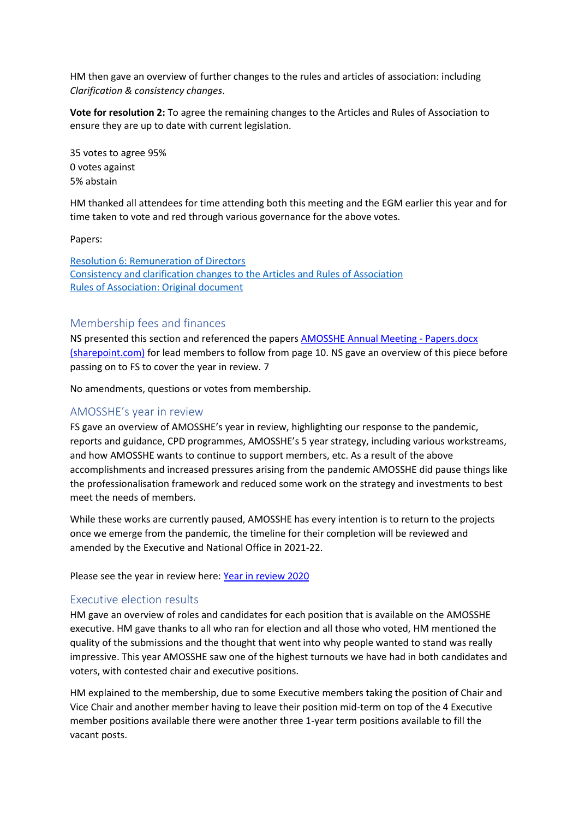HM then gave an overview of further changes to the rules and articles of association: including *Clarification & consistency changes*.

**Vote for resolution 2:** To agree the remaining changes to the Articles and Rules of Association to ensure they are up to date with current legislation.

35 votes to agree 95% 0 votes against 5% abstain

HM thanked all attendees for time attending both this meeting and the EGM earlier this year and for time taken to vote and red through various governance for the above votes.

Papers:

Resolution 6: Remuneration of Directors Consistency and clarification changes [to the Articles and Rules of Association](bookmark://_Other_alterations_to/) Rules of Association: Original document

#### Membership fees and finances

NS presented this section and referenced the paper[s AMOSSHE Annual Meeting -](https://amosshe275.sharepoint.com/:w:/r/_layouts/15/Doc.aspx?sourcedoc=%7B157D05A6-84D2-4C46-A638-7602CA89CE7D%7D&file=AMOSSHE%20Annual%20Meeting%20-%20Papers.docx&action=default&mobileredirect=true) Papers.docx [\(sharepoint.com\)](https://amosshe275.sharepoint.com/:w:/r/_layouts/15/Doc.aspx?sourcedoc=%7B157D05A6-84D2-4C46-A638-7602CA89CE7D%7D&file=AMOSSHE%20Annual%20Meeting%20-%20Papers.docx&action=default&mobileredirect=true) for lead members to follow from page 10. NS gave an overview of this piece before passing on to FS to cover the year in review. 7

No amendments, questions or votes from membership.

## AMOSSHE's year in review

FS gave an overview of AMOSSHE's year in review, highlighting our response to the pandemic, reports and guidance, CPD programmes, AMOSSHE's 5 year strategy, including various workstreams, and how AMOSSHE wants to continue to support members, etc. As a result of the above accomplishments and increased pressures arising from the pandemic AMOSSHE did pause things like the professionalisation framework and reduced some work on the strategy and investments to best meet the needs of members.

While these works are currently paused, AMOSSHE has every intention is to return to the projects once we emerge from the pandemic, the timeline for their completion will be reviewed and amended by the Executive and National Office in 2021-22.

Please see the year in review here: [Year in review 2020](https://vimeo.com/582504893)

## Executive election results

HM gave an overview of roles and candidates for each position that is available on the AMOSSHE executive. HM gave thanks to all who ran for election and all those who voted, HM mentioned the quality of the submissions and the thought that went into why people wanted to stand was really impressive. This year AMOSSHE saw one of the highest turnouts we have had in both candidates and voters, with contested chair and executive positions.

HM explained to the membership, due to some Executive members taking the position of Chair and Vice Chair and another member having to leave their position mid-term on top of the 4 Executive member positions available there were another three 1-year term positions available to fill the vacant posts.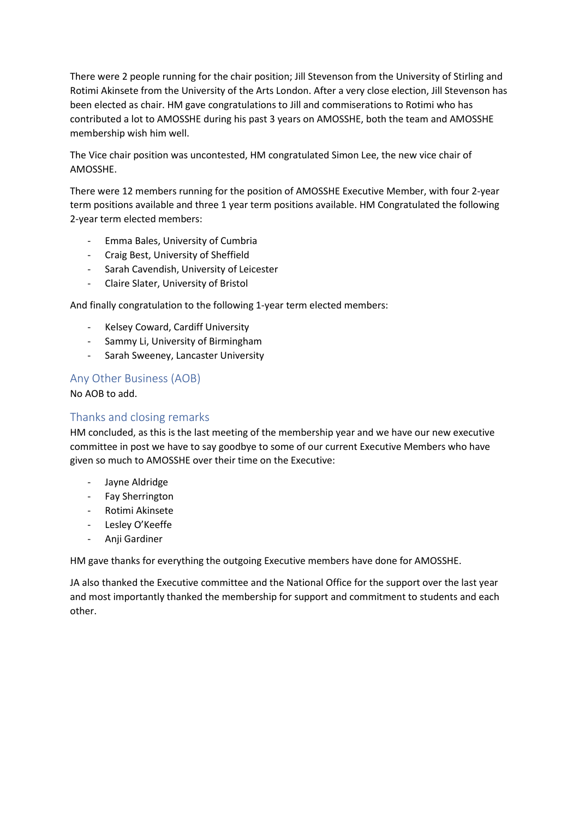There were 2 people running for the chair position; Jill Stevenson from the University of Stirling and Rotimi Akinsete from the University of the Arts London. After a very close election, Jill Stevenson has been elected as chair. HM gave congratulations to Jill and commiserations to Rotimi who has contributed a lot to AMOSSHE during his past 3 years on AMOSSHE, both the team and AMOSSHE membership wish him well.

The Vice chair position was uncontested, HM congratulated Simon Lee, the new vice chair of AMOSSHE.

There were 12 members running for the position of AMOSSHE Executive Member, with four 2-year term positions available and three 1 year term positions available. HM Congratulated the following 2-year term elected members:

- Emma Bales, University of Cumbria
- Craig Best, University of Sheffield
- Sarah Cavendish, University of Leicester
- Claire Slater, University of Bristol

And finally congratulation to the following 1-year term elected members:

- Kelsey Coward, Cardiff University
- Sammy Li, University of Birmingham
- Sarah Sweeney, Lancaster University

## Any Other Business (AOB)

No AOB to add.

## Thanks and closing remarks

HM concluded, as this is the last meeting of the membership year and we have our new executive committee in post we have to say goodbye to some of our current Executive Members who have given so much to AMOSSHE over their time on the Executive:

- Jayne Aldridge
- Fay Sherrington
- Rotimi Akinsete
- Lesley O'Keeffe
- Anji Gardiner

HM gave thanks for everything the outgoing Executive members have done for AMOSSHE.

JA also thanked the Executive committee and the National Office for the support over the last year and most importantly thanked the membership for support and commitment to students and each other.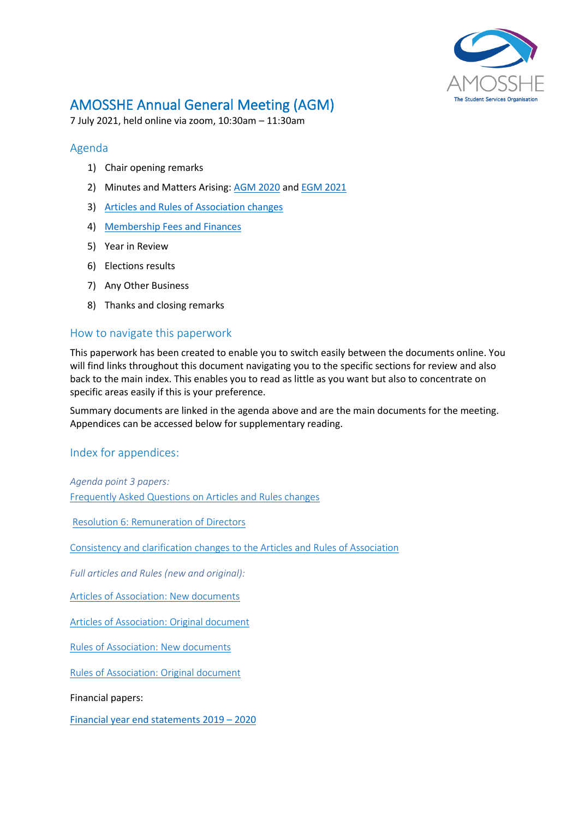

# AMOSSHE Annual General Meeting (AGM)

7 July 2021, held online via zoom, 10:30am – 11:30am

## <span id="page-3-6"></span>Agenda

- 1) Chair opening remarks
- 2) Minutes and Matters Arising[: AGM 2020](#page-3-0) and [EGM 2021](#page-6-0)
- 3) [Articles and Rules of Association changes](#page-10-0)
- 4) [Membership Fees and Finances](#page-12-0)
- 5) Year in Review
- 6) Elections results
- 7) Any Other Business
- 8) Thanks and closing remarks

## How to navigate this paperwork

This paperwork has been created to enable you to switch easily between the documents online. You will find links throughout this document navigating you to the specific sections for review and also back to the main index. This enables you to read as little as you want but also to concentrate on specific areas easily if this is your preference.

Summary documents are linked in the agenda above and are the main documents for the meeting. Appendices can be accessed below for supplementary reading.

## Index for appendices:

<span id="page-3-5"></span><span id="page-3-1"></span>*Agenda point 3 papers:* Frequently Asked Questions [on Articles and Rules changes](#page-14-0)

[Resolution 6: Remuneration of Directors](#page-16-0)

Consistency and clarification changes [to the Articles and Rules of Association](#page-16-1)

*Full articles and Rules (new and original):*

<span id="page-3-2"></span>[Articles of Association: New documents](#page-17-0) 

<span id="page-3-4"></span>[Articles of Association: Original document](#page-29-0)

<span id="page-3-3"></span>[Rules of Association: New documents](#page-40-0)

[Rules of Association: Original document](#page-47-0)

Financial papers:

<span id="page-3-0"></span>[Financial year end statements](#page-52-0) 2019 – 2020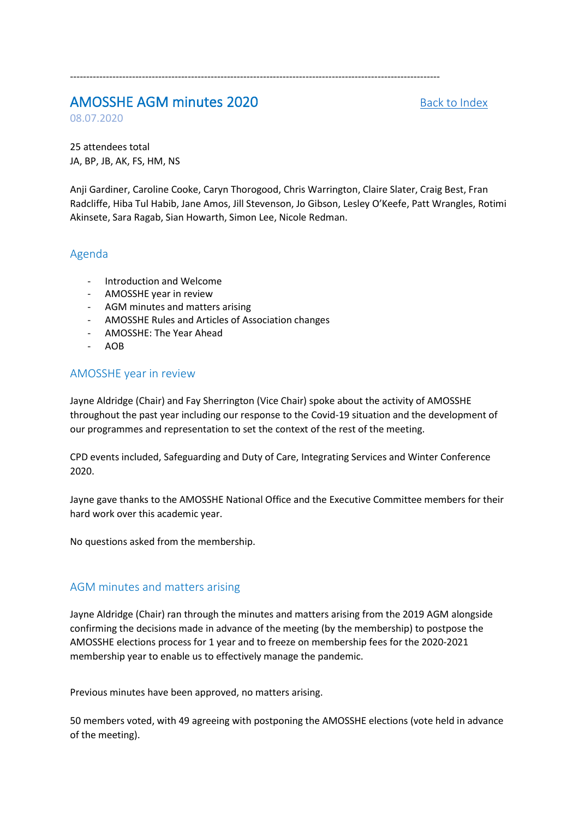# AMOSSHE AGM minutes 2020 [Back to Index](#page-3-1)

08.07.2020

25 attendees total JA, BP, JB, AK, FS, HM, NS

Anji Gardiner, Caroline Cooke, Caryn Thorogood, Chris Warrington, Claire Slater, Craig Best, Fran Radcliffe, Hiba Tul Habib, Jane Amos, Jill Stevenson, Jo Gibson, Lesley O'Keefe, Patt Wrangles, Rotimi Akinsete, Sara Ragab, Sian Howarth, Simon Lee, Nicole Redman.

-----------------------------------------------------------------------------------------------------------------

# Agenda

- Introduction and Welcome
- AMOSSHE year in review
- AGM minutes and matters arising
- AMOSSHE Rules and Articles of Association changes
- AMOSSHE: The Year Ahead
- AOB

# AMOSSHE year in review

Jayne Aldridge (Chair) and Fay Sherrington (Vice Chair) spoke about the activity of AMOSSHE throughout the past year including our response to the Covid-19 situation and the development of our programmes and representation to set the context of the rest of the meeting.

CPD events included, Safeguarding and Duty of Care, Integrating Services and Winter Conference 2020.

Jayne gave thanks to the AMOSSHE National Office and the Executive Committee members for their hard work over this academic year.

No questions asked from the membership.

# AGM minutes and matters arising

Jayne Aldridge (Chair) ran through the minutes and matters arising from the 2019 AGM alongside confirming the decisions made in advance of the meeting (by the membership) to postpose the AMOSSHE elections process for 1 year and to freeze on membership fees for the 2020-2021 membership year to enable us to effectively manage the pandemic.

Previous minutes have been approved, no matters arising.

50 members voted, with 49 agreeing with postponing the AMOSSHE elections (vote held in advance of the meeting).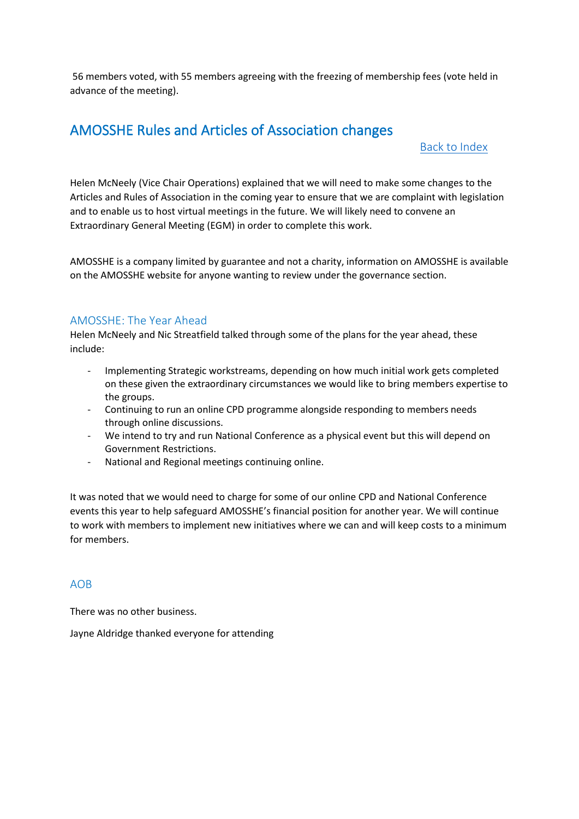56 members voted, with 55 members agreeing with the freezing of membership fees (vote held in advance of the meeting).

# AMOSSHE Rules and Articles of Association changes

# [Back to Index](#page-3-1)

Helen McNeely (Vice Chair Operations) explained that we will need to make some changes to the Articles and Rules of Association in the coming year to ensure that we are complaint with legislation and to enable us to host virtual meetings in the future. We will likely need to convene an Extraordinary General Meeting (EGM) in order to complete this work.

AMOSSHE is a company limited by guarantee and not a charity, information on AMOSSHE is available on the AMOSSHE website for anyone wanting to review under the governance section.

## AMOSSHE: The Year Ahead

Helen McNeely and Nic Streatfield talked through some of the plans for the year ahead, these include:

- Implementing Strategic workstreams, depending on how much initial work gets completed on these given the extraordinary circumstances we would like to bring members expertise to the groups.
- Continuing to run an online CPD programme alongside responding to members needs through online discussions.
- We intend to try and run National Conference as a physical event but this will depend on Government Restrictions.
- National and Regional meetings continuing online.

It was noted that we would need to charge for some of our online CPD and National Conference events this year to help safeguard AMOSSHE's financial position for another year. We will continue to work with members to implement new initiatives where we can and will keep costs to a minimum for members.

## AOB

There was no other business.

Jayne Aldridge thanked everyone for attending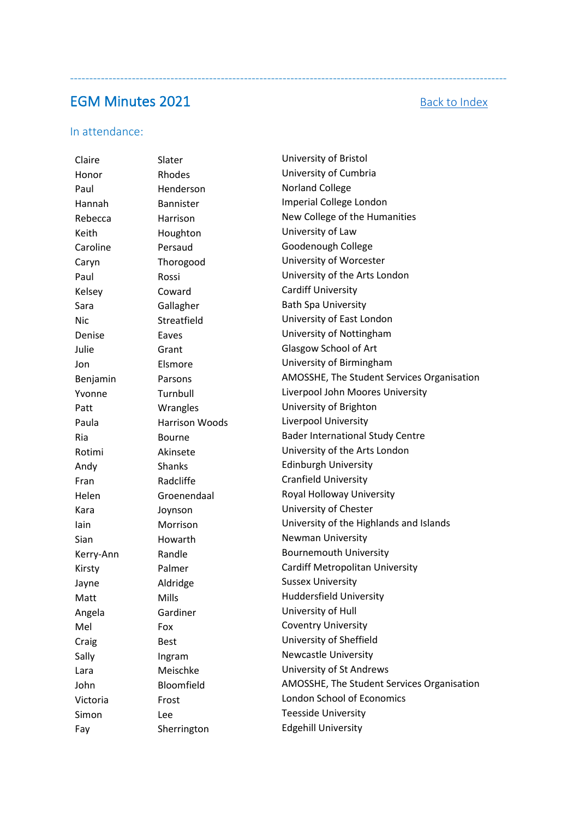# <span id="page-6-0"></span>**EGM Minutes 2021** [Back to Index](#page-3-1)

-----------------------------------------------------------------------------------------------------------------

### In attendance:

Claire Slater University of Bristol Honor Rhodes University of Cumbria Paul **Henderson** Norland College Hannah Bannister Imperial College London Keith **Houghton** University of Law Caroline Persaud Goodenough College Caryn Thorogood University of Worcester Kelsey Coward Cardiff University Sara Gallagher Bath Spa University Nic Streatfield University of East London Denise Eaves Eaves **Example 20** Denise University of Nottingham Julie Grant Glasgow School of Art Jon Elsmore University of Birmingham Patt Wrangles University of Brighton Paula Harrison Woods Liverpool University Andy Shanks Edinburgh University Fran Radcliffe Cranfield University Helen Groenendaal Royal Holloway University Kara Joynson University of Chester Sian **Howarth** Newman University Kerry-Ann Randle Bournemouth University Jayne Maldridge Sussex University Matt Mills Mills Huddersfield University Angela Gardiner University of Hull Mel Fox Fox Coventry University Craig Best Best University of Sheffield Sally Ingram Newcastle University Lara Meischke University of St Andrews Victoria Frost London School of Economics Simon Lee Lee Teesside University Fay Sherrington Edgehill University

Rebecca **Harrison** Harrison New College of the Humanities Paul Rossi Rossi Dhiversity of the Arts London Benjamin Parsons Parsons AMOSSHE, The Student Services Organisation Yvonne Turnbull Liverpool John Moores University Ria Bourne Bourne Bader International Study Centre Rotimi Akinsete University of the Arts London Iain Morrison University of the Highlands and Islands Kirsty **Palmer** Palmer Cardiff Metropolitan University John Bloomfield AMOSSHE, The Student Services Organisation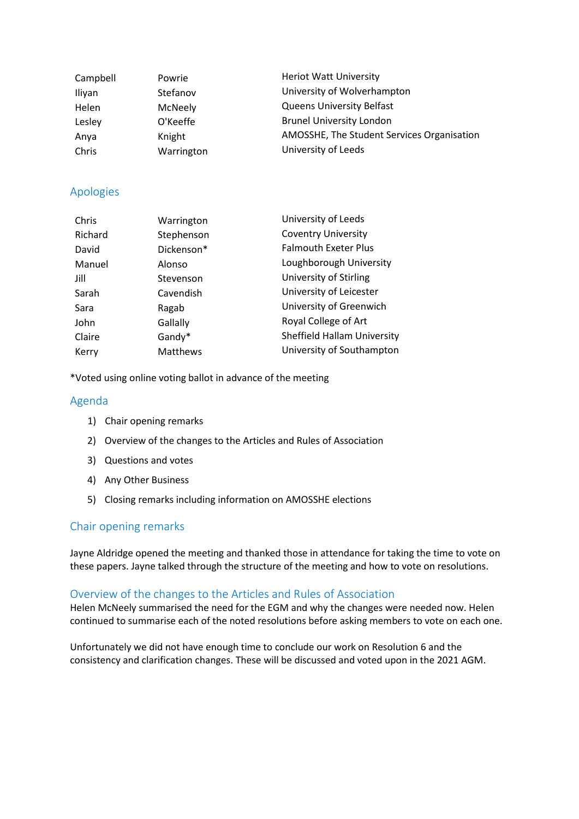| Campbell | Powrie     | <b>Heriot Watt University</b>              |
|----------|------------|--------------------------------------------|
| Iliyan   | Stefanov   | University of Wolverhampton                |
| Helen    | McNeely    | <b>Queens University Belfast</b>           |
| Lesley   | O'Keeffe   | <b>Brunel University London</b>            |
| Anya     | Knight     | AMOSSHE, The Student Services Organisation |
| Chris    | Warrington | University of Leeds                        |

## Apologies

| Warrington | University of Leeds         |
|------------|-----------------------------|
| Stephenson | <b>Coventry University</b>  |
| Dickenson* | <b>Falmouth Exeter Plus</b> |
| Alonso     | Loughborough University     |
| Stevenson  | University of Stirling      |
| Cavendish  | University of Leicester     |
| Ragab      | University of Greenwich     |
| Gallally   | Royal College of Art        |
| Gandy*     | Sheffield Hallam University |
| Matthews   | University of Southampton   |
|            |                             |

\*Voted using online voting ballot in advance of the meeting

## Agenda

- 1) Chair opening remarks
- 2) Overview of the changes to the Articles and Rules of Association
- 3) Questions and votes
- 4) Any Other Business
- 5) Closing remarks including information on AMOSSHE elections

# Chair opening remarks

Jayne Aldridge opened the meeting and thanked those in attendance for taking the time to vote on these papers. Jayne talked through the structure of the meeting and how to vote on resolutions.

## Overview of the changes to the Articles and Rules of Association

Helen McNeely summarised the need for the EGM and why the changes were needed now. Helen continued to summarise each of the noted resolutions before asking members to vote on each one.

Unfortunately we did not have enough time to conclude our work on Resolution 6 and the consistency and clarification changes. These will be discussed and voted upon in the 2021 AGM.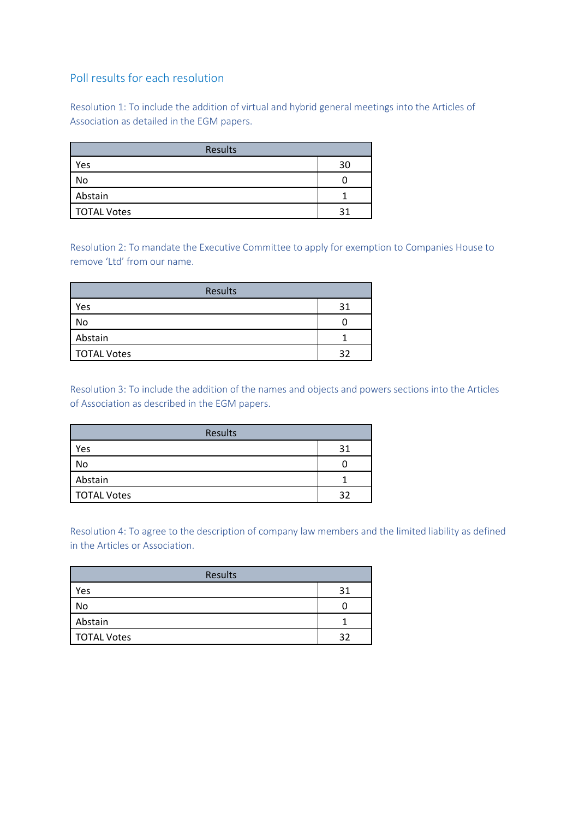# Poll results for each resolution

Resolution 1: To include the addition of virtual and hybrid general meetings into the Articles of Association as detailed in the EGM papers.

| Results            |    |
|--------------------|----|
| Yes                | 30 |
| No                 |    |
| Abstain            |    |
| <b>TOTAL Votes</b> | 21 |

Resolution 2: To mandate the Executive Committee to apply for exemption to Companies House to remove 'Ltd' from our name.

| Results            |     |
|--------------------|-----|
| Yes                | 21  |
| No                 |     |
| Abstain            |     |
| <b>TOTAL Votes</b> | 2 ገ |

Resolution 3: To include the addition of the names and objects and powers sections into the Articles of Association as described in the EGM papers.

| Results            |     |
|--------------------|-----|
| Yes                | 31  |
| No                 |     |
| Abstain            |     |
| <b>TOTAL Votes</b> | 2 ገ |

Resolution 4: To agree to the description of company law members and the limited liability as defined in the Articles or Association.

| Results            |    |
|--------------------|----|
| Yes                | 31 |
| No                 |    |
| Abstain            |    |
| <b>TOTAL Votes</b> | つつ |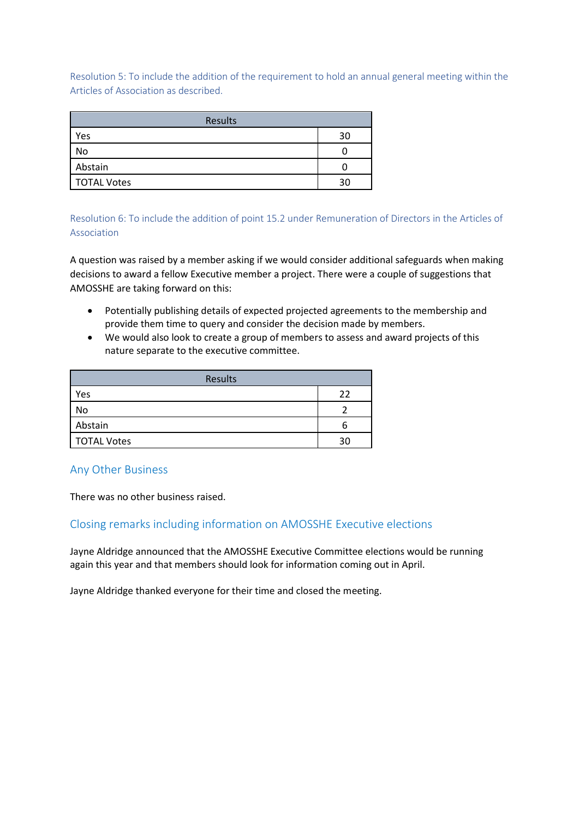Resolution 5: To include the addition of the requirement to hold an annual general meeting within the Articles of Association as described.

| Results            |    |
|--------------------|----|
| Yes                | 30 |
| No                 |    |
| Abstain            |    |
| <b>TOTAL Votes</b> | วด |

Resolution 6: To include the addition of point 15.2 under Remuneration of Directors in the Articles of Association

A question was raised by a member asking if we would consider additional safeguards when making decisions to award a fellow Executive member a project. There were a couple of suggestions that AMOSSHE are taking forward on this:

- Potentially publishing details of expected projected agreements to the membership and provide them time to query and consider the decision made by members.
- We would also look to create a group of members to assess and award projects of this nature separate to the executive committee.

| Results            |    |
|--------------------|----|
| Yes                | つつ |
| No                 |    |
| Abstain            | n  |
| <b>TOTAL Votes</b> | จด |

## Any Other Business

There was no other business raised.

# Closing remarks including information on AMOSSHE Executive elections

Jayne Aldridge announced that the AMOSSHE Executive Committee elections would be running again this year and that members should look for information coming out in April.

Jayne Aldridge thanked everyone for their time and closed the meeting.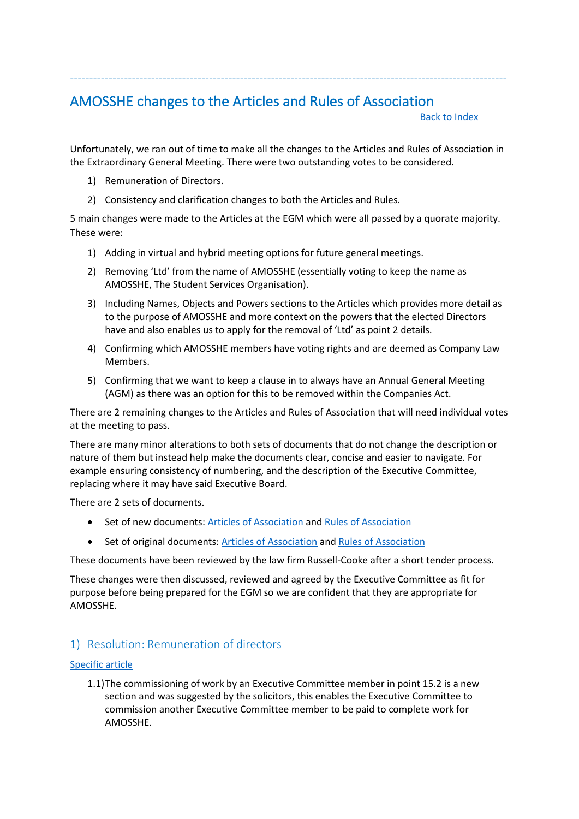# <span id="page-10-0"></span>AMOSSHE changes to the Articles and Rules of Association

[Back to Index](#page-3-1)

Unfortunately, we ran out of time to make all the changes to the Articles and Rules of Association in the Extraordinary General Meeting. There were two outstanding votes to be considered.

-----------------------------------------------------------------------------------------------------------------

- 1) Remuneration of Directors.
- 2) Consistency and clarification changes to both the Articles and Rules.

5 main changes were made to the Articles at the EGM which were all passed by a quorate majority. These were:

- 1) Adding in virtual and hybrid meeting options for future general meetings.
- 2) Removing 'Ltd' from the name of AMOSSHE (essentially voting to keep the name as AMOSSHE, The Student Services Organisation).
- 3) Including Names, Objects and Powers sections to the Articles which provides more detail as to the purpose of AMOSSHE and more context on the powers that the elected Directors have and also enables us to apply for the removal of 'Ltd' as point 2 details.
- 4) Confirming which AMOSSHE members have voting rights and are deemed as Company Law Members.
- 5) Confirming that we want to keep a clause in to always have an Annual General Meeting (AGM) as there was an option for this to be removed within the Companies Act.

There are 2 remaining changes to the Articles and Rules of Association that will need individual votes at the meeting to pass.

There are many minor alterations to both sets of documents that do not change the description or nature of them but instead help make the documents clear, concise and easier to navigate. For example ensuring consistency of numbering, and the description of the Executive Committee, replacing where it may have said Executive Board.

There are 2 sets of documents.

- Set of new documents[: Articles of Association](#page-3-2) an[d Rules of Association](#page-3-3)
- Set of original documents[: Articles of Association](#page-3-4) and Rules of Association

These documents have been reviewed by the law firm Russell-Cooke after a short tender process.

These changes were then discussed, reviewed and agreed by the Executive Committee as fit for purpose before being prepared for the EGM so we are confident that they are appropriate for AMOSSHE.

# 1) Resolution: Remuneration of directors

### [Specific article](#page-25-0)

1.1)The commissioning of work by an Executive Committee member in point 15.2 is a new section and was suggested by the solicitors, this enables the Executive Committee to commission another Executive Committee member to be paid to complete work for AMOSSHE.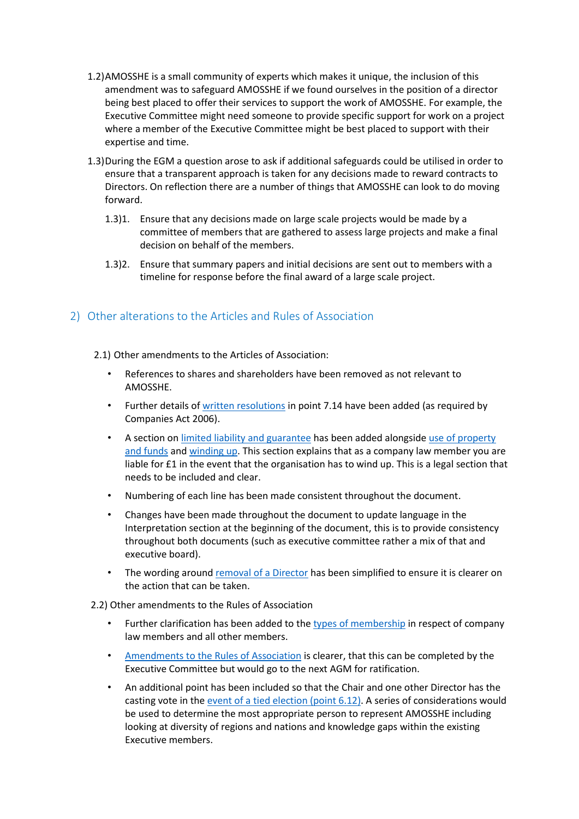- 1.2)AMOSSHE is a small community of experts which makes it unique, the inclusion of this amendment was to safeguard AMOSSHE if we found ourselves in the position of a director being best placed to offer their services to support the work of AMOSSHE. For example, the Executive Committee might need someone to provide specific support for work on a project where a member of the Executive Committee might be best placed to support with their expertise and time.
- 1.3)During the EGM a question arose to ask if additional safeguards could be utilised in order to ensure that a transparent approach is taken for any decisions made to reward contracts to Directors. On reflection there are a number of things that AMOSSHE can look to do moving forward.
	- 1.3)1. Ensure that any decisions made on large scale projects would be made by a committee of members that are gathered to assess large projects and make a final decision on behalf of the members.
	- 1.3)2. Ensure that summary papers and initial decisions are sent out to members with a timeline for response before the final award of a large scale project.

# 2) Other alterations to the Articles and Rules of Association

- 2.1) Other amendments to the Articles of Association:
	- References to shares and shareholders have been removed as not relevant to AMOSSHE.
	- Further details of [written resolutions](#page-22-0) in point 7.14 have been added (as required by Companies Act 2006).
	- A section on [limited liability and guarantee](#page-28-0) has been added alongside [use of property](#page-28-1)  [and funds](#page-28-1) and [winding up.](#page-28-2) This section explains that as a company law member you are liable for £1 in the event that the organisation has to wind up. This is a legal section that needs to be included and clear.
	- Numbering of each line has been made consistent throughout the document.
	- Changes have been made throughout the document to update language in the Interpretation section at the beginning of the document, this is to provide consistency throughout both documents (such as executive committee rather a mix of that and executive board).
	- The wording around [removal of a Director](#page-24-0) has been simplified to ensure it is clearer on the action that can be taken.
- 2.2) Other amendments to the Rules of Association
	- Further clarification has been added to the [types of membership](#page-40-1) in respect of company law members and all other members.
	- [Amendments to the Rules of Association](#page-45-0) is clearer, that this can be completed by the Executive Committee but would go to the next AGM for ratification.
	- An additional point has been included so that the Chair and one other Director has the casting vote in the [event of a tied election](#page-45-1) (point 6.12). A series of considerations would be used to determine the most appropriate person to represent AMOSSHE including looking at diversity of regions and nations and knowledge gaps within the existing Executive members.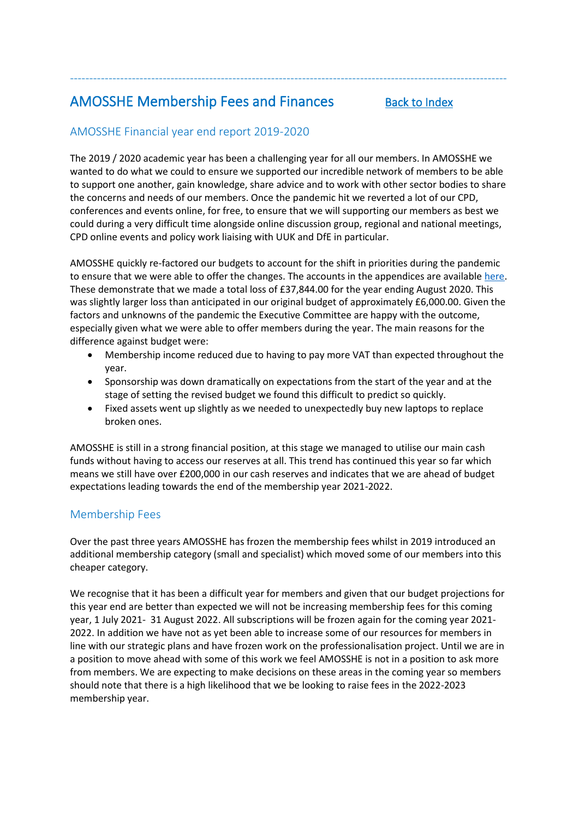# <span id="page-12-0"></span>AMOSSHE Membership Fees and Finances [Back to Index](#page-3-1)

# AMOSSHE Financial year end report 2019-2020

The 2019 / 2020 academic year has been a challenging year for all our members. In AMOSSHE we wanted to do what we could to ensure we supported our incredible network of members to be able to support one another, gain knowledge, share advice and to work with other sector bodies to share the concerns and needs of our members. Once the pandemic hit we reverted a lot of our CPD, conferences and events online, for free, to ensure that we will supporting our members as best we could during a very difficult time alongside online discussion group, regional and national meetings, CPD online events and policy work liaising with UUK and DfE in particular.

-----------------------------------------------------------------------------------------------------------------

AMOSSHE quickly re-factored our budgets to account for the shift in priorities during the pandemic to ensure that we were able to offer the changes. The accounts in the appendices are available [here.](#page-52-0) These demonstrate that we made a total loss of £37,844.00 for the year ending August 2020. This was slightly larger loss than anticipated in our original budget of approximately £6,000.00. Given the factors and unknowns of the pandemic the Executive Committee are happy with the outcome, especially given what we were able to offer members during the year. The main reasons for the difference against budget were:

- Membership income reduced due to having to pay more VAT than expected throughout the year.
- Sponsorship was down dramatically on expectations from the start of the year and at the stage of setting the revised budget we found this difficult to predict so quickly.
- Fixed assets went up slightly as we needed to unexpectedly buy new laptops to replace broken ones.

AMOSSHE is still in a strong financial position, at this stage we managed to utilise our main cash funds without having to access our reserves at all. This trend has continued this year so far which means we still have over £200,000 in our cash reserves and indicates that we are ahead of budget expectations leading towards the end of the membership year 2021-2022.

# Membership Fees

Over the past three years AMOSSHE has frozen the membership fees whilst in 2019 introduced an additional membership category (small and specialist) which moved some of our members into this cheaper category.

We recognise that it has been a difficult year for members and given that our budget projections for this year end are better than expected we will not be increasing membership fees for this coming year, 1 July 2021- 31 August 2022. All subscriptions will be frozen again for the coming year 2021- 2022. In addition we have not as yet been able to increase some of our resources for members in line with our strategic plans and have frozen work on the professionalisation project. Until we are in a position to move ahead with some of this work we feel AMOSSHE is not in a position to ask more from members. We are expecting to make decisions on these areas in the coming year so members should note that there is a high likelihood that we be looking to raise fees in the 2022-2023 membership year.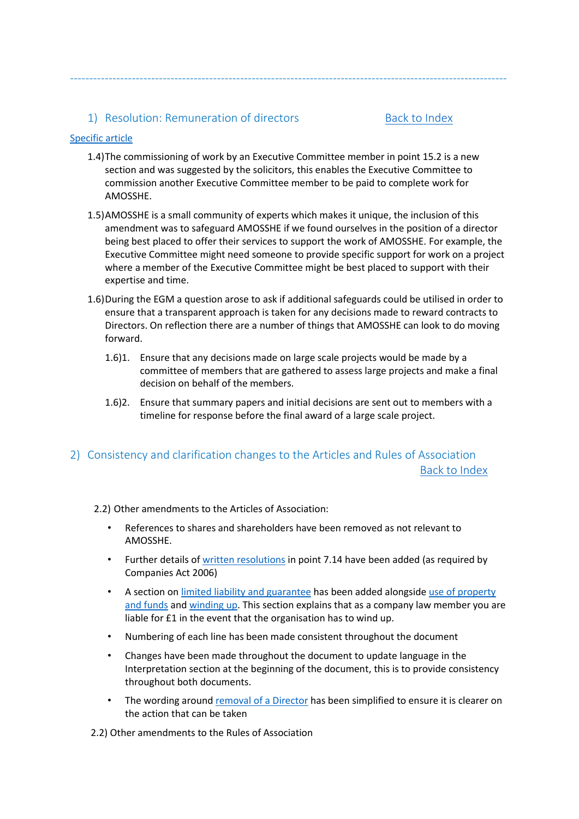## 1) Resolution: Remuneration of directors [Back to Index](#page-3-1)

### [Specific article](#page-25-0)

1.4)The commissioning of work by an Executive Committee member in point 15.2 is a new section and was suggested by the solicitors, this enables the Executive Committee to commission another Executive Committee member to be paid to complete work for AMOSSHE.

-----------------------------------------------------------------------------------------------------------------

- 1.5)AMOSSHE is a small community of experts which makes it unique, the inclusion of this amendment was to safeguard AMOSSHE if we found ourselves in the position of a director being best placed to offer their services to support the work of AMOSSHE. For example, the Executive Committee might need someone to provide specific support for work on a project where a member of the Executive Committee might be best placed to support with their expertise and time.
- 1.6)During the EGM a question arose to ask if additional safeguards could be utilised in order to ensure that a transparent approach is taken for any decisions made to reward contracts to Directors. On reflection there are a number of things that AMOSSHE can look to do moving forward.
	- 1.6)1. Ensure that any decisions made on large scale projects would be made by a committee of members that are gathered to assess large projects and make a final decision on behalf of the members.
	- 1.6)2. Ensure that summary papers and initial decisions are sent out to members with a timeline for response before the final award of a large scale project.

# 2) Consistency and clarification changes to the Articles and Rules of Association [Back to Index](#page-3-1)

#### 2.2) Other amendments to the Articles of Association:

- References to shares and shareholders have been removed as not relevant to AMOSSHE.
- Further details of [written resolutions](#page-22-0) in point 7.14 have been added (as required by Companies Act 2006)
- A section on [limited liability and guarantee](#page-28-0) has been added alongside [use of property](#page-28-1)  [and funds](#page-28-1) and [winding up.](#page-28-2) This section explains that as a company law member you are liable for £1 in the event that the organisation has to wind up.
- Numbering of each line has been made consistent throughout the document
- Changes have been made throughout the document to update language in the Interpretation section at the beginning of the document, this is to provide consistency throughout both documents.
- The wording around [removal of a Director](#page-24-0) has been simplified to ensure it is clearer on the action that can be taken

2.2) Other amendments to the Rules of Association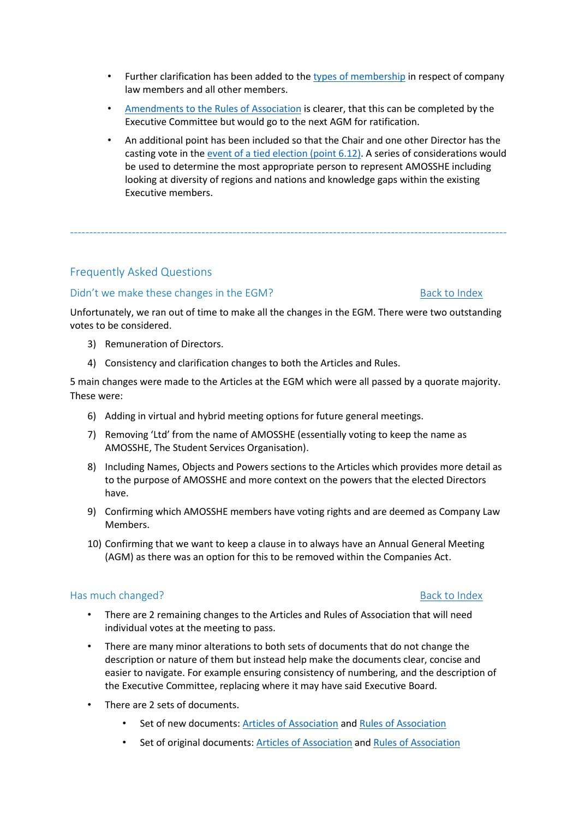- Further clarification has been added to the [types of membership](#page-40-1) in respect of company law members and all other members.
- [Amendments to the Rules of Association](#page-45-0) is clearer, that this can be completed by the Executive Committee but would go to the next AGM for ratification.
- An additional point has been included so that the Chair and one other Director has the casting vote in the [event of a tied election](#page-45-1) (point 6.12). A series of considerations would be used to determine the most appropriate person to represent AMOSSHE including looking at diversity of regions and nations and knowledge gaps within the existing Executive members.

# <span id="page-14-0"></span>Frequently Asked Questions

# Didn't we make these changes in the EGM? [Back to Index](#page-3-1)

Unfortunately, we ran out of time to make all the changes in the EGM. There were two outstanding votes to be considered.

-----------------------------------------------------------------------------------------------------------------

- 3) Remuneration of Directors.
- 4) Consistency and clarification changes to both the Articles and Rules.

5 main changes were made to the Articles at the EGM which were all passed by a quorate majority. These were:

- 6) Adding in virtual and hybrid meeting options for future general meetings.
- 7) Removing 'Ltd' from the name of AMOSSHE (essentially voting to keep the name as AMOSSHE, The Student Services Organisation).
- 8) Including Names, Objects and Powers sections to the Articles which provides more detail as to the purpose of AMOSSHE and more context on the powers that the elected Directors have.
- 9) Confirming which AMOSSHE members have voting rights and are deemed as Company Law Members.
- 10) Confirming that we want to keep a clause in to always have an Annual General Meeting (AGM) as there was an option for this to be removed within the Companies Act.

## Has much changed? [Back to Index](#page-3-1) and the Back to Index and the Back to Index and the Back to Index

- There are 2 remaining changes to the Articles and Rules of Association that will need individual votes at the meeting to pass.
- There are many minor alterations to both sets of documents that do not change the description or nature of them but instead help make the documents clear, concise and easier to navigate. For example ensuring consistency of numbering, and the description of the Executive Committee, replacing where it may have said Executive Board.
- There are 2 sets of documents.
	- Set of new documents[: Articles of Association](#page-3-2) an[d Rules of Association](#page-3-3)
	- Set of original documents: [Articles of Association](#page-3-4) and Rules of Association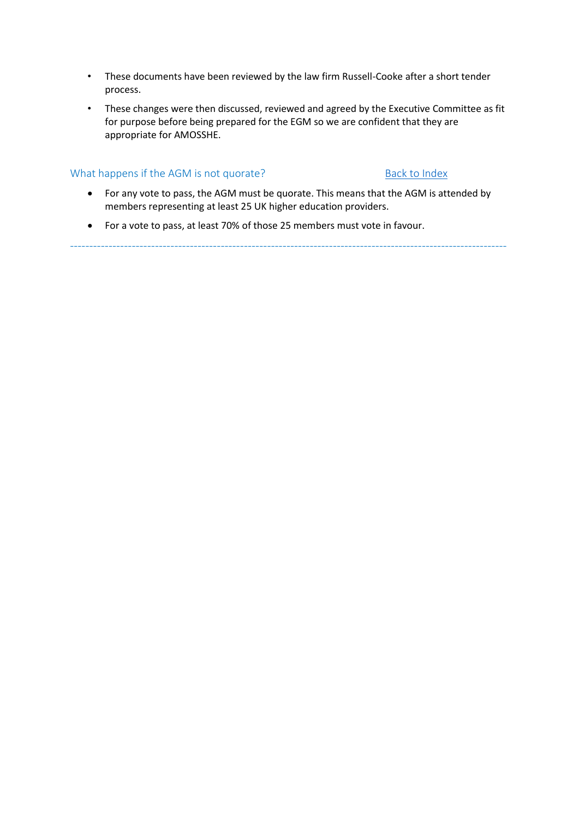- These documents have been reviewed by the law firm Russell-Cooke after a short tender process.
- These changes were then discussed, reviewed and agreed by the Executive Committee as fit for purpose before being prepared for the EGM so we are confident that they are appropriate for AMOSSHE.

## What happens if the AGM is not quorate? [Back to Index](#page-3-1)

• For any vote to pass, the AGM must be quorate. This means that the AGM is attended by members representing at least 25 UK higher education providers.

-----------------------------------------------------------------------------------------------------------------

• For a vote to pass, at least 70% of those 25 members must vote in favour.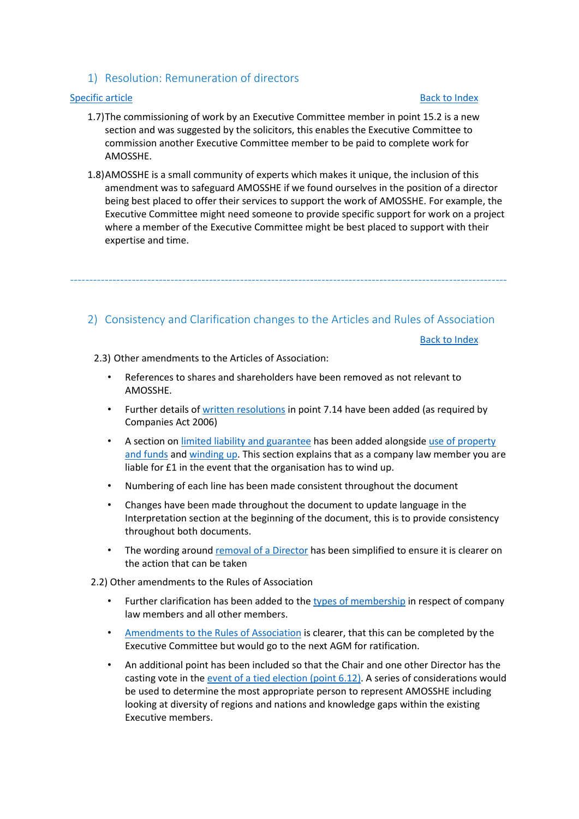## <span id="page-16-0"></span>1) Resolution: Remuneration of directors

### [Specific article](#page-25-0) [Back to Index](#page-3-1)

- 1.7)The commissioning of work by an Executive Committee member in point 15.2 is a new section and was suggested by the solicitors, this enables the Executive Committee to commission another Executive Committee member to be paid to complete work for AMOSSHE.
- 1.8)AMOSSHE is a small community of experts which makes it unique, the inclusion of this amendment was to safeguard AMOSSHE if we found ourselves in the position of a director being best placed to offer their services to support the work of AMOSSHE. For example, the Executive Committee might need someone to provide specific support for work on a project where a member of the Executive Committee might be best placed to support with their expertise and time.

### <span id="page-16-2"></span><span id="page-16-1"></span>2) Consistency and Clarification changes to the Articles and Rules of Association

-----------------------------------------------------------------------------------------------------------------

[Back to Index](#page-3-1)

2.3) Other amendments to the Articles of Association:

- References to shares and shareholders have been removed as not relevant to AMOSSHE.
- Further details of [written resolutions](#page-22-0) in point 7.14 have been added (as required by Companies Act 2006)
- A section on [limited liability and guarantee](#page-28-0) has been added alongside use of property [and funds](#page-28-1) and [winding up.](#page-28-2) This section explains that as a company law member you are liable for £1 in the event that the organisation has to wind up.
- Numbering of each line has been made consistent throughout the document
- Changes have been made throughout the document to update language in the Interpretation section at the beginning of the document, this is to provide consistency throughout both documents.
- The wording around [removal of a Director](#page-24-0) has been simplified to ensure it is clearer on the action that can be taken
- 2.2) Other amendments to the Rules of Association
	- Further clarification has been added to the [types of membership](#page-40-1) in respect of company law members and all other members.
	- [Amendments to the Rules of Association](#page-45-0) is clearer, that this can be completed by the Executive Committee but would go to the next AGM for ratification.
	- An additional point has been included so that the Chair and one other Director has the casting vote in the [event of a tied election](#page-45-1) (point 6.12). A series of considerations would be used to determine the most appropriate person to represent AMOSSHE including looking at diversity of regions and nations and knowledge gaps within the existing Executive members.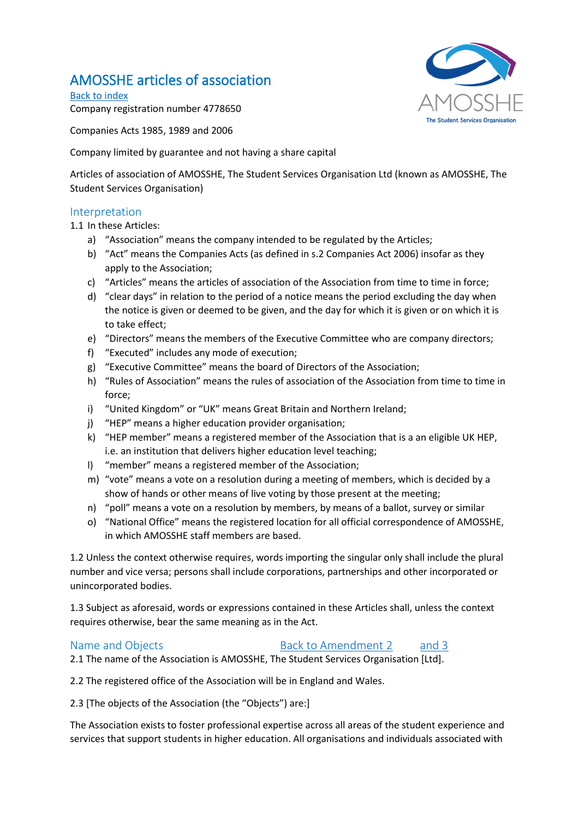# AMOSSHE articles of association

<span id="page-17-0"></span>[Back to index](#page-3-1) Company registration number 4778650

Companies Acts 1985, 1989 and 2006

Company limited by guarantee and not having a share capital

Articles of association of AMOSSHE, The Student Services Organisation Ltd (known as AMOSSHE, The Student Services Organisation)

## Interpretation

1.1 In these Articles:

- a) "Association" means the company intended to be regulated by the Articles;
- b) "Act" means the Companies Acts (as defined in s.2 Companies Act 2006) insofar as they apply to the Association;
- c) "Articles" means the articles of association of the Association from time to time in force;
- d) "clear days" in relation to the period of a notice means the period excluding the day when the notice is given or deemed to be given, and the day for which it is given or on which it is to take effect;
- e) "Directors" means the members of the Executive Committee who are company directors;
- f) "Executed" includes any mode of execution;
- g) "Executive Committee" means the board of Directors of the Association;
- h) "Rules of Association" means the rules of association of the Association from time to time in force;
- i) "United Kingdom" or "UK" means Great Britain and Northern Ireland;
- j) "HEP" means a higher education provider organisation;
- k) "HEP member" means a registered member of the Association that is a an eligible UK HEP, i.e. an institution that delivers higher education level teaching;
- l) "member" means a registered member of the Association;
- m) "vote" means a vote on a resolution during a meeting of members, which is decided by a show of hands or other means of live voting by those present at the meeting;
- n) "poll" means a vote on a resolution by members, by means of a ballot, survey or similar
- o) "National Office" means the registered location for all official correspondence of AMOSSHE, in which AMOSSHE staff members are based.

1.2 Unless the context otherwise requires, words importing the singular only shall include the plural number and vice versa; persons shall include corporations, partnerships and other incorporated or unincorporated bodies.

1.3 Subject as aforesaid, words or expressions contained in these Articles shall, unless the context requires otherwise, bear the same meaning as in the Act.

## Name and Objects **[Back to Amendment 2](#page-16-0)** [and 3](#page-16-0)

2.1 The name of the Association is AMOSSHE, The Student Services Organisation [Ltd].

2.2 The registered office of the Association will be in England and Wales.

2.3 [The objects of the Association (the "Objects") are:]

The Association exists to foster professional expertise across all areas of the student experience and services that support students in higher education. All organisations and individuals associated with

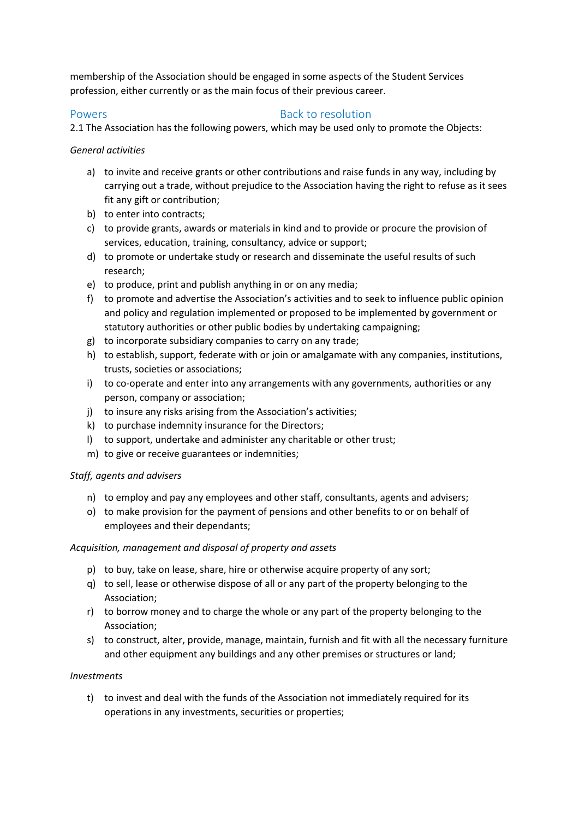membership of the Association should be engaged in some aspects of the Student Services profession, either currently or as the main focus of their previous career.

## Powers **Back to resolution**

2.1 The Association has the following powers, which may be used only to promote the Objects:

## *General activities*

- a) to invite and receive grants or other contributions and raise funds in any way, including by carrying out a trade, without prejudice to the Association having the right to refuse as it sees fit any gift or contribution;
- b) to enter into contracts;
- c) to provide grants, awards or materials in kind and to provide or procure the provision of services, education, training, consultancy, advice or support;
- d) to promote or undertake study or research and disseminate the useful results of such research;
- e) to produce, print and publish anything in or on any media;
- f) to promote and advertise the Association's activities and to seek to influence public opinion and policy and regulation implemented or proposed to be implemented by government or statutory authorities or other public bodies by undertaking campaigning;
- g) to incorporate subsidiary companies to carry on any trade;
- h) to establish, support, federate with or join or amalgamate with any companies, institutions, trusts, societies or associations;
- i) to co-operate and enter into any arrangements with any governments, authorities or any person, company or association;
- j) to insure any risks arising from the Association's activities;
- k) to purchase indemnity insurance for the Directors;
- l) to support, undertake and administer any charitable or other trust;
- m) to give or receive guarantees or indemnities;

## *Staff, agents and advisers*

- n) to employ and pay any employees and other staff, consultants, agents and advisers;
- o) to make provision for the payment of pensions and other benefits to or on behalf of employees and their dependants;

## *Acquisition, management and disposal of property and assets*

- p) to buy, take on lease, share, hire or otherwise acquire property of any sort;
- q) to sell, lease or otherwise dispose of all or any part of the property belonging to the Association;
- r) to borrow money and to charge the whole or any part of the property belonging to the Association;
- s) to construct, alter, provide, manage, maintain, furnish and fit with all the necessary furniture and other equipment any buildings and any other premises or structures or land;

## *Investments*

t) to invest and deal with the funds of the Association not immediately required for its operations in any investments, securities or properties;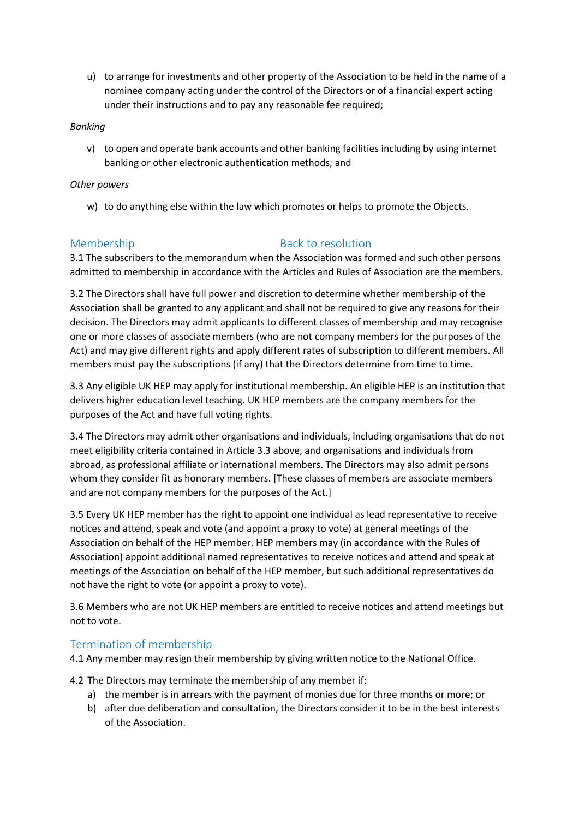u) to arrange for investments and other property of the Association to be held in the name of a nominee company acting under the control of the Directors or of a financial expert acting under their instructions and to pay any reasonable fee required;

### *Banking*

v) to open and operate bank accounts and other banking facilities including by using internet banking or other electronic authentication methods; and

### *Other powers*

w) to do anything else within the law which promotes or helps to promote the Objects.

## Membership Back to resolution

3.1 The subscribers to the memorandum when the Association was formed and such other persons admitted to membership in accordance with the Articles and Rules of Association are the members.

3.2 The Directors shall have full power and discretion to determine whether membership of the Association shall be granted to any applicant and shall not be required to give any reasons for their decision. The Directors may admit applicants to different classes of membership and may recognise one or more classes of associate members (who are not company members for the purposes of the Act) and may give different rights and apply different rates of subscription to different members. All members must pay the subscriptions (if any) that the Directors determine from time to time.

3.3 Any eligible UK HEP may apply for institutional membership. An eligible HEP is an institution that delivers higher education level teaching. UK HEP members are the company members for the purposes of the Act and have full voting rights.

3.4 The Directors may admit other organisations and individuals, including organisations that do not meet eligibility criteria contained in Article 3.3 above, and organisations and individuals from abroad, as professional affiliate or international members. The Directors may also admit persons whom they consider fit as honorary members. [These classes of members are associate members and are not company members for the purposes of the Act.]

3.5 Every UK HEP member has the right to appoint one individual as lead representative to receive notices and attend, speak and vote (and appoint a proxy to vote) at general meetings of the Association on behalf of the HEP member. HEP members may (in accordance with the Rules of Association) appoint additional named representatives to receive notices and attend and speak at meetings of the Association on behalf of the HEP member, but such additional representatives do not have the right to vote (or appoint a proxy to vote).

3.6 Members who are not UK HEP members are entitled to receive notices and attend meetings but not to vote.

# Termination of membership

4.1 Any member may resign their membership by giving written notice to the National Office.

4.2 The Directors may terminate the membership of any member if:

- a) the member is in arrears with the payment of monies due for three months or more; or
- b) after due deliberation and consultation, the Directors consider it to be in the best interests of the Association.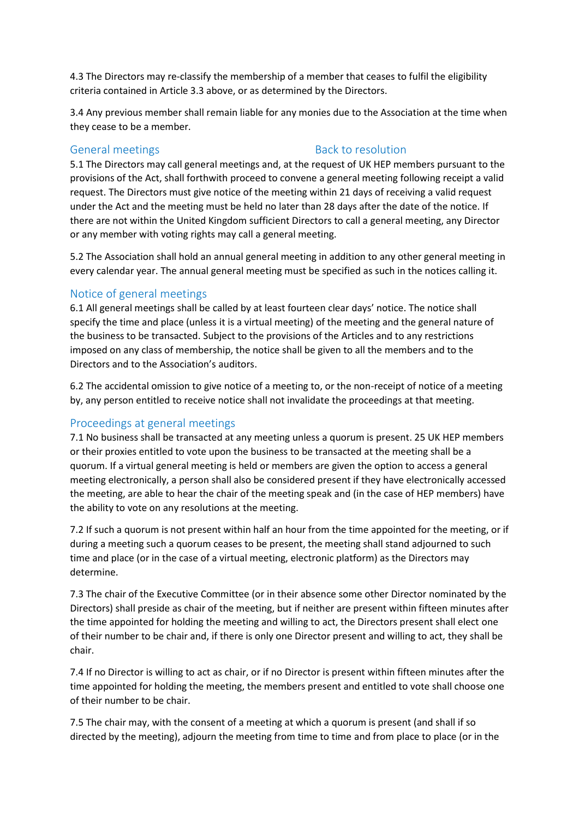4.3 The Directors may re-classify the membership of a member that ceases to fulfil the eligibility criteria contained in Article 3.3 above, or as determined by the Directors.

3.4 Any previous member shall remain liable for any monies due to the Association at the time when they cease to be a member.

## General meetings and the state of the Back to resolution

5.1 The Directors may call general meetings and, at the request of UK HEP members pursuant to the provisions of the Act, shall forthwith proceed to convene a general meeting following receipt a valid request. The Directors must give notice of the meeting within 21 days of receiving a valid request under the Act and the meeting must be held no later than 28 days after the date of the notice. If there are not within the United Kingdom sufficient Directors to call a general meeting, any Director or any member with voting rights may call a general meeting.

5.2 The Association shall hold an annual general meeting in addition to any other general meeting in every calendar year. The annual general meeting must be specified as such in the notices calling it.

## Notice of general meetings

6.1 All general meetings shall be called by at least fourteen clear days' notice. The notice shall specify the time and place (unless it is a virtual meeting) of the meeting and the general nature of the business to be transacted. Subject to the provisions of the Articles and to any restrictions imposed on any class of membership, the notice shall be given to all the members and to the Directors and to the Association's auditors.

6.2 The accidental omission to give notice of a meeting to, or the non-receipt of notice of a meeting by, any person entitled to receive notice shall not invalidate the proceedings at that meeting.

# Proceedings at general meetings

7.1 No business shall be transacted at any meeting unless a quorum is present. 25 UK HEP members or their proxies entitled to vote upon the business to be transacted at the meeting shall be a quorum. If a virtual general meeting is held or members are given the option to access a general meeting electronically, a person shall also be considered present if they have electronically accessed the meeting, are able to hear the chair of the meeting speak and (in the case of HEP members) have the ability to vote on any resolutions at the meeting.

7.2 If such a quorum is not present within half an hour from the time appointed for the meeting, or if during a meeting such a quorum ceases to be present, the meeting shall stand adjourned to such time and place (or in the case of a virtual meeting, electronic platform) as the Directors may determine.

7.3 The chair of the Executive Committee (or in their absence some other Director nominated by the Directors) shall preside as chair of the meeting, but if neither are present within fifteen minutes after the time appointed for holding the meeting and willing to act, the Directors present shall elect one of their number to be chair and, if there is only one Director present and willing to act, they shall be chair.

7.4 If no Director is willing to act as chair, or if no Director is present within fifteen minutes after the time appointed for holding the meeting, the members present and entitled to vote shall choose one of their number to be chair.

7.5 The chair may, with the consent of a meeting at which a quorum is present (and shall if so directed by the meeting), adjourn the meeting from time to time and from place to place (or in the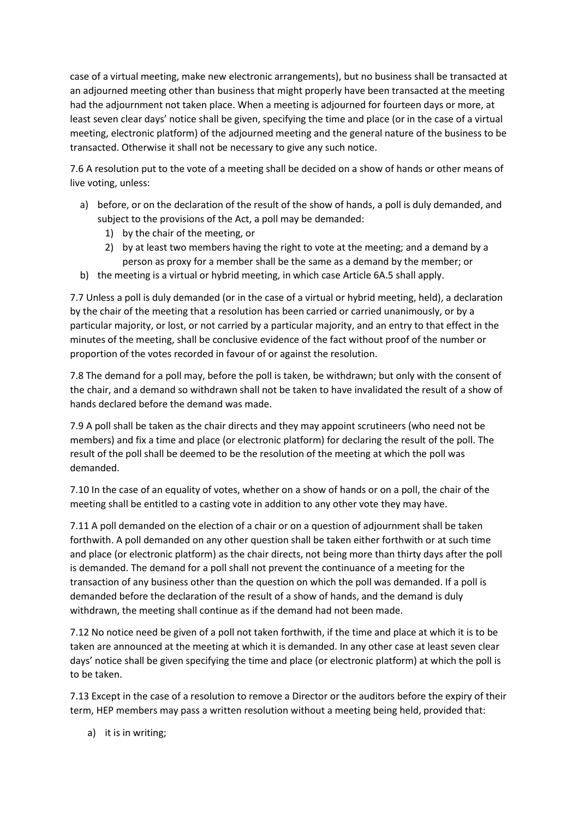case of a virtual meeting, make new electronic arrangements), but no business shall be transacted at an adjourned meeting other than business that might properly have been transacted at the meeting had the adjournment not taken place. When a meeting is adjourned for fourteen days or more, at least seven clear days' notice shall be given, specifying the time and place (or in the case of a virtual meeting, electronic platform) of the adjourned meeting and the general nature of the business to be transacted. Otherwise it shall not be necessary to give any such notice.

7.6 A resolution put to the vote of a meeting shall be decided on a show of hands or other means of live voting, unless:

- a) before, or on the declaration of the result of the show of hands, a poll is duly demanded, and subject to the provisions of the Act, a poll may be demanded:
	- 1) by the chair of the meeting, or
	- 2) by at least two members having the right to vote at the meeting; and a demand by a person as proxy for a member shall be the same as a demand by the member; or
- b) the meeting is a virtual or hybrid meeting, in which case Article 6A.5 shall apply.

7.7 Unless a poll is duly demanded (or in the case of a virtual or hybrid meeting, held), a declaration by the chair of the meeting that a resolution has been carried or carried unanimously, or by a particular majority, or lost, or not carried by a particular majority, and an entry to that effect in the minutes of the meeting, shall be conclusive evidence of the fact without proof of the number or proportion of the votes recorded in favour of or against the resolution.

7.8 The demand for a poll may, before the poll is taken, be withdrawn; but only with the consent of the chair, and a demand so withdrawn shall not be taken to have invalidated the result of a show of hands declared before the demand was made.

7.9 A poll shall be taken as the chair directs and they may appoint scrutineers (who need not be members) and fix a time and place (or electronic platform) for declaring the result of the poll. The result of the poll shall be deemed to be the resolution of the meeting at which the poll was demanded.

7.10 In the case of an equality of votes, whether on a show of hands or on a poll, the chair of the meeting shall be entitled to a casting vote in addition to any other vote they may have.

7.11 A poll demanded on the election of a chair or on a question of adjournment shall be taken forthwith. A poll demanded on any other question shall be taken either forthwith or at such time and place (or electronic platform) as the chair directs, not being more than thirty days after the poll is demanded. The demand for a poll shall not prevent the continuance of a meeting for the transaction of any business other than the question on which the poll was demanded. If a poll is demanded before the declaration of the result of a show of hands, and the demand is duly withdrawn, the meeting shall continue as if the demand had not been made.

7.12 No notice need be given of a poll not taken forthwith, if the time and place at which it is to be taken are announced at the meeting at which it is demanded. In any other case at least seven clear days' notice shall be given specifying the time and place (or electronic platform) at which the poll is to be taken.

7.13 Except in the case of a resolution to remove a Director or the auditors before the expiry of their term, HEP members may pass a written resolution without a meeting being held, provided that:

a) it is in writing;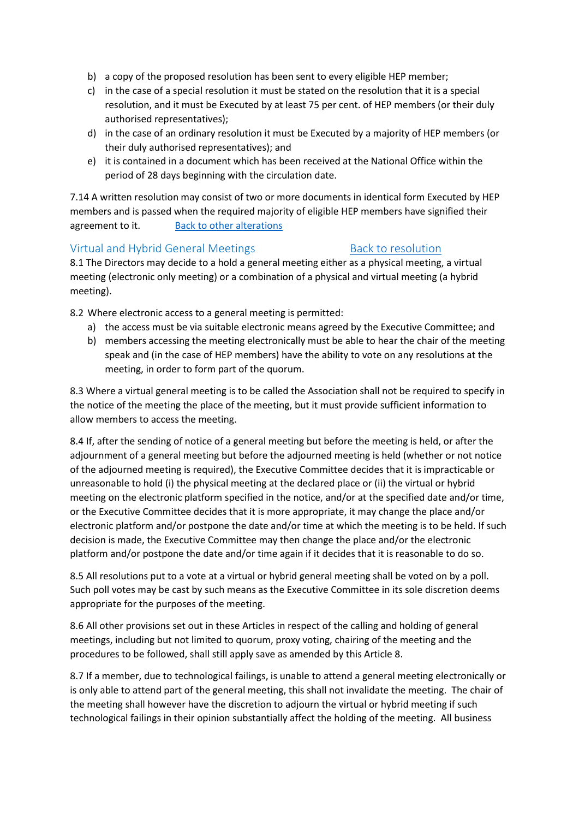- b) a copy of the proposed resolution has been sent to every eligible HEP member;
- c) in the case of a special resolution it must be stated on the resolution that it is a special resolution, and it must be Executed by at least 75 per cent. of HEP members (or their duly authorised representatives);
- d) in the case of an ordinary resolution it must be Executed by a majority of HEP members (or their duly authorised representatives); and
- e) it is contained in a document which has been received at the National Office within the period of 28 days beginning with the circulation date.

<span id="page-22-0"></span>7.14 A written resolution may consist of two or more documents in identical form Executed by HEP members and is passed when the required majority of eligible HEP members have signified their agreement to it. [Back to other alterations](#page-16-1)

## Virtual and Hybrid General Meetings [Back to resolution](#page-16-0)

8.1 The Directors may decide to a hold a general meeting either as a physical meeting, a virtual meeting (electronic only meeting) or a combination of a physical and virtual meeting (a hybrid meeting).

8.2 Where electronic access to a general meeting is permitted:

- a) the access must be via suitable electronic means agreed by the Executive Committee; and
- b) members accessing the meeting electronically must be able to hear the chair of the meeting speak and (in the case of HEP members) have the ability to vote on any resolutions at the meeting, in order to form part of the quorum.

8.3 Where a virtual general meeting is to be called the Association shall not be required to specify in the notice of the meeting the place of the meeting, but it must provide sufficient information to allow members to access the meeting.

8.4 If, after the sending of notice of a general meeting but before the meeting is held, or after the adjournment of a general meeting but before the adjourned meeting is held (whether or not notice of the adjourned meeting is required), the Executive Committee decides that it is impracticable or unreasonable to hold (i) the physical meeting at the declared place or (ii) the virtual or hybrid meeting on the electronic platform specified in the notice, and/or at the specified date and/or time, or the Executive Committee decides that it is more appropriate, it may change the place and/or electronic platform and/or postpone the date and/or time at which the meeting is to be held. If such decision is made, the Executive Committee may then change the place and/or the electronic platform and/or postpone the date and/or time again if it decides that it is reasonable to do so.

8.5 All resolutions put to a vote at a virtual or hybrid general meeting shall be voted on by a poll. Such poll votes may be cast by such means as the Executive Committee in its sole discretion deems appropriate for the purposes of the meeting.

8.6 All other provisions set out in these Articles in respect of the calling and holding of general meetings, including but not limited to quorum, proxy voting, chairing of the meeting and the procedures to be followed, shall still apply save as amended by this Article 8.

8.7 If a member, due to technological failings, is unable to attend a general meeting electronically or is only able to attend part of the general meeting, this shall not invalidate the meeting. The chair of the meeting shall however have the discretion to adjourn the virtual or hybrid meeting if such technological failings in their opinion substantially affect the holding of the meeting. All business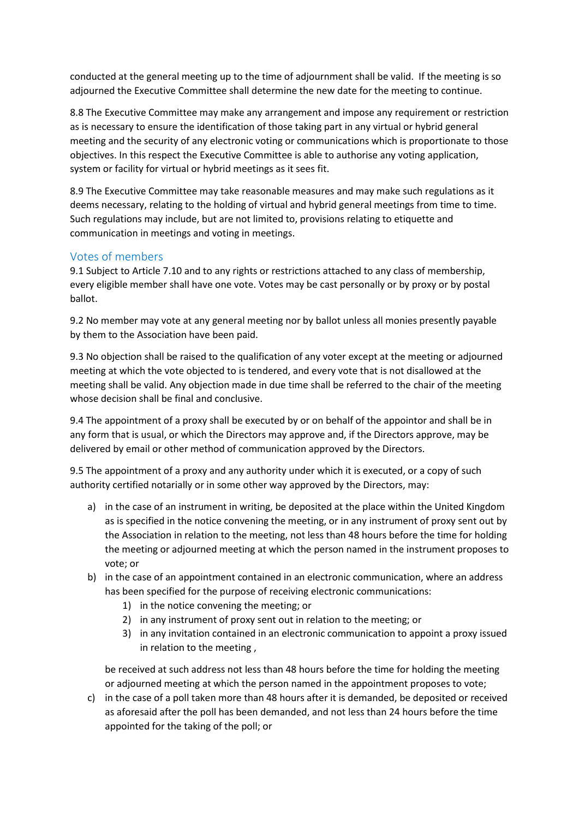conducted at the general meeting up to the time of adjournment shall be valid. If the meeting is so adjourned the Executive Committee shall determine the new date for the meeting to continue.

8.8 The Executive Committee may make any arrangement and impose any requirement or restriction as is necessary to ensure the identification of those taking part in any virtual or hybrid general meeting and the security of any electronic voting or communications which is proportionate to those objectives. In this respect the Executive Committee is able to authorise any voting application, system or facility for virtual or hybrid meetings as it sees fit.

8.9 The Executive Committee may take reasonable measures and may make such regulations as it deems necessary, relating to the holding of virtual and hybrid general meetings from time to time. Such regulations may include, but are not limited to, provisions relating to etiquette and communication in meetings and voting in meetings.

## Votes of members

9.1 Subject to Article 7.10 and to any rights or restrictions attached to any class of membership, every eligible member shall have one vote. Votes may be cast personally or by proxy or by postal ballot.

9.2 No member may vote at any general meeting nor by ballot unless all monies presently payable by them to the Association have been paid.

9.3 No objection shall be raised to the qualification of any voter except at the meeting or adjourned meeting at which the vote objected to is tendered, and every vote that is not disallowed at the meeting shall be valid. Any objection made in due time shall be referred to the chair of the meeting whose decision shall be final and conclusive.

9.4 The appointment of a proxy shall be executed by or on behalf of the appointor and shall be in any form that is usual, or which the Directors may approve and, if the Directors approve, may be delivered by email or other method of communication approved by the Directors.

9.5 The appointment of a proxy and any authority under which it is executed, or a copy of such authority certified notarially or in some other way approved by the Directors, may:

- a) in the case of an instrument in writing, be deposited at the place within the United Kingdom as is specified in the notice convening the meeting, or in any instrument of proxy sent out by the Association in relation to the meeting, not less than 48 hours before the time for holding the meeting or adjourned meeting at which the person named in the instrument proposes to vote; or
- b) in the case of an appointment contained in an electronic communication, where an address has been specified for the purpose of receiving electronic communications:
	- 1) in the notice convening the meeting; or
	- 2) in any instrument of proxy sent out in relation to the meeting; or
	- 3) in any invitation contained in an electronic communication to appoint a proxy issued in relation to the meeting ,

be received at such address not less than 48 hours before the time for holding the meeting or adjourned meeting at which the person named in the appointment proposes to vote;

c) in the case of a poll taken more than 48 hours after it is demanded, be deposited or received as aforesaid after the poll has been demanded, and not less than 24 hours before the time appointed for the taking of the poll; or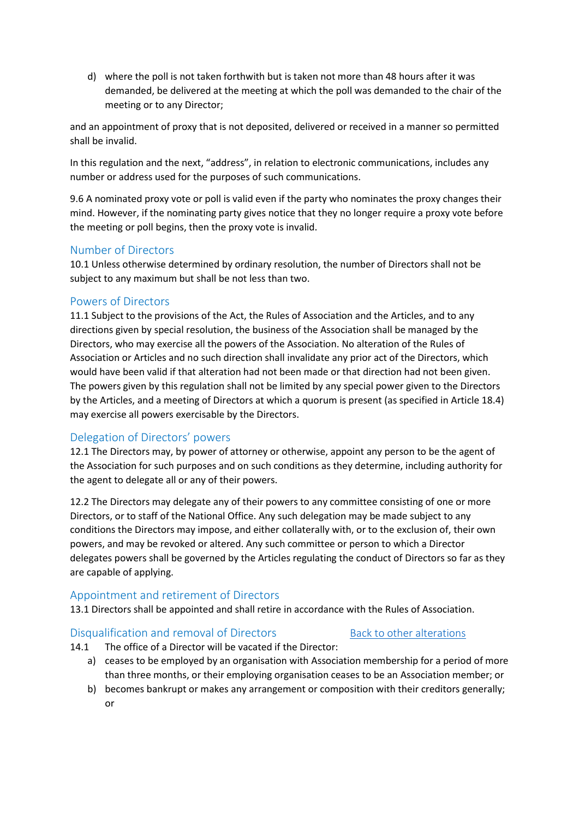d) where the poll is not taken forthwith but is taken not more than 48 hours after it was demanded, be delivered at the meeting at which the poll was demanded to the chair of the meeting or to any Director;

and an appointment of proxy that is not deposited, delivered or received in a manner so permitted shall be invalid.

In this regulation and the next, "address", in relation to electronic communications, includes any number or address used for the purposes of such communications.

9.6 A nominated proxy vote or poll is valid even if the party who nominates the proxy changes their mind. However, if the nominating party gives notice that they no longer require a proxy vote before the meeting or poll begins, then the proxy vote is invalid.

## Number of Directors

10.1 Unless otherwise determined by ordinary resolution, the number of Directors shall not be subject to any maximum but shall be not less than two.

## Powers of Directors

11.1 Subject to the provisions of the Act, the Rules of Association and the Articles, and to any directions given by special resolution, the business of the Association shall be managed by the Directors, who may exercise all the powers of the Association. No alteration of the Rules of Association or Articles and no such direction shall invalidate any prior act of the Directors, which would have been valid if that alteration had not been made or that direction had not been given. The powers given by this regulation shall not be limited by any special power given to the Directors by the Articles, and a meeting of Directors at which a quorum is present (as specified in Article 18.4) may exercise all powers exercisable by the Directors.

## Delegation of Directors' powers

12.1 The Directors may, by power of attorney or otherwise, appoint any person to be the agent of the Association for such purposes and on such conditions as they determine, including authority for the agent to delegate all or any of their powers.

12.2 The Directors may delegate any of their powers to any committee consisting of one or more Directors, or to staff of the National Office. Any such delegation may be made subject to any conditions the Directors may impose, and either collaterally with, or to the exclusion of, their own powers, and may be revoked or altered. Any such committee or person to which a Director delegates powers shall be governed by the Articles regulating the conduct of Directors so far as they are capable of applying.

## Appointment and retirement of Directors

13.1 Directors shall be appointed and shall retire in accordance with the Rules of Association.

#### <span id="page-24-0"></span>Disqualification and removal of Directors [Back to other alterations](#page-16-1)

14.1 The office of a Director will be vacated if the Director:

- a) ceases to be employed by an organisation with Association membership for a period of more than three months, or their employing organisation ceases to be an Association member; or
- b) becomes bankrupt or makes any arrangement or composition with their creditors generally; or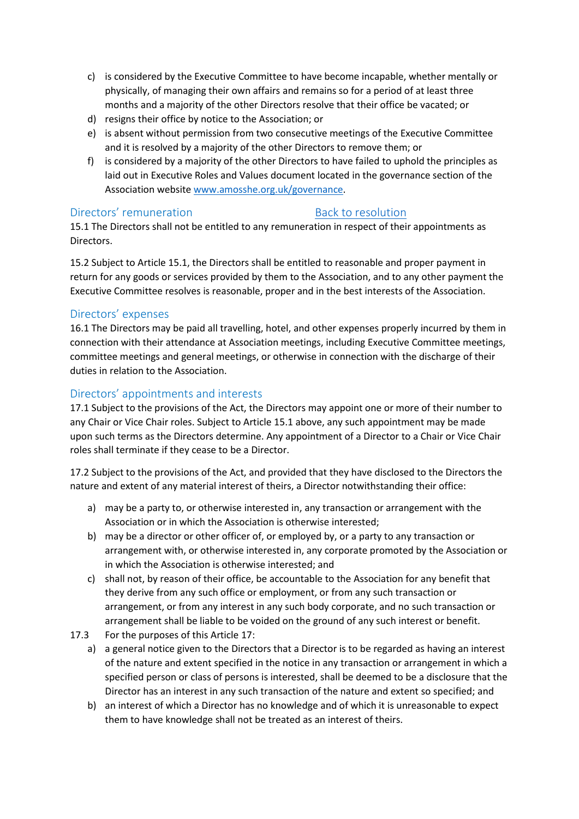- c) is considered by the Executive Committee to have become incapable, whether mentally or physically, of managing their own affairs and remains so for a period of at least three months and a majority of the other Directors resolve that their office be vacated; or
- d) resigns their office by notice to the Association; or
- e) is absent without permission from two consecutive meetings of the Executive Committee and it is resolved by a majority of the other Directors to remove them; or
- f) is considered by a majority of the other Directors to have failed to uphold the principles as laid out in Executive Roles and Values document located in the governance section of the Association website [www.amosshe.org.uk/governance.](http://www.amosshe.org.uk/governance)

## <span id="page-25-0"></span>Directors' remuneration and [Back to](#page-16-0) resolution

15.1 The Directors shall not be entitled to any remuneration in respect of their appointments as Directors.

15.2 Subject to Article 15.1, the Directors shall be entitled to reasonable and proper payment in return for any goods or services provided by them to the Association, and to any other payment the Executive Committee resolves is reasonable, proper and in the best interests of the Association.

# Directors' expenses

16.1 The Directors may be paid all travelling, hotel, and other expenses properly incurred by them in connection with their attendance at Association meetings, including Executive Committee meetings, committee meetings and general meetings, or otherwise in connection with the discharge of their duties in relation to the Association.

# Directors' appointments and interests

17.1 Subject to the provisions of the Act, the Directors may appoint one or more of their number to any Chair or Vice Chair roles. Subject to Article 15.1 above, any such appointment may be made upon such terms as the Directors determine. Any appointment of a Director to a Chair or Vice Chair roles shall terminate if they cease to be a Director.

17.2 Subject to the provisions of the Act, and provided that they have disclosed to the Directors the nature and extent of any material interest of theirs, a Director notwithstanding their office:

- a) may be a party to, or otherwise interested in, any transaction or arrangement with the Association or in which the Association is otherwise interested;
- b) may be a director or other officer of, or employed by, or a party to any transaction or arrangement with, or otherwise interested in, any corporate promoted by the Association or in which the Association is otherwise interested; and
- c) shall not, by reason of their office, be accountable to the Association for any benefit that they derive from any such office or employment, or from any such transaction or arrangement, or from any interest in any such body corporate, and no such transaction or arrangement shall be liable to be voided on the ground of any such interest or benefit.
- 17.3 For the purposes of this Article 17:
	- a) a general notice given to the Directors that a Director is to be regarded as having an interest of the nature and extent specified in the notice in any transaction or arrangement in which a specified person or class of persons is interested, shall be deemed to be a disclosure that the Director has an interest in any such transaction of the nature and extent so specified; and
	- b) an interest of which a Director has no knowledge and of which it is unreasonable to expect them to have knowledge shall not be treated as an interest of theirs.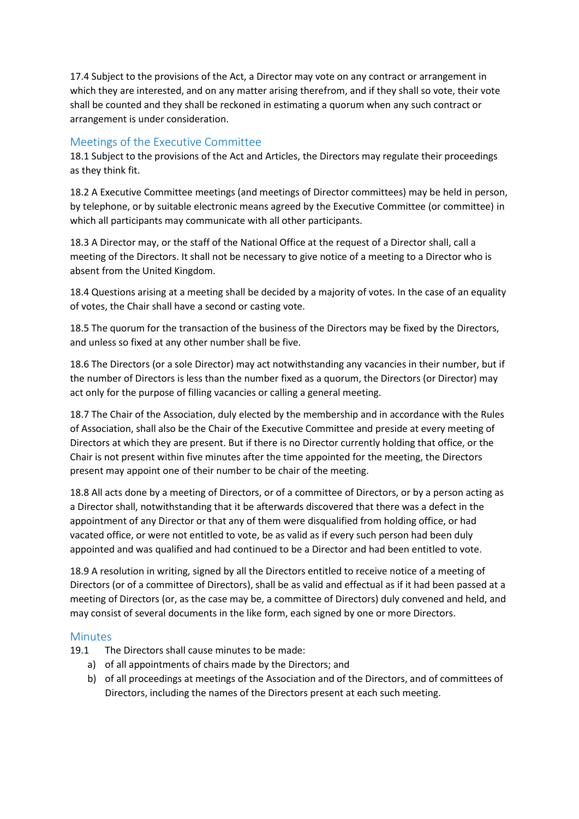17.4 Subject to the provisions of the Act, a Director may vote on any contract or arrangement in which they are interested, and on any matter arising therefrom, and if they shall so vote, their vote shall be counted and they shall be reckoned in estimating a quorum when any such contract or arrangement is under consideration.

## Meetings of the Executive Committee

18.1 Subject to the provisions of the Act and Articles, the Directors may regulate their proceedings as they think fit.

18.2 A Executive Committee meetings (and meetings of Director committees) may be held in person, by telephone, or by suitable electronic means agreed by the Executive Committee (or committee) in which all participants may communicate with all other participants.

18.3 A Director may, or the staff of the National Office at the request of a Director shall, call a meeting of the Directors. It shall not be necessary to give notice of a meeting to a Director who is absent from the United Kingdom.

18.4 Questions arising at a meeting shall be decided by a majority of votes. In the case of an equality of votes, the Chair shall have a second or casting vote.

18.5 The quorum for the transaction of the business of the Directors may be fixed by the Directors, and unless so fixed at any other number shall be five.

18.6 The Directors (or a sole Director) may act notwithstanding any vacancies in their number, but if the number of Directors is less than the number fixed as a quorum, the Directors (or Director) may act only for the purpose of filling vacancies or calling a general meeting.

18.7 The Chair of the Association, duly elected by the membership and in accordance with the Rules of Association, shall also be the Chair of the Executive Committee and preside at every meeting of Directors at which they are present. But if there is no Director currently holding that office, or the Chair is not present within five minutes after the time appointed for the meeting, the Directors present may appoint one of their number to be chair of the meeting.

18.8 All acts done by a meeting of Directors, or of a committee of Directors, or by a person acting as a Director shall, notwithstanding that it be afterwards discovered that there was a defect in the appointment of any Director or that any of them were disqualified from holding office, or had vacated office, or were not entitled to vote, be as valid as if every such person had been duly appointed and was qualified and had continued to be a Director and had been entitled to vote.

18.9 A resolution in writing, signed by all the Directors entitled to receive notice of a meeting of Directors (or of a committee of Directors), shall be as valid and effectual as if it had been passed at a meeting of Directors (or, as the case may be, a committee of Directors) duly convened and held, and may consist of several documents in the like form, each signed by one or more Directors.

## **Minutes**

- 19.1 The Directors shall cause minutes to be made:
	- a) of all appointments of chairs made by the Directors; and
	- b) of all proceedings at meetings of the Association and of the Directors, and of committees of Directors, including the names of the Directors present at each such meeting.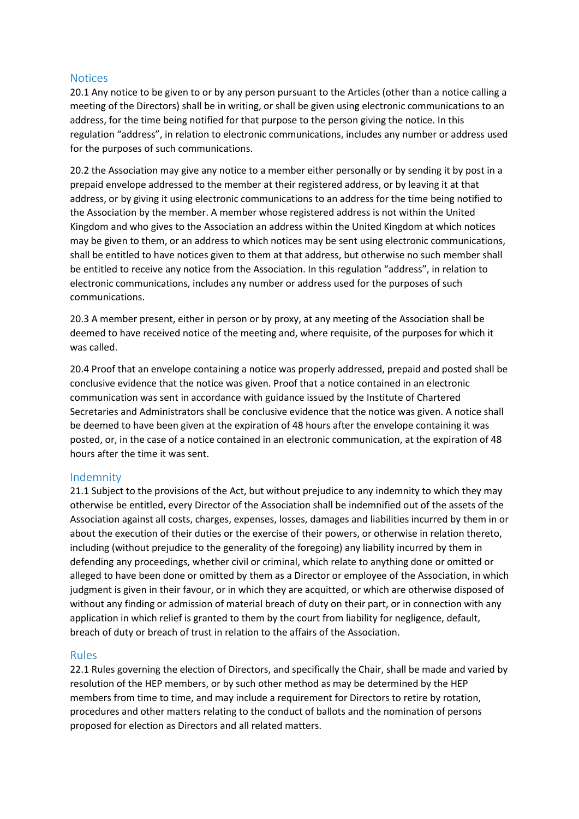### **Notices**

20.1 Any notice to be given to or by any person pursuant to the Articles (other than a notice calling a meeting of the Directors) shall be in writing, or shall be given using electronic communications to an address, for the time being notified for that purpose to the person giving the notice. In this regulation "address", in relation to electronic communications, includes any number or address used for the purposes of such communications.

20.2 the Association may give any notice to a member either personally or by sending it by post in a prepaid envelope addressed to the member at their registered address, or by leaving it at that address, or by giving it using electronic communications to an address for the time being notified to the Association by the member. A member whose registered address is not within the United Kingdom and who gives to the Association an address within the United Kingdom at which notices may be given to them, or an address to which notices may be sent using electronic communications, shall be entitled to have notices given to them at that address, but otherwise no such member shall be entitled to receive any notice from the Association. In this regulation "address", in relation to electronic communications, includes any number or address used for the purposes of such communications.

20.3 A member present, either in person or by proxy, at any meeting of the Association shall be deemed to have received notice of the meeting and, where requisite, of the purposes for which it was called.

20.4 Proof that an envelope containing a notice was properly addressed, prepaid and posted shall be conclusive evidence that the notice was given. Proof that a notice contained in an electronic communication was sent in accordance with guidance issued by the Institute of Chartered Secretaries and Administrators shall be conclusive evidence that the notice was given. A notice shall be deemed to have been given at the expiration of 48 hours after the envelope containing it was posted, or, in the case of a notice contained in an electronic communication, at the expiration of 48 hours after the time it was sent.

#### Indemnity

21.1 Subject to the provisions of the Act, but without prejudice to any indemnity to which they may otherwise be entitled, every Director of the Association shall be indemnified out of the assets of the Association against all costs, charges, expenses, losses, damages and liabilities incurred by them in or about the execution of their duties or the exercise of their powers, or otherwise in relation thereto, including (without prejudice to the generality of the foregoing) any liability incurred by them in defending any proceedings, whether civil or criminal, which relate to anything done or omitted or alleged to have been done or omitted by them as a Director or employee of the Association, in which judgment is given in their favour, or in which they are acquitted, or which are otherwise disposed of without any finding or admission of material breach of duty on their part, or in connection with any application in which relief is granted to them by the court from liability for negligence, default, breach of duty or breach of trust in relation to the affairs of the Association.

#### Rules

22.1 Rules governing the election of Directors, and specifically the Chair, shall be made and varied by resolution of the HEP members, or by such other method as may be determined by the HEP members from time to time, and may include a requirement for Directors to retire by rotation, procedures and other matters relating to the conduct of ballots and the nomination of persons proposed for election as Directors and all related matters.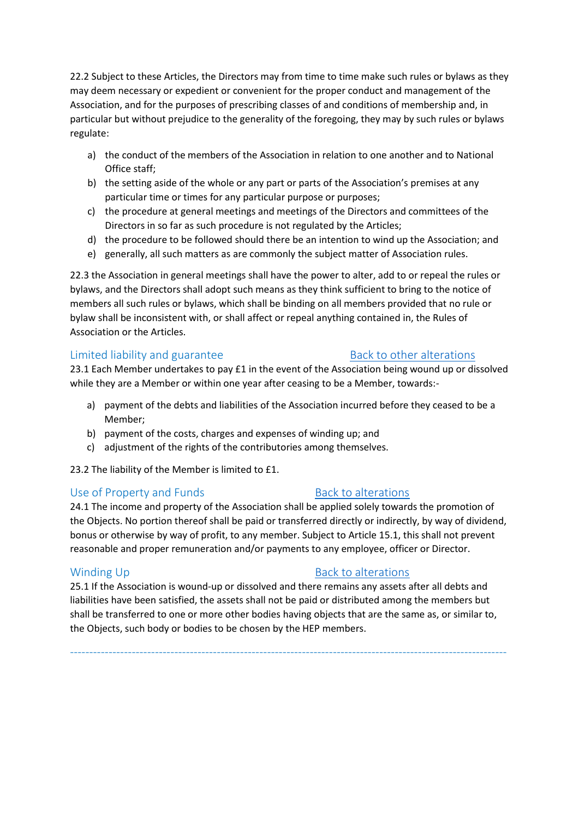22.2 Subject to these Articles, the Directors may from time to time make such rules or bylaws as they may deem necessary or expedient or convenient for the proper conduct and management of the Association, and for the purposes of prescribing classes of and conditions of membership and, in particular but without prejudice to the generality of the foregoing, they may by such rules or bylaws regulate:

- a) the conduct of the members of the Association in relation to one another and to National Office staff;
- b) the setting aside of the whole or any part or parts of the Association's premises at any particular time or times for any particular purpose or purposes;
- c) the procedure at general meetings and meetings of the Directors and committees of the Directors in so far as such procedure is not regulated by the Articles;
- d) the procedure to be followed should there be an intention to wind up the Association; and
- e) generally, all such matters as are commonly the subject matter of Association rules.

22.3 the Association in general meetings shall have the power to alter, add to or repeal the rules or bylaws, and the Directors shall adopt such means as they think sufficient to bring to the notice of members all such rules or bylaws, which shall be binding on all members provided that no rule or bylaw shall be inconsistent with, or shall affect or repeal anything contained in, the Rules of Association or the Articles.

# <span id="page-28-0"></span>Limited liability and guarantee [Back to other alterations](#page-16-1)

23.1 Each Member undertakes to pay £1 in the event of the Association being wound up or dissolved while they are a Member or within one year after ceasing to be a Member, towards:-

- a) payment of the debts and liabilities of the Association incurred before they ceased to be a Member;
- b) payment of the costs, charges and expenses of winding up; and
- c) adjustment of the rights of the contributories among themselves.

23.2 The liability of the Member is limited to £1.

# <span id="page-28-1"></span>Use of Property and Funds [Back to alterations](#page-16-1)

24.1 The income and property of the Association shall be applied solely towards the promotion of the Objects. No portion thereof shall be paid or transferred directly or indirectly, by way of dividend, bonus or otherwise by way of profit, to any member. Subject to Article 15.1, this shall not prevent reasonable and proper remuneration and/or payments to any employee, officer or Director.

25.1 If the Association is wound-up or dissolved and there remains any assets after all debts and liabilities have been satisfied, the assets shall not be paid or distributed among the members but shall be transferred to one or more other bodies having objects that are the same as, or similar to, the Objects, such body or bodies to be chosen by the HEP members.

-----------------------------------------------------------------------------------------------------------------

# <span id="page-28-2"></span>Winding Up **Back to [alterations](#page-16-1)**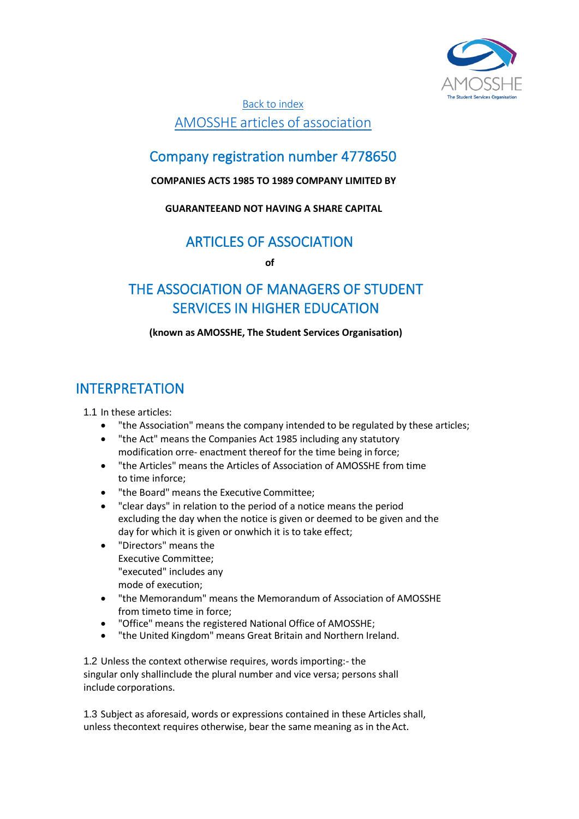

[Back to index](#page-3-1) AMOSSHE articles of [association](#page-3-1)

# Company registration number 4778650

# **COMPANIES ACTS 1985 TO 1989 COMPANY LIMITED BY**

# **GUARANTEEAND NOT HAVING A SHARE CAPITAL**

# ARTICLES OF ASSOCIATION

**of**

# <span id="page-29-0"></span>THE ASSOCIATION OF MANAGERS OF STUDENT SERVICES IN HIGHER EDUCATION

# **(known as AMOSSHE, The Student Services Organisation)**

# INTERPRETATION

1.1 In these articles:

- "the Association" means the company intended to be regulated by these articles;
- "the Act" means the Companies Act 1985 including any statutory modification orre- enactment thereof for the time being in force;
- "the Articles" means the Articles of Association of AMOSSHE from time to time inforce;
- "the Board" means the Executive Committee;
- "clear days" in relation to the period of a notice means the period excluding the day when the notice is given or deemed to be given and the day for which it is given or onwhich it is to take effect;
- "Directors" means the Executive Committee; "executed" includes any mode of execution;
- "the Memorandum" means the Memorandum of Association of AMOSSHE from timeto time in force;
- "Office" means the registered National Office of AMOSSHE;
- "the United Kingdom" means Great Britain and Northern Ireland.

1.2 Unless the context otherwise requires, words importing:- the singular only shallinclude the plural number and vice versa; persons shall include corporations.

1.3 Subject as aforesaid, words or expressions contained in these Articles shall, unless thecontext requires otherwise, bear the same meaning as in the Act.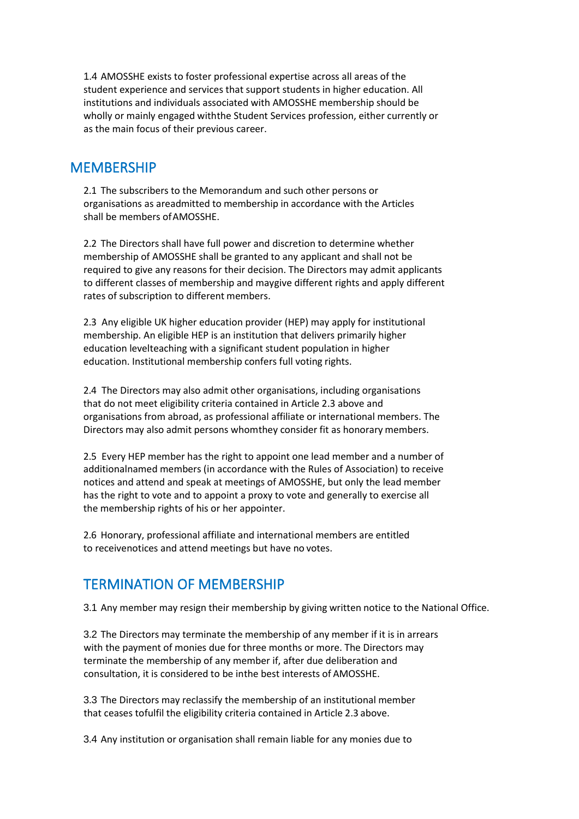1.4 AMOSSHE exists to foster professional expertise across all areas of the student experience and services that support students in higher education. All institutions and individuals associated with AMOSSHE membership should be wholly or mainly engaged withthe Student Services profession, either currently or as the main focus of their previous career.

# **MEMBERSHIP**

2.1 The subscribers to the Memorandum and such other persons or organisations as areadmitted to membership in accordance with the Articles shall be members ofAMOSSHE.

2.2 The Directors shall have full power and discretion to determine whether membership of AMOSSHE shall be granted to any applicant and shall not be required to give any reasons for their decision. The Directors may admit applicants to different classes of membership and maygive different rights and apply different rates of subscription to different members.

2.3 Any eligible UK higher education provider (HEP) may apply for institutional membership. An eligible HEP is an institution that delivers primarily higher education levelteaching with a significant student population in higher education. Institutional membership confers full voting rights.

2.4 The Directors may also admit other organisations, including organisations that do not meet eligibility criteria contained in Article 2.3 above and organisations from abroad, as professional affiliate or international members. The Directors may also admit persons whomthey consider fit as honorary members.

2.5 Every HEP member has the right to appoint one lead member and a number of additionalnamed members (in accordance with the Rules of Association) to receive notices and attend and speak at meetings of AMOSSHE, but only the lead member has the right to vote and to appoint a proxy to vote and generally to exercise all the membership rights of his or her appointer.

2.6 Honorary, professional affiliate and international members are entitled to receivenotices and attend meetings but have no votes.

# TERMINATION OF MEMBERSHIP

3.1 Any member may resign their membership by giving written notice to the National Office.

3.2 The Directors may terminate the membership of any member if it is in arrears with the payment of monies due for three months or more. The Directors may terminate the membership of any member if, after due deliberation and consultation, it is considered to be inthe best interests of AMOSSHE.

3.3 The Directors may reclassify the membership of an institutional member that ceases tofulfil the eligibility criteria contained in Article 2.3 above.

3.4 Any institution or organisation shall remain liable for any monies due to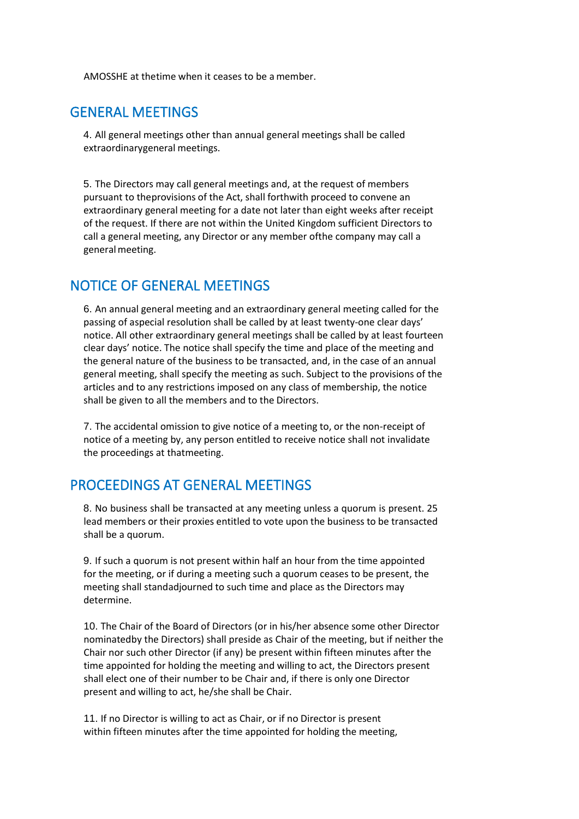AMOSSHE at thetime when it ceases to be a member.

# GENERAL MEETINGS

4. All general meetings other than annual general meetings shall be called extraordinarygeneral meetings.

5. The Directors may call general meetings and, at the request of members pursuant to theprovisions of the Act, shall forthwith proceed to convene an extraordinary general meeting for a date not later than eight weeks after receipt of the request. If there are not within the United Kingdom sufficient Directors to call a general meeting, any Director or any member ofthe company may call a general meeting.

# NOTICE OF GENERAL MEETINGS

6. An annual general meeting and an extraordinary general meeting called for the passing of aspecial resolution shall be called by at least twenty-one clear days' notice. All other extraordinary general meetings shall be called by at least fourteen clear days' notice. The notice shall specify the time and place of the meeting and the general nature of the business to be transacted, and, in the case of an annual general meeting, shall specify the meeting as such. Subject to the provisions of the articles and to any restrictions imposed on any class of membership, the notice shall be given to all the members and to the Directors.

7. The accidental omission to give notice of a meeting to, or the non-receipt of notice of a meeting by, any person entitled to receive notice shall not invalidate the proceedings at thatmeeting.

# PROCEEDINGS AT GENERAL MEETINGS

8. No business shall be transacted at any meeting unless a quorum is present. 25 lead members or their proxies entitled to vote upon the business to be transacted shall be a quorum.

9. If such a quorum is not present within half an hour from the time appointed for the meeting, or if during a meeting such a quorum ceases to be present, the meeting shall standadjourned to such time and place as the Directors may determine.

10. The Chair of the Board of Directors (or in his/her absence some other Director nominatedby the Directors) shall preside as Chair of the meeting, but if neither the Chair nor such other Director (if any) be present within fifteen minutes after the time appointed for holding the meeting and willing to act, the Directors present shall elect one of their number to be Chair and, if there is only one Director present and willing to act, he/she shall be Chair.

11. If no Director is willing to act as Chair, or if no Director is present within fifteen minutes after the time appointed for holding the meeting,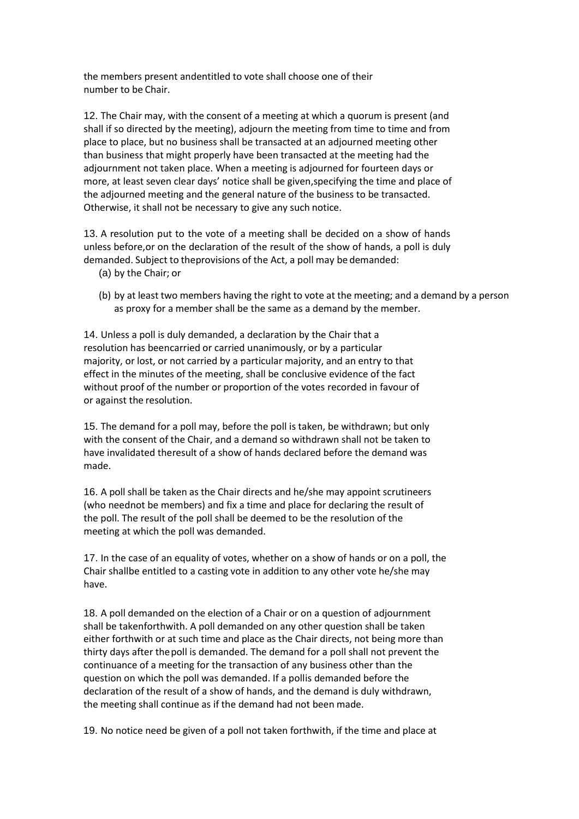the members present andentitled to vote shall choose one of their number to be Chair.

12. The Chair may, with the consent of a meeting at which a quorum is present (and shall if so directed by the meeting), adjourn the meeting from time to time and from place to place, but no business shall be transacted at an adjourned meeting other than business that might properly have been transacted at the meeting had the adjournment not taken place. When a meeting is adjourned for fourteen days or more, at least seven clear days' notice shall be given,specifying the time and place of the adjourned meeting and the general nature of the business to be transacted. Otherwise, it shall not be necessary to give any such notice.

13. A resolution put to the vote of a meeting shall be decided on a show of hands unless before,or on the declaration of the result of the show of hands, a poll is duly demanded. Subject to theprovisions of the Act, a poll may be demanded:

- (a) by the Chair; or
- (b) by at least two members having the right to vote at the meeting; and a demand by a person as proxy for a member shall be the same as a demand by the member.

14. Unless a poll is duly demanded, a declaration by the Chair that a resolution has beencarried or carried unanimously, or by a particular majority, or lost, or not carried by a particular majority, and an entry to that effect in the minutes of the meeting, shall be conclusive evidence of the fact without proof of the number or proportion of the votes recorded in favour of or against the resolution.

15. The demand for a poll may, before the poll is taken, be withdrawn; but only with the consent of the Chair, and a demand so withdrawn shall not be taken to have invalidated theresult of a show of hands declared before the demand was made.

16. A poll shall be taken as the Chair directs and he/she may appoint scrutineers (who neednot be members) and fix a time and place for declaring the result of the poll. The result of the poll shall be deemed to be the resolution of the meeting at which the poll was demanded.

17. In the case of an equality of votes, whether on a show of hands or on a poll, the Chair shallbe entitled to a casting vote in addition to any other vote he/she may have.

18. A poll demanded on the election of a Chair or on a question of adjournment shall be takenforthwith. A poll demanded on any other question shall be taken either forthwith or at such time and place as the Chair directs, not being more than thirty days after thepoll is demanded. The demand for a poll shall not prevent the continuance of a meeting for the transaction of any business other than the question on which the poll was demanded. If a pollis demanded before the declaration of the result of a show of hands, and the demand is duly withdrawn, the meeting shall continue as if the demand had not been made.

19. No notice need be given of a poll not taken forthwith, if the time and place at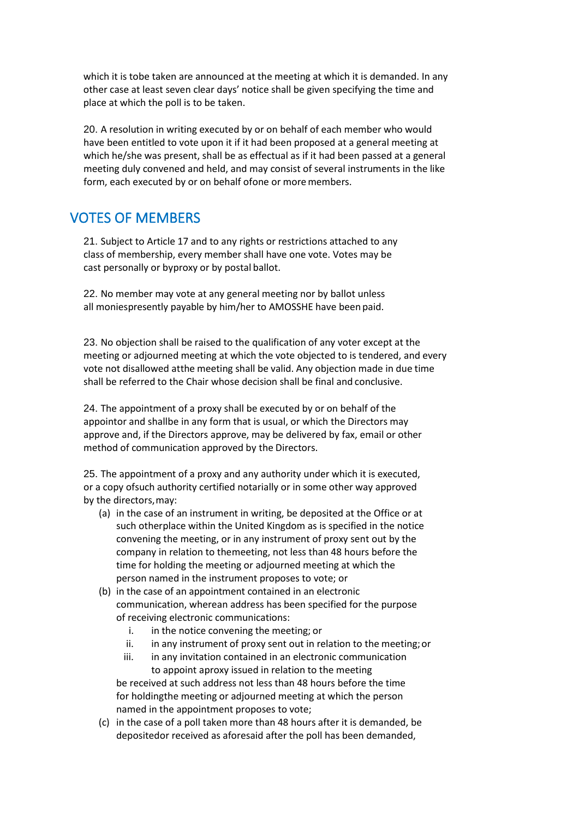which it is tobe taken are announced at the meeting at which it is demanded. In any other case at least seven clear days' notice shall be given specifying the time and place at which the poll is to be taken.

20. A resolution in writing executed by or on behalf of each member who would have been entitled to vote upon it if it had been proposed at a general meeting at which he/she was present, shall be as effectual as if it had been passed at a general meeting duly convened and held, and may consist of several instruments in the like form, each executed by or on behalf ofone or more members.

# VOTES OF MEMBERS

21. Subject to Article 17 and to any rights or restrictions attached to any class of membership, every member shall have one vote. Votes may be cast personally or byproxy or by postal ballot.

22. No member may vote at any general meeting nor by ballot unless all moniespresently payable by him/her to AMOSSHE have been paid.

23. No objection shall be raised to the qualification of any voter except at the meeting or adjourned meeting at which the vote objected to is tendered, and every vote not disallowed atthe meeting shall be valid. Any objection made in due time shall be referred to the Chair whose decision shall be final and conclusive.

24. The appointment of a proxy shall be executed by or on behalf of the appointor and shallbe in any form that is usual, or which the Directors may approve and, if the Directors approve, may be delivered by fax, email or other method of communication approved by the Directors.

25. The appointment of a proxy and any authority under which it is executed, or a copy ofsuch authority certified notarially or in some other way approved by the directors,may:

- (a) in the case of an instrument in writing, be deposited at the Office or at such otherplace within the United Kingdom as is specified in the notice convening the meeting, or in any instrument of proxy sent out by the company in relation to themeeting, not less than 48 hours before the time for holding the meeting or adjourned meeting at which the person named in the instrument proposes to vote; or
- (b) in the case of an appointment contained in an electronic communication, wherean address has been specified for the purpose of receiving electronic communications:
	- i. in the notice convening the meeting; or
	- ii. in any instrument of proxy sent out in relation to the meeting; or
	- iii. in any invitation contained in an electronic communication to appoint aproxy issued in relation to the meeting be received at such address not less than 48 hours before the time for holdingthe meeting or adjourned meeting at which the person named in the appointment proposes to vote;
- (c) in the case of a poll taken more than 48 hours after it is demanded, be depositedor received as aforesaid after the poll has been demanded,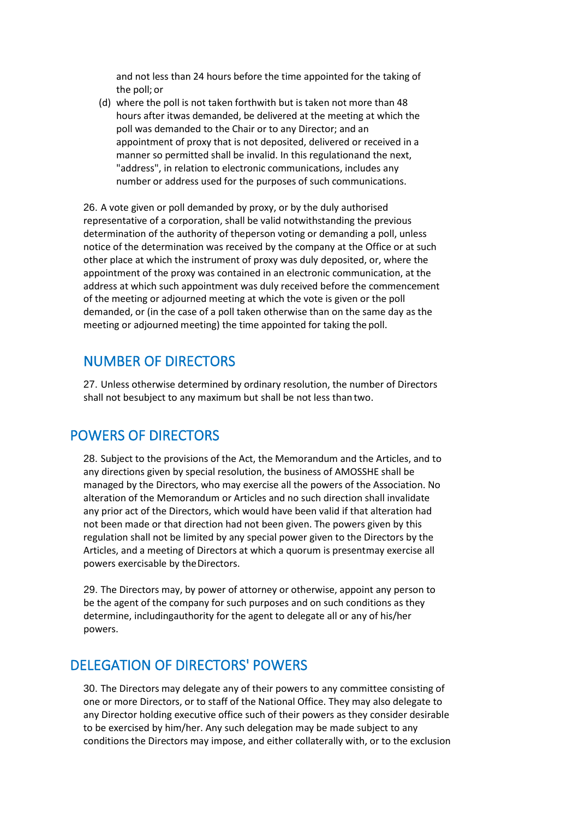and not less than 24 hours before the time appointed for the taking of the poll; or

(d) where the poll is not taken forthwith but is taken not more than 48 hours after itwas demanded, be delivered at the meeting at which the poll was demanded to the Chair or to any Director; and an appointment of proxy that is not deposited, delivered or received in a manner so permitted shall be invalid. In this regulationand the next, "address", in relation to electronic communications, includes any number or address used for the purposes of such communications.

26. A vote given or poll demanded by proxy, or by the duly authorised representative of a corporation, shall be valid notwithstanding the previous determination of the authority of theperson voting or demanding a poll, unless notice of the determination was received by the company at the Office or at such other place at which the instrument of proxy was duly deposited, or, where the appointment of the proxy was contained in an electronic communication, at the address at which such appointment was duly received before the commencement of the meeting or adjourned meeting at which the vote is given or the poll demanded, or (in the case of a poll taken otherwise than on the same day as the meeting or adjourned meeting) the time appointed for taking the poll.

# NUMBER OF DIRECTORS

27. Unless otherwise determined by ordinary resolution, the number of Directors shall not besubject to any maximum but shall be not less than two.

# POWERS OF DIRECTORS

28. Subject to the provisions of the Act, the Memorandum and the Articles, and to any directions given by special resolution, the business of AMOSSHE shall be managed by the Directors, who may exercise all the powers of the Association. No alteration of the Memorandum or Articles and no such direction shall invalidate any prior act of the Directors, which would have been valid if that alteration had not been made or that direction had not been given. The powers given by this regulation shall not be limited by any special power given to the Directors by the Articles, and a meeting of Directors at which a quorum is presentmay exercise all powers exercisable by theDirectors.

29. The Directors may, by power of attorney or otherwise, appoint any person to be the agent of the company for such purposes and on such conditions as they determine, includingauthority for the agent to delegate all or any of his/her powers.

# DELEGATION OF DIRECTORS' POWERS

30. The Directors may delegate any of their powers to any committee consisting of one or more Directors, or to staff of the National Office. They may also delegate to any Director holding executive office such of their powers as they consider desirable to be exercised by him/her. Any such delegation may be made subject to any conditions the Directors may impose, and either collaterally with, or to the exclusion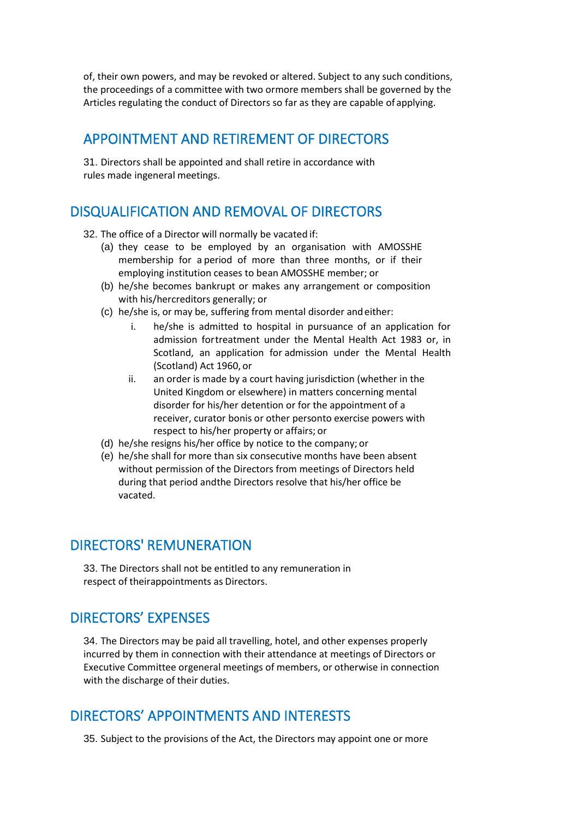of, their own powers, and may be revoked or altered. Subject to any such conditions, the proceedings of a committee with two ormore members shall be governed by the Articles regulating the conduct of Directors so far as they are capable of applying.

# APPOINTMENT AND RETIREMENT OF DIRECTORS

31. Directors shall be appointed and shall retire in accordance with rules made ingeneral meetings.

# DISQUALIFICATION AND REMOVAL OF DIRECTORS

- 32. The office of a Director will normally be vacated if:
	- (a) they cease to be employed by an organisation with AMOSSHE membership for a period of more than three months, or if their employing institution ceases to bean AMOSSHE member; or
	- (b) he/she becomes bankrupt or makes any arrangement or composition with his/hercreditors generally; or
	- (c) he/she is, or may be, suffering from mental disorder andeither:
		- i. he/she is admitted to hospital in pursuance of an application for admission fortreatment under the Mental Health Act 1983 or, in Scotland, an application for admission under the Mental Health (Scotland) Act 1960, or
		- ii. an order is made by a court having jurisdiction (whether in the United Kingdom or elsewhere) in matters concerning mental disorder for his/her detention or for the appointment of a receiver, curator bonis or other personto exercise powers with respect to his/her property or affairs; or
	- (d) he/she resigns his/her office by notice to the company; or
	- (e) he/she shall for more than six consecutive months have been absent without permission of the Directors from meetings of Directors held during that period andthe Directors resolve that his/her office be vacated.

# DIRECTORS' REMUNERATION

33. The Directors shall not be entitled to any remuneration in respect of theirappointments as Directors.

# DIRECTORS' EXPENSES

34. The Directors may be paid all travelling, hotel, and other expenses properly incurred by them in connection with their attendance at meetings of Directors or Executive Committee orgeneral meetings of members, or otherwise in connection with the discharge of their duties.

# DIRECTORS' APPOINTMENTS AND INTERESTS

35. Subject to the provisions of the Act, the Directors may appoint one or more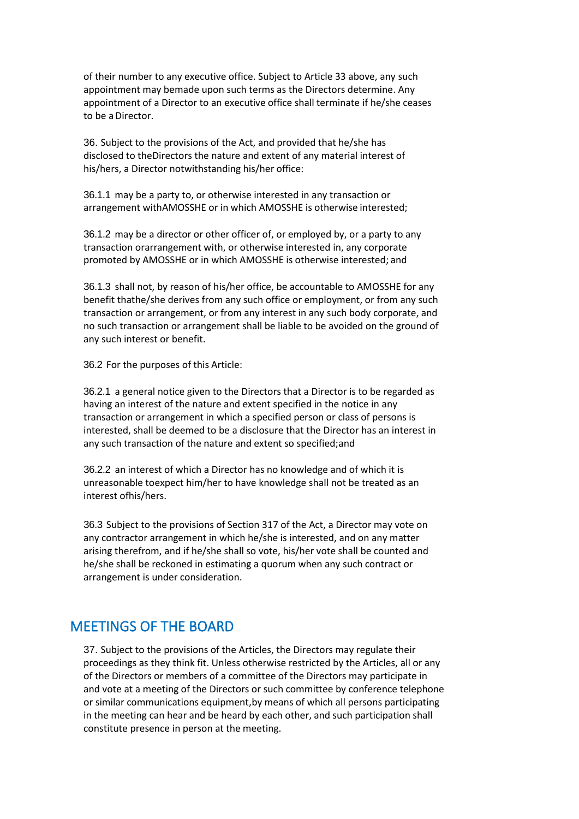of their number to any executive office. Subject to Article 33 above, any such appointment may bemade upon such terms as the Directors determine. Any appointment of a Director to an executive office shall terminate if he/she ceases to be aDirector.

36. Subject to the provisions of the Act, and provided that he/she has disclosed to theDirectors the nature and extent of any material interest of his/hers, a Director notwithstanding his/her office:

36.1.1 may be a party to, or otherwise interested in any transaction or arrangement withAMOSSHE or in which AMOSSHE is otherwise interested;

36.1.2 may be a director or other officer of, or employed by, or a party to any transaction orarrangement with, or otherwise interested in, any corporate promoted by AMOSSHE or in which AMOSSHE is otherwise interested; and

36.1.3 shall not, by reason of his/her office, be accountable to AMOSSHE for any benefit thathe/she derives from any such office or employment, or from any such transaction or arrangement, or from any interest in any such body corporate, and no such transaction or arrangement shall be liable to be avoided on the ground of any such interest or benefit.

36.2 For the purposes of this Article:

36.2.1 a general notice given to the Directors that a Director is to be regarded as having an interest of the nature and extent specified in the notice in any transaction or arrangement in which a specified person or class of persons is interested, shall be deemed to be a disclosure that the Director has an interest in any such transaction of the nature and extent so specified;and

36.2.2 an interest of which a Director has no knowledge and of which it is unreasonable toexpect him/her to have knowledge shall not be treated as an interest ofhis/hers.

36.3 Subject to the provisions of Section 317 of the Act, a Director may vote on any contractor arrangement in which he/she is interested, and on any matter arising therefrom, and if he/she shall so vote, his/her vote shall be counted and he/she shall be reckoned in estimating a quorum when any such contract or arrangement is under consideration.

# MEETINGS OF THE BOARD

37. Subject to the provisions of the Articles, the Directors may regulate their proceedings as they think fit. Unless otherwise restricted by the Articles, all or any of the Directors or members of a committee of the Directors may participate in and vote at a meeting of the Directors or such committee by conference telephone or similar communications equipment,by means of which all persons participating in the meeting can hear and be heard by each other, and such participation shall constitute presence in person at the meeting.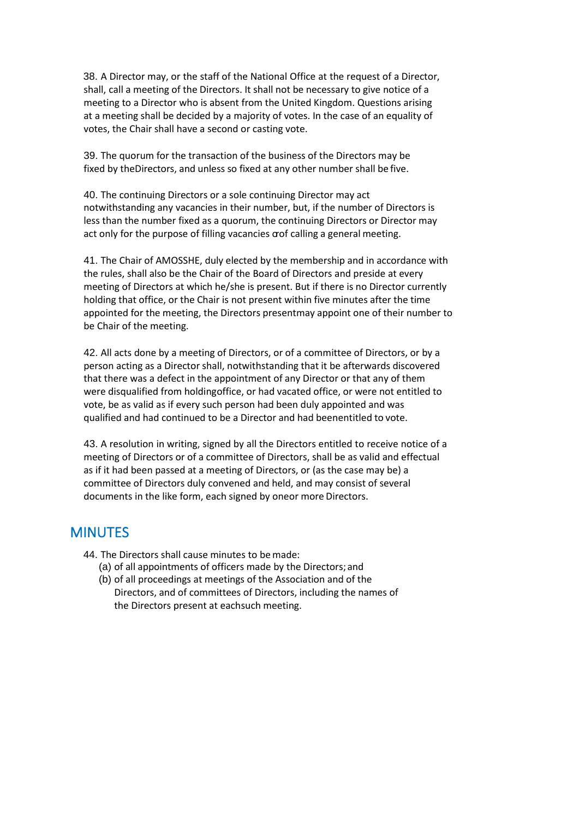38. A Director may, or the staff of the National Office at the request of a Director, shall, call a meeting of the Directors. It shall not be necessary to give notice of a meeting to a Director who is absent from the United Kingdom. Questions arising at a meeting shall be decided by a majority of votes. In the case of an equality of votes, the Chair shall have a second or casting vote.

39. The quorum for the transaction of the business of the Directors may be fixed by theDirectors, and unless so fixed at any other number shall be five.

40. The continuing Directors or a sole continuing Director may act notwithstanding any vacancies in their number, but, if the number of Directors is less than the number fixed as a quorum, the continuing Directors or Director may act only for the purpose of filling vacancies oof calling a general meeting.

41. The Chair of AMOSSHE, duly elected by the membership and in accordance with the rules, shall also be the Chair of the Board of Directors and preside at every meeting of Directors at which he/she is present. But if there is no Director currently holding that office, or the Chair is not present within five minutes after the time appointed for the meeting, the Directors presentmay appoint one of their number to be Chair of the meeting.

42. All acts done by a meeting of Directors, or of a committee of Directors, or by a person acting as a Director shall, notwithstanding that it be afterwards discovered that there was a defect in the appointment of any Director or that any of them were disqualified from holdingoffice, or had vacated office, or were not entitled to vote, be as valid as if every such person had been duly appointed and was qualified and had continued to be a Director and had beenentitled to vote.

43. A resolution in writing, signed by all the Directors entitled to receive notice of a meeting of Directors or of a committee of Directors, shall be as valid and effectual as if it had been passed at a meeting of Directors, or (as the case may be) a committee of Directors duly convened and held, and may consist of several documents in the like form, each signed by oneor more Directors.

# **MINUTES**

- 44. The Directors shall cause minutes to bemade:
	- (a) of all appointments of officers made by the Directors; and
	- (b) of all proceedings at meetings of the Association and of the Directors, and of committees of Directors, including the names of the Directors present at eachsuch meeting.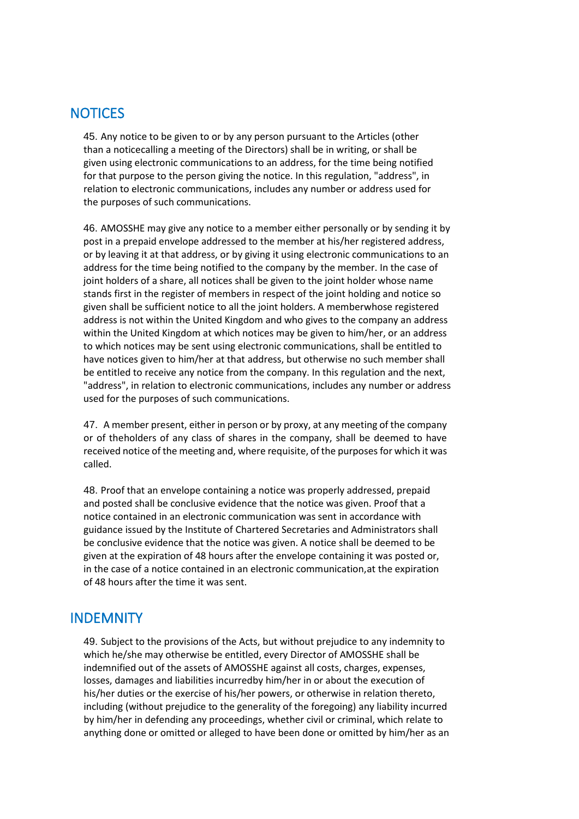# **NOTICES**

45. Any notice to be given to or by any person pursuant to the Articles (other than a noticecalling a meeting of the Directors) shall be in writing, or shall be given using electronic communications to an address, for the time being notified for that purpose to the person giving the notice. In this regulation, "address", in relation to electronic communications, includes any number or address used for the purposes of such communications.

46. AMOSSHE may give any notice to a member either personally or by sending it by post in a prepaid envelope addressed to the member at his/her registered address, or by leaving it at that address, or by giving it using electronic communications to an address for the time being notified to the company by the member. In the case of joint holders of a share, all notices shall be given to the joint holder whose name stands first in the register of members in respect of the joint holding and notice so given shall be sufficient notice to all the joint holders. A memberwhose registered address is not within the United Kingdom and who gives to the company an address within the United Kingdom at which notices may be given to him/her, or an address to which notices may be sent using electronic communications, shall be entitled to have notices given to him/her at that address, but otherwise no such member shall be entitled to receive any notice from the company. In this regulation and the next, "address", in relation to electronic communications, includes any number or address used for the purposes of such communications.

47. A member present, either in person or by proxy, at any meeting of the company or of theholders of any class of shares in the company, shall be deemed to have received notice of the meeting and, where requisite, of the purposes for which it was called.

48. Proof that an envelope containing a notice was properly addressed, prepaid and posted shall be conclusive evidence that the notice was given. Proof that a notice contained in an electronic communication was sent in accordance with guidance issued by the Institute of Chartered Secretaries and Administrators shall be conclusive evidence that the notice was given. A notice shall be deemed to be given at the expiration of 48 hours after the envelope containing it was posted or, in the case of a notice contained in an electronic communication,at the expiration of 48 hours after the time it was sent.

# **INDEMNITY**

49. Subject to the provisions of the Acts, but without prejudice to any indemnity to which he/she may otherwise be entitled, every Director of AMOSSHE shall be indemnified out of the assets of AMOSSHE against all costs, charges, expenses, losses, damages and liabilities incurredby him/her in or about the execution of his/her duties or the exercise of his/her powers, or otherwise in relation thereto, including (without prejudice to the generality of the foregoing) any liability incurred by him/her in defending any proceedings, whether civil or criminal, which relate to anything done or omitted or alleged to have been done or omitted by him/her as an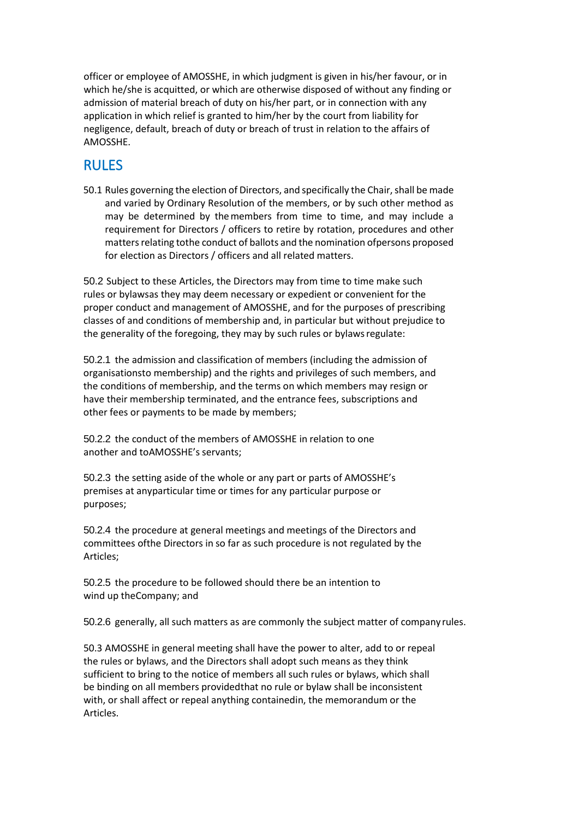officer or employee of AMOSSHE, in which judgment is given in his/her favour, or in which he/she is acquitted, or which are otherwise disposed of without any finding or admission of material breach of duty on his/her part, or in connection with any application in which relief is granted to him/her by the court from liability for negligence, default, breach of duty or breach of trust in relation to the affairs of AMOSSHE.

# RULES

50.1 Rules governing the election of Directors, and specifically the Chair, shall be made and varied by Ordinary Resolution of the members, or by such other method as may be determined by themembers from time to time, and may include a requirement for Directors / officers to retire by rotation, procedures and other matters relating tothe conduct of ballots and the nomination ofpersons proposed for election as Directors / officers and all related matters.

50.2 Subject to these Articles, the Directors may from time to time make such rules or bylawsas they may deem necessary or expedient or convenient for the proper conduct and management of AMOSSHE, and for the purposes of prescribing classes of and conditions of membership and, in particular but without prejudice to the generality of the foregoing, they may by such rules or bylawsregulate:

50.2.1 the admission and classification of members (including the admission of organisationsto membership) and the rights and privileges of such members, and the conditions of membership, and the terms on which members may resign or have their membership terminated, and the entrance fees, subscriptions and other fees or payments to be made by members;

50.2.2 the conduct of the members of AMOSSHE in relation to one another and toAMOSSHE's servants;

50.2.3 the setting aside of the whole or any part or parts of AMOSSHE's premises at anyparticular time or times for any particular purpose or purposes;

50.2.4 the procedure at general meetings and meetings of the Directors and committees ofthe Directors in so far as such procedure is not regulated by the Articles;

50.2.5 the procedure to be followed should there be an intention to wind up theCompany; and

50.2.6 generally, all such matters as are commonly the subject matter of company rules.

50.3 AMOSSHE in general meeting shall have the power to alter, add to or repeal the rules or bylaws, and the Directors shall adopt such means as they think sufficient to bring to the notice of members all such rules or bylaws, which shall be binding on all members providedthat no rule or bylaw shall be inconsistent with, or shall affect or repeal anything containedin, the memorandum or the Articles.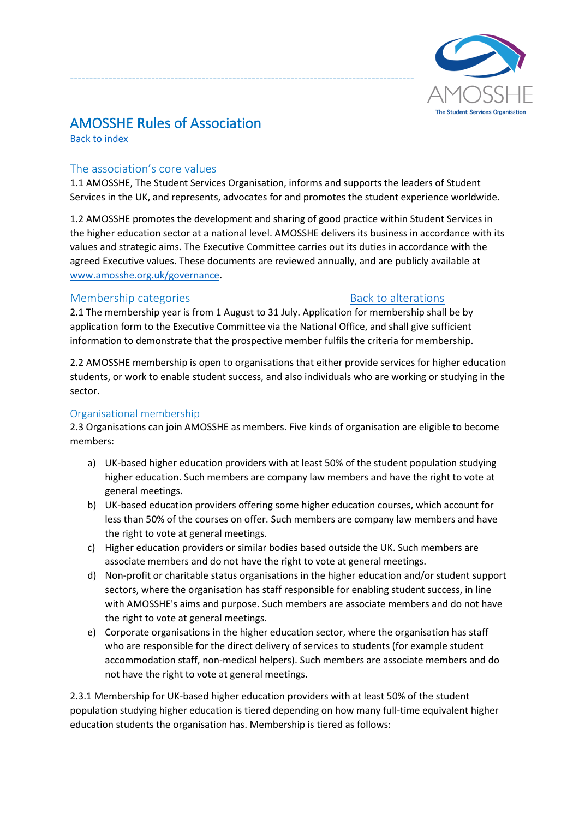

# AMOSSHE Rules of Association

<span id="page-40-0"></span>[Back to index](#page-3-5)

## The association's core values

1.1 AMOSSHE, The Student Services Organisation, informs and supports the leaders of Student Services in the UK, and represents, advocates for and promotes the student experience worldwide.

-----------------------------------------------------------------------------------------

1.2 AMOSSHE promotes the development and sharing of good practice within Student Services in the higher education sector at a national level. AMOSSHE delivers its business in accordance with its values and strategic aims. The Executive Committee carries out its duties in accordance with the agreed Executive values. These documents are reviewed annually, and are publicly available at [www.amosshe.org.uk/governance.](http://www.amosshe.org.uk/governance)

## <span id="page-40-1"></span>Membership categories **[Back to alterations](#page-16-2)** Back to alterations

2.1 The membership year is from 1 August to 31 July. Application for membership shall be by application form to the Executive Committee via the National Office, and shall give sufficient information to demonstrate that the prospective member fulfils the criteria for membership.

2.2 AMOSSHE membership is open to organisations that either provide services for higher education students, or work to enable student success, and also individuals who are working or studying in the sector.

## Organisational membership

2.3 Organisations can join AMOSSHE as members. Five kinds of organisation are eligible to become members:

- a) UK-based higher education providers with at least 50% of the student population studying higher education. Such members are company law members and have the right to vote at general meetings.
- b) UK-based education providers offering some higher education courses, which account for less than 50% of the courses on offer. Such members are company law members and have the right to vote at general meetings.
- c) Higher education providers or similar bodies based outside the UK. Such members are associate members and do not have the right to vote at general meetings.
- d) Non-profit or charitable status organisations in the higher education and/or student support sectors, where the organisation has staff responsible for enabling student success, in line with AMOSSHE's aims and purpose. Such members are associate members and do not have the right to vote at general meetings.
- e) Corporate organisations in the higher education sector, where the organisation has staff who are responsible for the direct delivery of services to students (for example student accommodation staff, non-medical helpers). Such members are associate members and do not have the right to vote at general meetings.

2.3.1 Membership for UK-based higher education providers with at least 50% of the student population studying higher education is tiered depending on how many full-time equivalent higher education students the organisation has. Membership is tiered as follows: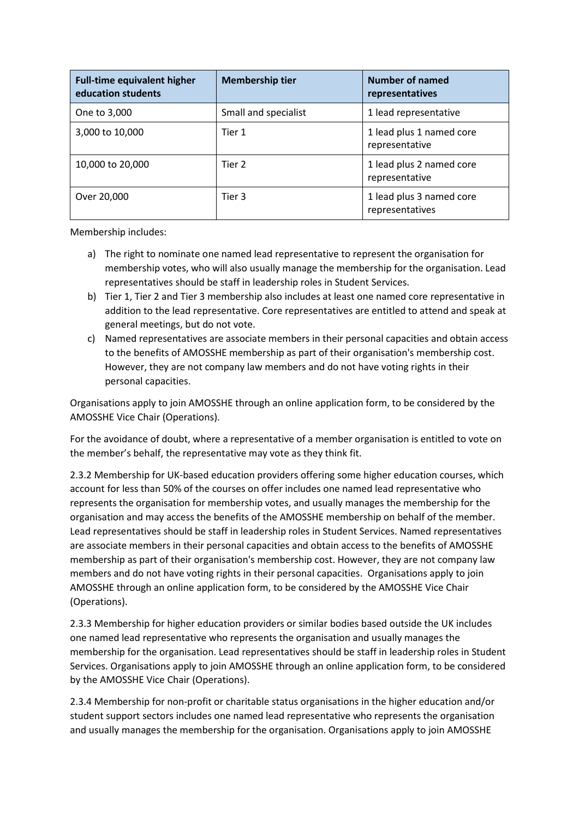| <b>Full-time equivalent higher</b><br>education students | <b>Membership tier</b> | Number of named<br>representatives          |
|----------------------------------------------------------|------------------------|---------------------------------------------|
| One to 3,000                                             | Small and specialist   | 1 lead representative                       |
| 3,000 to 10,000                                          | Tier 1                 | 1 lead plus 1 named core<br>representative  |
| 10,000 to 20,000                                         | Tier 2                 | 1 lead plus 2 named core<br>representative  |
| Over 20,000                                              | Tier 3                 | 1 lead plus 3 named core<br>representatives |

Membership includes:

- a) The right to nominate one named lead representative to represent the organisation for membership votes, who will also usually manage the membership for the organisation. Lead representatives should be staff in leadership roles in Student Services.
- b) Tier 1, Tier 2 and Tier 3 membership also includes at least one named core representative in addition to the lead representative. Core representatives are entitled to attend and speak at general meetings, but do not vote.
- c) Named representatives are associate members in their personal capacities and obtain access to the benefits of AMOSSHE membership as part of their organisation's membership cost. However, they are not company law members and do not have voting rights in their personal capacities.

Organisations apply to join AMOSSHE through an online application form, to be considered by the AMOSSHE Vice Chair (Operations).

For the avoidance of doubt, where a representative of a member organisation is entitled to vote on the member's behalf, the representative may vote as they think fit.

2.3.2 Membership for UK-based education providers offering some higher education courses, which account for less than 50% of the courses on offer includes one named lead representative who represents the organisation for membership votes, and usually manages the membership for the organisation and may access the benefits of the AMOSSHE membership on behalf of the member. Lead representatives should be staff in leadership roles in Student Services. Named representatives are associate members in their personal capacities and obtain access to the benefits of AMOSSHE membership as part of their organisation's membership cost. However, they are not company law members and do not have voting rights in their personal capacities. Organisations apply to join AMOSSHE through an online application form, to be considered by the AMOSSHE Vice Chair (Operations).

2.3.3 Membership for higher education providers or similar bodies based outside the UK includes one named lead representative who represents the organisation and usually manages the membership for the organisation. Lead representatives should be staff in leadership roles in Student Services. Organisations apply to join AMOSSHE through an online application form, to be considered by the AMOSSHE Vice Chair (Operations).

2.3.4 Membership for non-profit or charitable status organisations in the higher education and/or student support sectors includes one named lead representative who represents the organisation and usually manages the membership for the organisation. Organisations apply to join AMOSSHE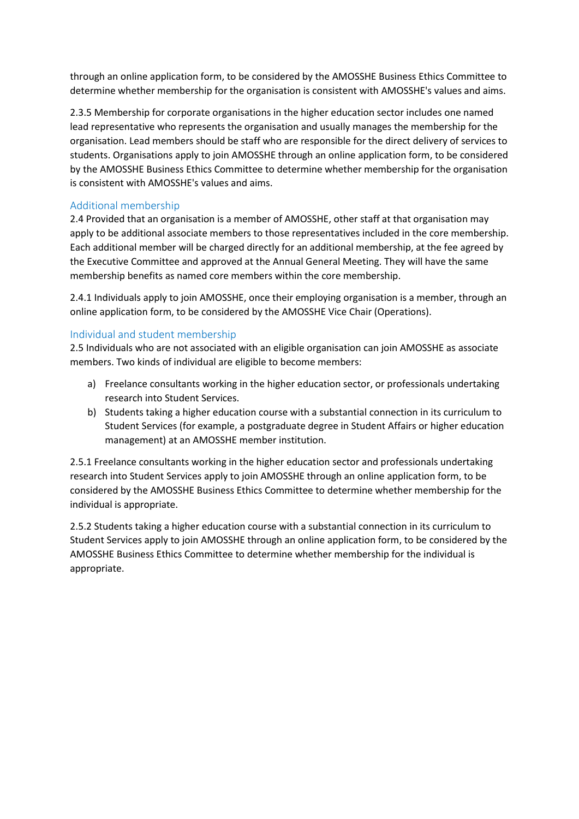through an online application form, to be considered by the AMOSSHE Business Ethics Committee to determine whether membership for the organisation is consistent with AMOSSHE's values and aims.

2.3.5 Membership for corporate organisations in the higher education sector includes one named lead representative who represents the organisation and usually manages the membership for the organisation. Lead members should be staff who are responsible for the direct delivery of services to students. Organisations apply to join AMOSSHE through an online application form, to be considered by the AMOSSHE Business Ethics Committee to determine whether membership for the organisation is consistent with AMOSSHE's values and aims.

## Additional membership

2.4 Provided that an organisation is a member of AMOSSHE, other staff at that organisation may apply to be additional associate members to those representatives included in the core membership. Each additional member will be charged directly for an additional membership, at the fee agreed by the Executive Committee and approved at the Annual General Meeting. They will have the same membership benefits as named core members within the core membership.

2.4.1 Individuals apply to join AMOSSHE, once their employing organisation is a member, through an online application form, to be considered by the AMOSSHE Vice Chair (Operations).

# Individual and student membership

2.5 Individuals who are not associated with an eligible organisation can join AMOSSHE as associate members. Two kinds of individual are eligible to become members:

- a) Freelance consultants working in the higher education sector, or professionals undertaking research into Student Services.
- b) Students taking a higher education course with a substantial connection in its curriculum to Student Services (for example, a postgraduate degree in Student Affairs or higher education management) at an AMOSSHE member institution.

2.5.1 Freelance consultants working in the higher education sector and professionals undertaking research into Student Services apply to join AMOSSHE through an online application form, to be considered by the AMOSSHE Business Ethics Committee to determine whether membership for the individual is appropriate.

2.5.2 Students taking a higher education course with a substantial connection in its curriculum to Student Services apply to join AMOSSHE through an online application form, to be considered by the AMOSSHE Business Ethics Committee to determine whether membership for the individual is appropriate.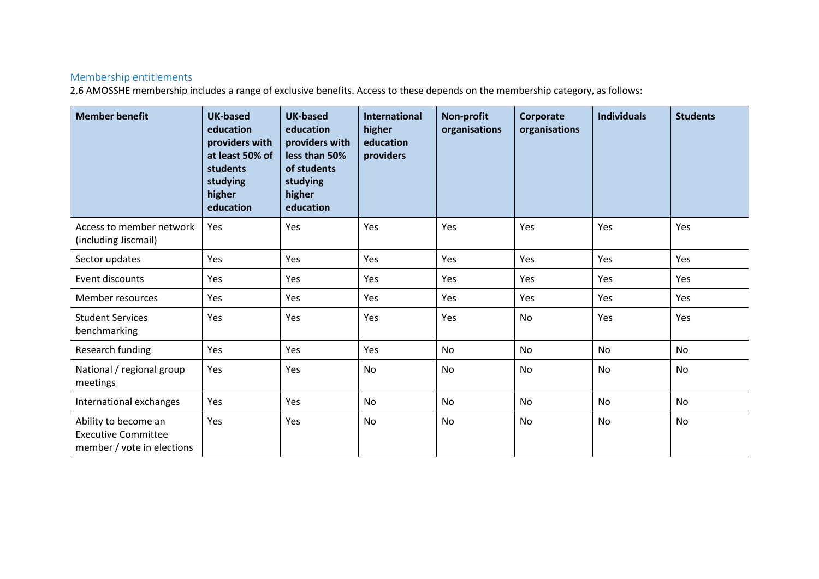# Membership entitlements

2.6 AMOSSHE membership includes a range of exclusive benefits. Access to these depends on the membership category, as follows:

| <b>Member benefit</b>                                                            | <b>UK-based</b><br>education<br>providers with<br>at least 50% of<br>students<br>studying<br>higher<br>education | <b>UK-based</b><br>education<br>providers with<br>less than 50%<br>of students<br>studying<br>higher<br>education | <b>International</b><br>higher<br>education<br>providers | <b>Non-profit</b><br>organisations | Corporate<br>organisations | <b>Individuals</b> | <b>Students</b> |
|----------------------------------------------------------------------------------|------------------------------------------------------------------------------------------------------------------|-------------------------------------------------------------------------------------------------------------------|----------------------------------------------------------|------------------------------------|----------------------------|--------------------|-----------------|
| Access to member network<br>(including Jiscmail)                                 | Yes                                                                                                              | Yes                                                                                                               | Yes                                                      | Yes                                | Yes                        | Yes                | Yes             |
| Sector updates                                                                   | Yes                                                                                                              | Yes                                                                                                               | Yes                                                      | Yes                                | Yes                        | Yes                | Yes             |
| Event discounts                                                                  | Yes                                                                                                              | Yes                                                                                                               | Yes                                                      | Yes                                | Yes                        | Yes                | Yes             |
| Member resources                                                                 | Yes                                                                                                              | Yes                                                                                                               | Yes                                                      | Yes                                | Yes                        | Yes                | Yes             |
| <b>Student Services</b><br>benchmarking                                          | Yes                                                                                                              | Yes                                                                                                               | Yes                                                      | Yes                                | <b>No</b>                  | Yes                | Yes             |
| Research funding                                                                 | Yes                                                                                                              | Yes                                                                                                               | Yes                                                      | <b>No</b>                          | <b>No</b>                  | <b>No</b>          | <b>No</b>       |
| National / regional group<br>meetings                                            | Yes                                                                                                              | Yes                                                                                                               | No                                                       | <b>No</b>                          | No                         | No                 | No              |
| International exchanges                                                          | Yes                                                                                                              | Yes                                                                                                               | No                                                       | <b>No</b>                          | <b>No</b>                  | No                 | <b>No</b>       |
| Ability to become an<br><b>Executive Committee</b><br>member / vote in elections | Yes                                                                                                              | Yes                                                                                                               | No                                                       | <b>No</b>                          | No                         | No                 | <b>No</b>       |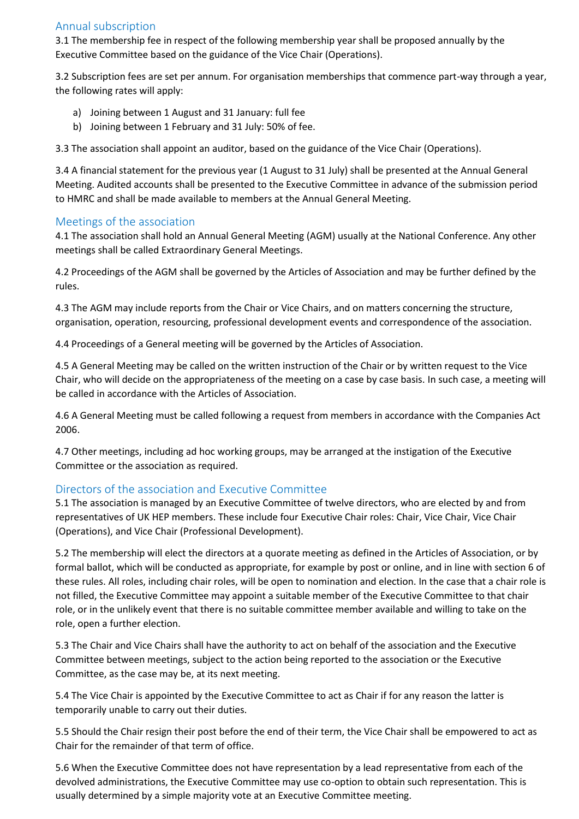# Annual subscription

3.1 The membership fee in respect of the following membership year shall be proposed annually by the Executive Committee based on the guidance of the Vice Chair (Operations).

3.2 Subscription fees are set per annum. For organisation memberships that commence part-way through a year, the following rates will apply:

- a) Joining between 1 August and 31 January: full fee
- b) Joining between 1 February and 31 July: 50% of fee.

3.3 The association shall appoint an auditor, based on the guidance of the Vice Chair (Operations).

3.4 A financial statement for the previous year (1 August to 31 July) shall be presented at the Annual General Meeting. Audited accounts shall be presented to the Executive Committee in advance of the submission period to HMRC and shall be made available to members at the Annual General Meeting.

## Meetings of the association

4.1 The association shall hold an Annual General Meeting (AGM) usually at the National Conference. Any other meetings shall be called Extraordinary General Meetings.

4.2 Proceedings of the AGM shall be governed by the Articles of Association and may be further defined by the rules.

4.3 The AGM may include reports from the Chair or Vice Chairs, and on matters concerning the structure, organisation, operation, resourcing, professional development events and correspondence of the association.

4.4 Proceedings of a General meeting will be governed by the Articles of Association.

4.5 A General Meeting may be called on the written instruction of the Chair or by written request to the Vice Chair, who will decide on the appropriateness of the meeting on a case by case basis. In such case, a meeting will be called in accordance with the Articles of Association.

4.6 A General Meeting must be called following a request from members in accordance with the Companies Act 2006.

4.7 Other meetings, including ad hoc working groups, may be arranged at the instigation of the Executive Committee or the association as required.

# Directors of the association and Executive Committee

5.1 The association is managed by an Executive Committee of twelve directors, who are elected by and from representatives of UK HEP members. These include four Executive Chair roles: Chair, Vice Chair, Vice Chair (Operations), and Vice Chair (Professional Development).

5.2 The membership will elect the directors at a quorate meeting as defined in the Articles of Association, or by formal ballot, which will be conducted as appropriate, for example by post or online, and in line with section 6 of these rules. All roles, including chair roles, will be open to nomination and election. In the case that a chair role is not filled, the Executive Committee may appoint a suitable member of the Executive Committee to that chair role, or in the unlikely event that there is no suitable committee member available and willing to take on the role, open a further election.

5.3 The Chair and Vice Chairs shall have the authority to act on behalf of the association and the Executive Committee between meetings, subject to the action being reported to the association or the Executive Committee, as the case may be, at its next meeting.

5.4 The Vice Chair is appointed by the Executive Committee to act as Chair if for any reason the latter is temporarily unable to carry out their duties.

5.5 Should the Chair resign their post before the end of their term, the Vice Chair shall be empowered to act as Chair for the remainder of that term of office.

5.6 When the Executive Committee does not have representation by a lead representative from each of the devolved administrations, the Executive Committee may use co-option to obtain such representation. This is usually determined by a simple majority vote at an Executive Committee meeting.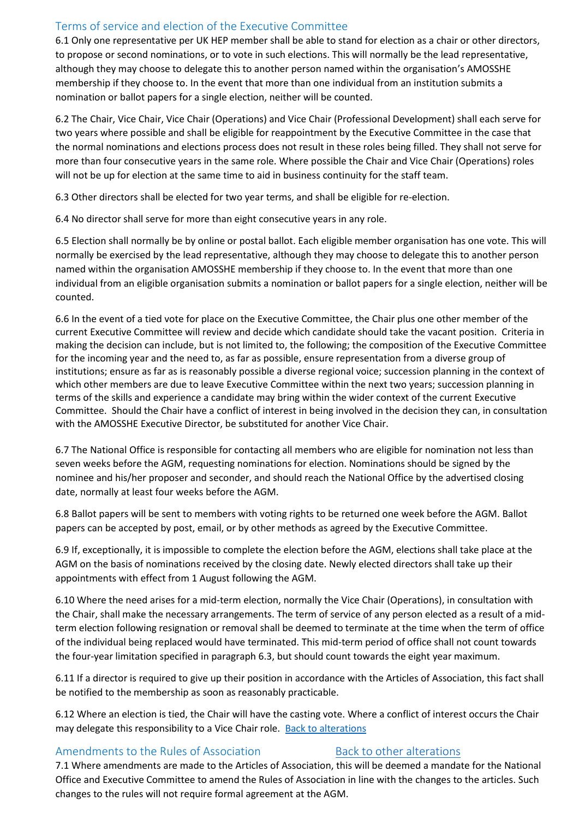# Terms of service and election of the Executive Committee

6.1 Only one representative per UK HEP member shall be able to stand for election as a chair or other directors, to propose or second nominations, or to vote in such elections. This will normally be the lead representative, although they may choose to delegate this to another person named within the organisation's AMOSSHE membership if they choose to. In the event that more than one individual from an institution submits a nomination or ballot papers for a single election, neither will be counted.

6.2 The Chair, Vice Chair, Vice Chair (Operations) and Vice Chair (Professional Development) shall each serve for two years where possible and shall be eligible for reappointment by the Executive Committee in the case that the normal nominations and elections process does not result in these roles being filled. They shall not serve for more than four consecutive years in the same role. Where possible the Chair and Vice Chair (Operations) roles will not be up for election at the same time to aid in business continuity for the staff team.

6.3 Other directors shall be elected for two year terms, and shall be eligible for re-election.

6.4 No director shall serve for more than eight consecutive years in any role.

6.5 Election shall normally be by online or postal ballot. Each eligible member organisation has one vote. This will normally be exercised by the lead representative, although they may choose to delegate this to another person named within the organisation AMOSSHE membership if they choose to. In the event that more than one individual from an eligible organisation submits a nomination or ballot papers for a single election, neither will be counted.

6.6 In the event of a tied vote for place on the Executive Committee, the Chair plus one other member of the current Executive Committee will review and decide which candidate should take the vacant position. Criteria in making the decision can include, but is not limited to, the following; the composition of the Executive Committee for the incoming year and the need to, as far as possible, ensure representation from a diverse group of institutions; ensure as far as is reasonably possible a diverse regional voice; succession planning in the context of which other members are due to leave Executive Committee within the next two years; succession planning in terms of the skills and experience a candidate may bring within the wider context of the current Executive Committee. Should the Chair have a conflict of interest in being involved in the decision they can, in consultation with the AMOSSHE Executive Director, be substituted for another Vice Chair.

6.7 The National Office is responsible for contacting all members who are eligible for nomination not less than seven weeks before the AGM, requesting nominations for election. Nominations should be signed by the nominee and his/her proposer and seconder, and should reach the National Office by the advertised closing date, normally at least four weeks before the AGM.

6.8 Ballot papers will be sent to members with voting rights to be returned one week before the AGM. Ballot papers can be accepted by post, email, or by other methods as agreed by the Executive Committee.

6.9 If, exceptionally, it is impossible to complete the election before the AGM, elections shall take place at the AGM on the basis of nominations received by the closing date. Newly elected directors shall take up their appointments with effect from 1 August following the AGM.

6.10 Where the need arises for a mid-term election, normally the Vice Chair (Operations), in consultation with the Chair, shall make the necessary arrangements. The term of service of any person elected as a result of a midterm election following resignation or removal shall be deemed to terminate at the time when the term of office of the individual being replaced would have terminated. This mid-term period of office shall not count towards the four-year limitation specified in paragraph 6.3, but should count towards the eight year maximum.

6.11 If a director is required to give up their position in accordance with the Articles of Association, this fact shall be notified to the membership as soon as reasonably practicable.

<span id="page-45-1"></span>6.12 Where an election is tied, the Chair will have the casting vote. Where a conflict of interest occurs the Chair may delegate this responsibility to a Vice Chair role. [Back to alterations](#page-16-1)

## <span id="page-45-0"></span>Amendments to the Rules of Association [Back to other alterations](#page-16-1)

7.1 Where amendments are made to the Articles of Association, this will be deemed a mandate for the National Office and Executive Committee to amend the Rules of Association in line with the changes to the articles. Such changes to the rules will not require formal agreement at the AGM.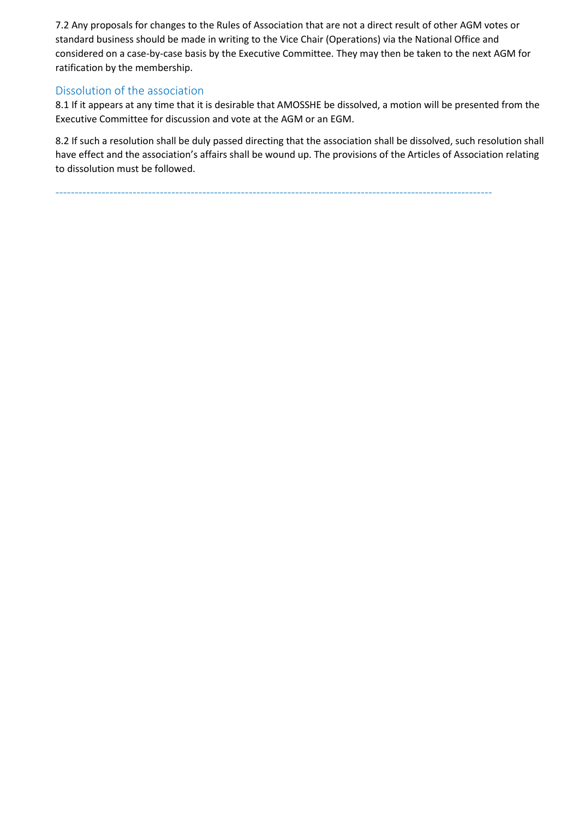7.2 Any proposals for changes to the Rules of Association that are not a direct result of other AGM votes or standard business should be made in writing to the Vice Chair (Operations) via the National Office and considered on a case-by-case basis by the Executive Committee. They may then be taken to the next AGM for ratification by the membership.

## Dissolution of the association

8.1 If it appears at any time that it is desirable that AMOSSHE be dissolved, a motion will be presented from the Executive Committee for discussion and vote at the AGM or an EGM.

8.2 If such a resolution shall be duly passed directing that the association shall be dissolved, such resolution shall have effect and the association's affairs shall be wound up. The provisions of the Articles of Association relating to dissolution must be followed.

-----------------------------------------------------------------------------------------------------------------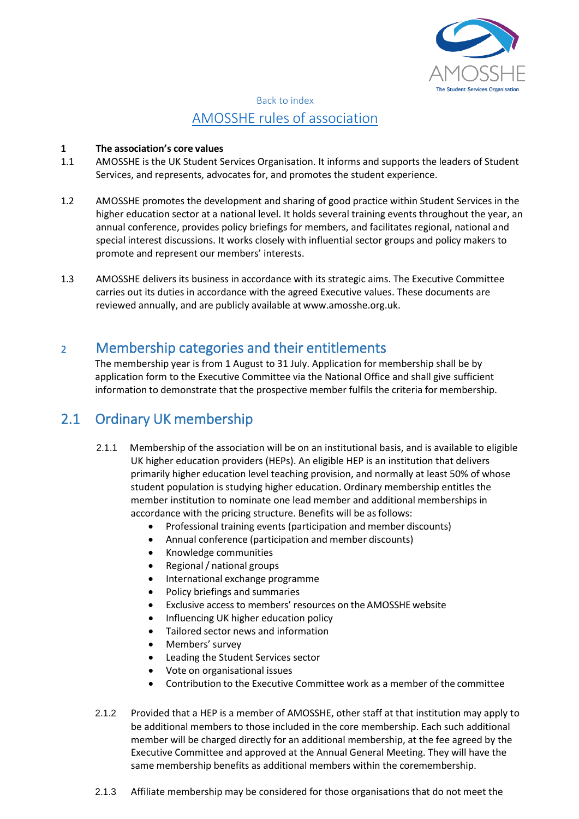

# Back to index AMOSSHE rules of [association](#page-3-1)

## <span id="page-47-0"></span>**1 The association's core values**

- 1.1 AMOSSHE is the UK Student Services Organisation. It informs and supports the leaders of Student Services, and represents, advocates for, and promotes the student experience.
- 1.2 AMOSSHE promotes the development and sharing of good practice within Student Services in the higher education sector at a national level. It holds several training events throughout the year, an annual conference, provides policy briefings for members, and facilitates regional, national and special interest discussions. It works closely with influential sector groups and policy makers to promote and represent our members' interests.
- 1.3 AMOSSHE delivers its business in accordance with its strategic aims. The Executive Committee carries out its duties in accordance with the agreed Executive values. These documents are reviewed annually, and are publicly available at [www.amosshe.org.uk.](http://www.amosshe.org.uk/)

# <sup>2</sup> Membership categories and their entitlements

The membership year is from 1 August to 31 July. Application for membership shall be by application form to the Executive Committee via the National Office and shall give sufficient information to demonstrate that the prospective member fulfils the criteria for membership.

# 2.1 Ordinary UK membership

- 2.1.1 Membership of the association will be on an institutional basis, and is available to eligible UK higher education providers (HEPs). An eligible HEP is an institution that delivers primarily higher education level teaching provision, and normally at least 50% of whose student population is studying higher education. Ordinary membership entitles the member institution to nominate one lead member and additional memberships in accordance with the pricing structure. Benefits will be as follows:
	- Professional training events (participation and member discounts)
	- Annual conference (participation and member discounts)
	- Knowledge communities
	- Regional/ national groups
	- International exchange programme
	- Policy briefings and summaries
	- Exclusive access to members' resources on the AMOSSHE website
	- Influencing UK higher education policy
	- Tailored sector news and information
	- Members' survey
	- Leading the Student Services sector
	- Vote on organisational issues
	- Contribution to the Executive Committee work as a member of the committee
- 2.1.2 Provided that a HEP is a member of AMOSSHE, other staff at that institution may apply to be additional members to those included in the core membership. Each such additional member will be charged directly for an additional membership, at the fee agreed by the Executive Committee and approved at the Annual General Meeting. They will have the same membership benefits as additional members within the coremembership.
- 2.1.3 Affiliate membership may be considered for those organisations that do not meet the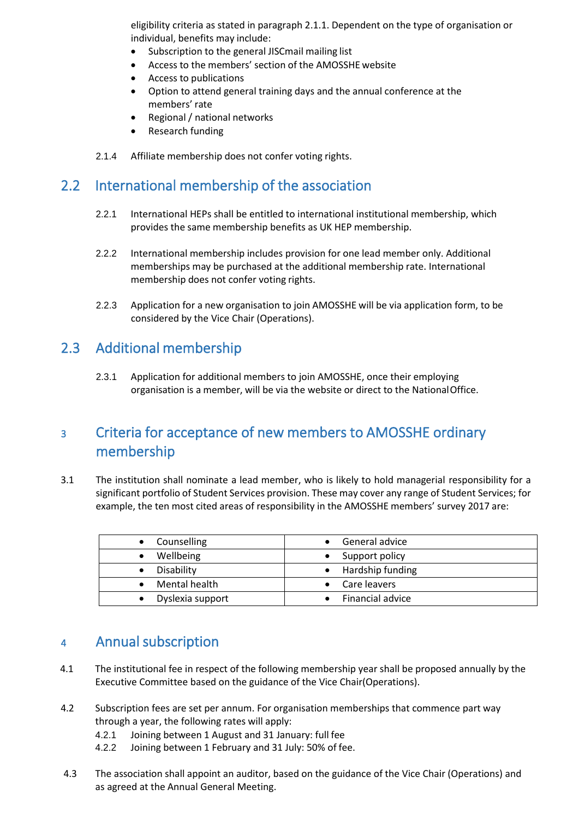eligibility criteria as stated in paragraph 2.1.1. Dependent on the type of organisation or individual, benefits may include:

- Subscription to the general JISCmail mailing list
- Access to the members' section of the AMOSSHE website
- Access to publications
- Option to attend general training days and the annual conference at the members' rate
- Regional / national networks
- Research funding
- 2.1.4 Affiliate membership does not confer voting rights.

# 2.2 International membership of the association

- 2.2.1 International HEPs shall be entitled to international institutional membership, which provides the same membership benefits as UK HEP membership.
- 2.2.2 International membership includes provision for one lead member only. Additional memberships may be purchased at the additional membership rate. International membership does not confer voting rights.
- 2.2.3 Application for a new organisation to join AMOSSHE will be via application form, to be considered by the Vice Chair (Operations).

# 2.3 Additional membership

2.3.1 Application for additional members to join AMOSSHE, once their employing organisation is a member, will be via the website or direct to the NationalOffice.

# <sup>3</sup> Criteria for acceptance of new members to AMOSSHE ordinary membership

3.1 The institution shall nominate a lead member, who is likely to hold managerial responsibility for a significant portfolio of Student Services provision. These may cover any range of Student Services; for example, the ten most cited areas of responsibility in the AMOSSHE members' survey 2017 are:

| • Counselling    | General advice     |
|------------------|--------------------|
| Wellbeing        | Support policy     |
| Disability       | • Hardship funding |
| Mental health    | • Care leavers     |
| Dyslexia support | Financial advice   |

# <sup>4</sup> Annual subscription

- 4.1 The institutional fee in respect of the following membership year shall be proposed annually by the Executive Committee based on the guidance of the Vice Chair(Operations).
- 4.2 Subscription fees are set per annum. For organisation memberships that commence part way through a year, the following rates will apply:
	- 4.2.1 Joining between 1 August and 31 January: full fee
	- 4.2.2 Joining between 1 February and 31 July: 50% of fee.
- 4.3 The association shall appoint an auditor, based on the guidance of the Vice Chair (Operations) and as agreed at the Annual General Meeting.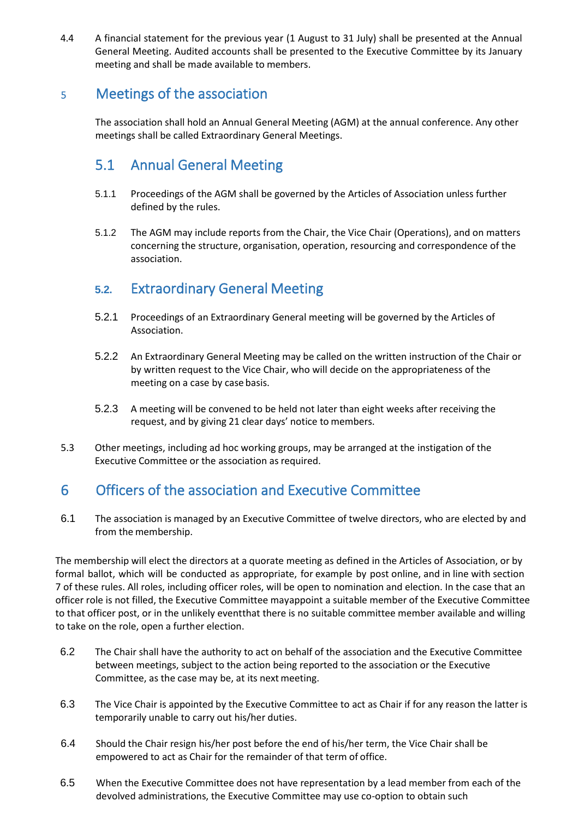4.4 A financial statement for the previous year (1 August to 31 July) shall be presented at the Annual General Meeting. Audited accounts shall be presented to the Executive Committee by its January meeting and shall be made available to members.

# <sup>5</sup> Meetings of the association

The association shall hold an Annual General Meeting (AGM) at the annual conference. Any other meetings shall be called Extraordinary General Meetings.

# 5.1 Annual General Meeting

- 5.1.1 Proceedings of the AGM shall be governed by the Articles of Association unless further defined by the rules.
- 5.1.2 The AGM may include reports from the Chair, the Vice Chair (Operations), and on matters concerning the structure, organisation, operation, resourcing and correspondence of the association.

# **5.2.** Extraordinary General Meeting

- 5.2.1 Proceedings of an Extraordinary General meeting will be governed by the Articles of Association.
- 5.2.2 An Extraordinary General Meeting may be called on the written instruction of the Chair or by written request to the Vice Chair, who will decide on the appropriateness of the meeting on a case by case basis.
- 5.2.3 A meeting will be convened to be held not later than eight weeks after receiving the request, and by giving 21 clear days' notice to members.
- 5.3 Other meetings, including ad hoc working groups, may be arranged at the instigation of the Executive Committee or the association as required.

# 6 Officers of the association and Executive Committee

6.1 The association is managed by an Executive Committee of twelve directors, who are elected by and from the membership.

The membership will elect the directors at a quorate meeting as defined in the Articles of Association, or by formal ballot, which will be conducted as appropriate, for example by post online, and in line with section 7 of these rules. All roles, including officer roles, will be open to nomination and election. In the case that an officer role is not filled, the Executive Committee mayappoint a suitable member of the Executive Committee to that officer post, or in the unlikely eventthat there is no suitable committee member available and willing to take on the role, open a further election.

- 6.2 The Chair shall have the authority to act on behalf of the association and the Executive Committee between meetings, subject to the action being reported to the association or the Executive Committee, as the case may be, at its next meeting.
- 6.3 The Vice Chair is appointed by the Executive Committee to act as Chair if for any reason the latter is temporarily unable to carry out his/her duties.
- 6.4 Should the Chair resign his/her post before the end of his/her term, the Vice Chair shall be empowered to act as Chair for the remainder of that term of office.
- 6.5 When the Executive Committee does not have representation by a lead member from each of the devolved administrations, the Executive Committee may use co-option to obtain such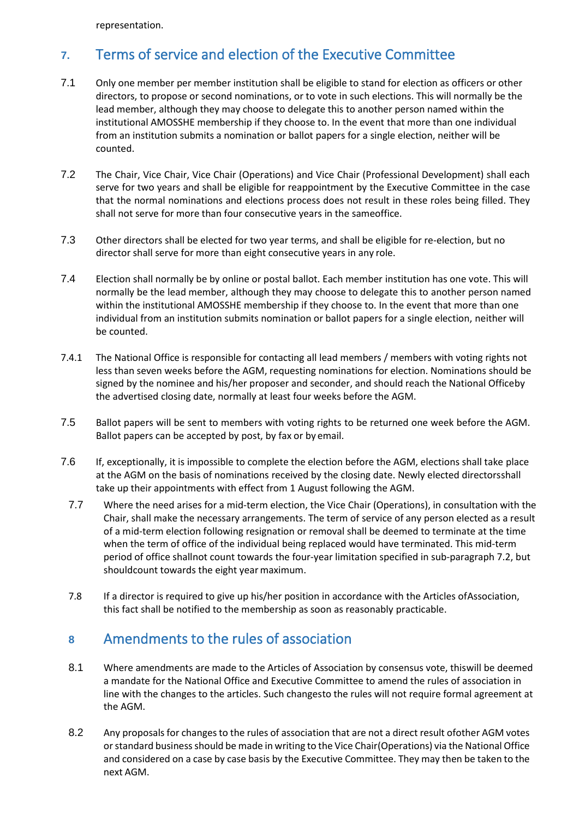representation.

# **7.** Terms of service and election of the Executive Committee

- 7.1 Only one member per member institution shall be eligible to stand for election as officers or other directors, to propose or second nominations, or to vote in such elections. This will normally be the lead member, although they may choose to delegate this to another person named within the institutional AMOSSHE membership if they choose to. In the event that more than one individual from an institution submits a nomination or ballot papers for a single election, neither will be counted.
- 7.2 The Chair, Vice Chair, Vice Chair (Operations) and Vice Chair (Professional Development) shall each serve for two years and shall be eligible for reappointment by the Executive Committee in the case that the normal nominations and elections process does not result in these roles being filled. They shall not serve for more than four consecutive years in the sameoffice.
- 7.3 Other directors shall be elected for two year terms, and shall be eligible for re-election, but no director shall serve for more than eight consecutive years in any role.
- 7.4 Election shall normally be by online or postal ballot. Each member institution has one vote. This will normally be the lead member, although they may choose to delegate this to another person named within the institutional AMOSSHE membership if they choose to. In the event that more than one individual from an institution submits nomination or ballot papers for a single election, neither will be counted.
- 7.4.1 The National Office is responsible for contacting all lead members / members with voting rights not less than seven weeks before the AGM, requesting nominations for election. Nominations should be signed by the nominee and his/her proposer and seconder, and should reach the National Officeby the advertised closing date, normally at least four weeks before the AGM.
- 7.5 Ballot papers will be sent to members with voting rights to be returned one week before the AGM. Ballot papers can be accepted by post, by fax or by email.
- 7.6 If, exceptionally, it is impossible to complete the election before the AGM, elections shall take place at the AGM on the basis of nominations received by the closing date. Newly elected directorsshall take up their appointments with effect from 1 August following the AGM.
	- 7.7 Where the need arises for a mid-term election, the Vice Chair (Operations), in consultation with the Chair, shall make the necessary arrangements. The term of service of any person elected as a result of a mid-term election following resignation or removal shall be deemed to terminate at the time when the term of office of the individual being replaced would have terminated. This mid-term period of office shallnot count towards the four-year limitation specified in sub-paragraph 7.2, but shouldcount towards the eight year maximum.
	- 7.8 If a director is required to give up his/her position in accordance with the Articles ofAssociation, this fact shall be notified to the membership as soon as reasonably practicable.

# **<sup>8</sup>** Amendments to the rules of association

- 8.1 Where amendments are made to the Articles of Association by consensus vote, thiswill be deemed a mandate for the National Office and Executive Committee to amend the rules of association in line with the changes to the articles. Such changesto the rules will not require formal agreement at the AGM.
- 8.2 Any proposals for changes to the rules of association that are not a direct result ofother AGM votes or standard business should be made in writing to the Vice Chair(Operations) via the National Office and considered on a case by case basis by the Executive Committee. They may then be taken to the next AGM.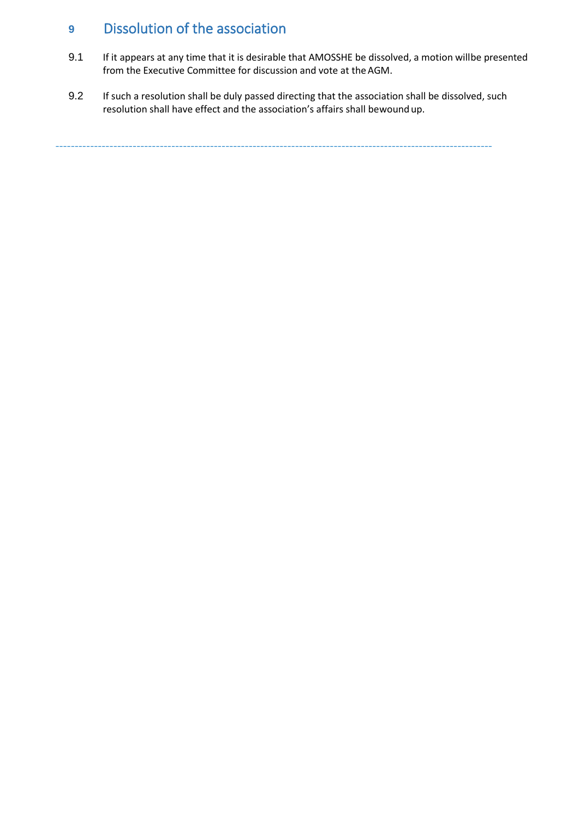# **<sup>9</sup>** Dissolution of the association

- 9.1 If it appears at any time that it is desirable that AMOSSHE be dissolved, a motion willbe presented from the Executive Committee for discussion and vote at the AGM.
- 9.2 If such a resolution shall be duly passed directing that the association shall be dissolved, such resolution shall have effect and the association's affairs shall bewound up.

-----------------------------------------------------------------------------------------------------------------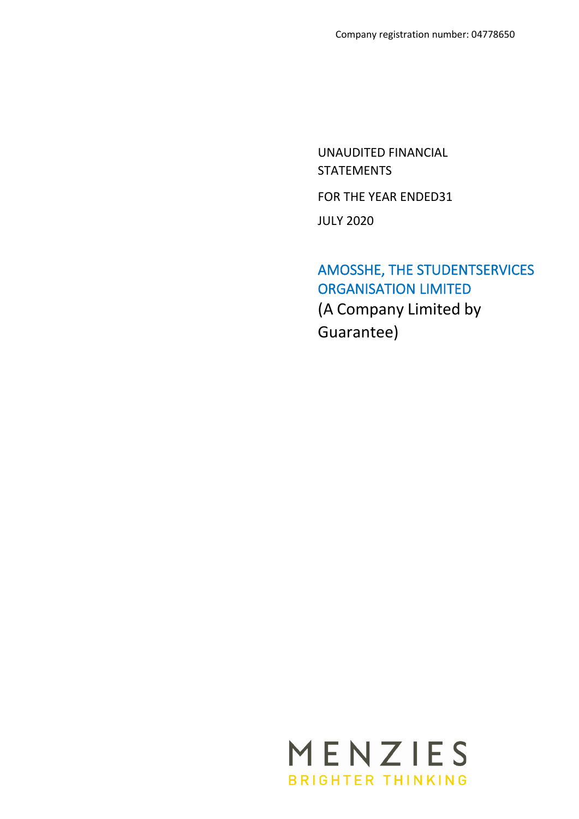UNAUDITED FINANCIAL STATEMENTS FOR THE YEAR ENDED31 JULY 2020

<span id="page-52-0"></span>AMOSSHE, THE STUDENTSERVICES ORGANISATION LIMITED (A Company Limited by Guarantee)

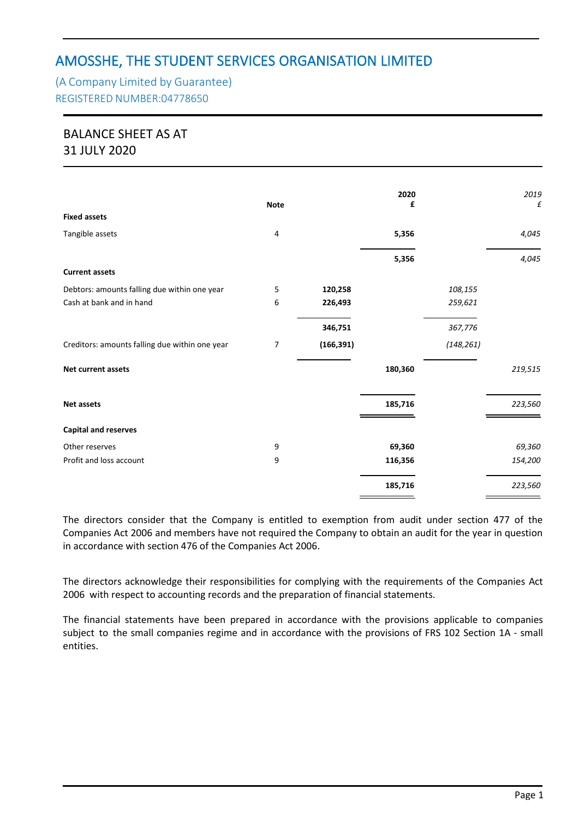# (A Company Limited by Guarantee) REGISTERED NUMBER:04778650

# BALANCE SHEET AS AT 31 JULY 2020

|                                                | <b>Note</b> |            | 2020<br>£ |            | 2019<br>£ |
|------------------------------------------------|-------------|------------|-----------|------------|-----------|
| <b>Fixed assets</b>                            |             |            |           |            |           |
| Tangible assets                                | 4           |            | 5,356     |            | 4,045     |
|                                                |             |            | 5,356     |            | 4,045     |
| <b>Current assets</b>                          |             |            |           |            |           |
| Debtors: amounts falling due within one year   | 5           | 120,258    |           | 108,155    |           |
| Cash at bank and in hand                       | 6           | 226,493    |           | 259,621    |           |
|                                                |             | 346,751    |           | 367,776    |           |
| Creditors: amounts falling due within one year | 7           | (166, 391) |           | (148, 261) |           |
| <b>Net current assets</b>                      |             |            | 180,360   |            | 219,515   |
| <b>Net assets</b>                              |             |            | 185,716   |            | 223,560   |
| <b>Capital and reserves</b>                    |             |            |           |            |           |
| Other reserves                                 | 9           |            | 69,360    |            | 69,360    |
| Profit and loss account                        | 9           |            | 116,356   |            | 154,200   |
|                                                |             |            | 185,716   |            | 223,560   |

The directors consider that the Company is entitled to exemption from audit under section 477 of the Companies Act 2006 and members have not required the Company to obtain an audit for the year in question in accordance with section 476 of the Companies Act 2006.

The directors acknowledge their responsibilities for complying with the requirements of the Companies Act 2006 with respect to accounting records and the preparation of financial statements.

The financial statements have been prepared in accordance with the provisions applicable to companies subject to the small companies regime and in accordance with the provisions of FRS 102 Section 1A - small entities.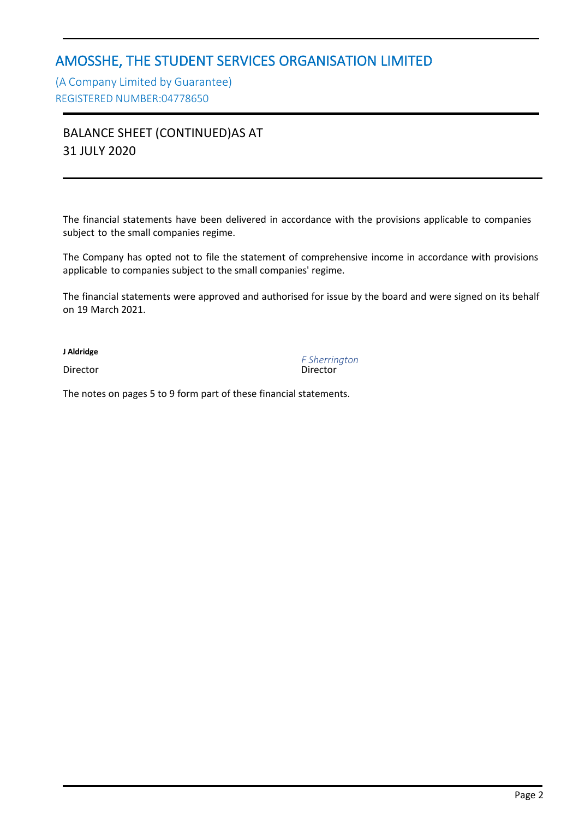(A Company Limited by Guarantee) REGISTERED NUMBER:04778650

BALANCE SHEET (CONTINUED)AS AT 31 JULY 2020

The financial statements have been delivered in accordance with the provisions applicable to companies subject to the small companies regime.

The Company has opted not to file the statement of comprehensive income in accordance with provisions applicable to companies subject to the small companies' regime.

The financial statements were approved and authorised for issue by the board and were signed on its behalf on 19 March 2021.

**J Aldridge**

Director

*F Sherrington*

The notes on pages 5 to 9 form part of these financial statements.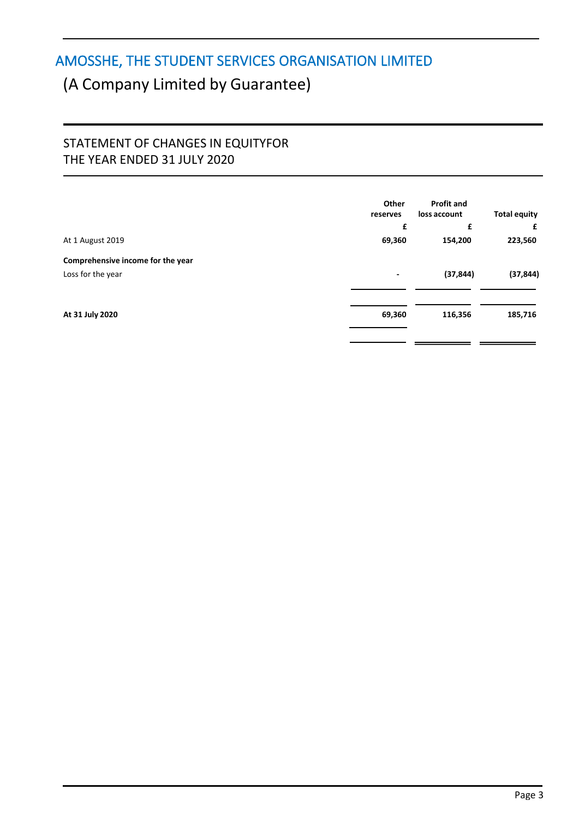# (A Company Limited by Guarantee)

# STATEMENT OF CHANGES IN EQUITYFOR THE YEAR ENDED 31 JULY 2020

|                                   | Other<br>reserves        | <b>Profit and</b><br>loss account | <b>Total equity</b> |
|-----------------------------------|--------------------------|-----------------------------------|---------------------|
|                                   | £                        | £                                 | £                   |
| At 1 August 2019                  | 69,360                   | 154,200                           | 223,560             |
| Comprehensive income for the year |                          |                                   |                     |
| Loss for the year                 | $\overline{\phantom{a}}$ | (37, 844)                         | (37, 844)           |
| At 31 July 2020                   | 69,360                   | 116,356                           | 185,716             |
|                                   |                          |                                   |                     |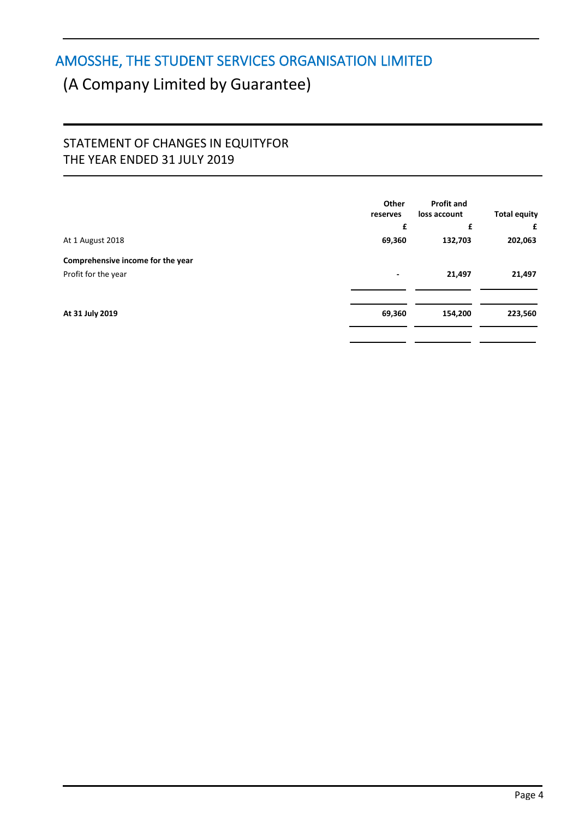# (A Company Limited by Guarantee)

# STATEMENT OF CHANGES IN EQUITYFOR THE YEAR ENDED 31 JULY 2019

|                                                          | Other<br>reserves<br>£ | <b>Profit and</b><br>loss account<br>£ | <b>Total equity</b><br>£ |
|----------------------------------------------------------|------------------------|----------------------------------------|--------------------------|
| At 1 August 2018                                         | 69,360                 | 132,703                                | 202,063                  |
| Comprehensive income for the year<br>Profit for the year | ٠                      | 21,497                                 | 21,497                   |
| At 31 July 2019                                          | 69,360                 | 154,200                                | 223,560                  |
|                                                          |                        |                                        |                          |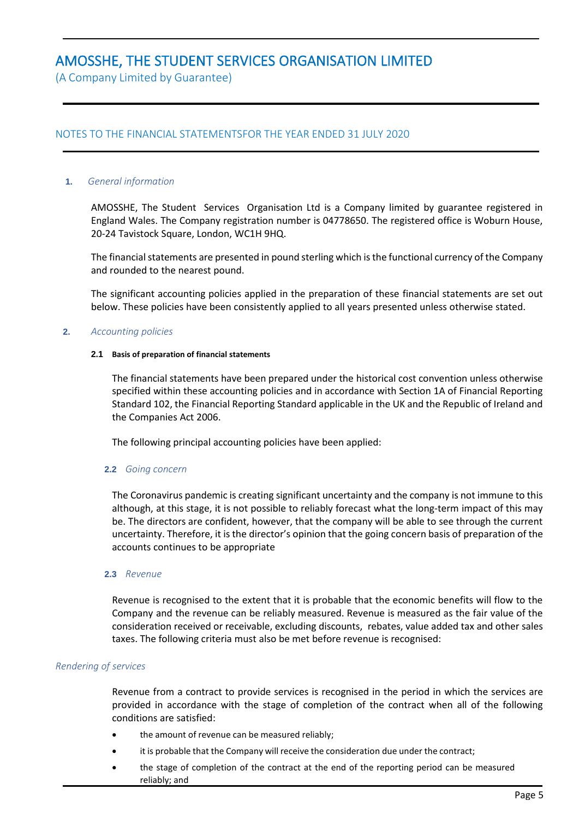(A Company Limited by Guarantee)

### NOTES TO THE FINANCIAL STATEMENTSFOR THE YEAR ENDED 31 JULY 2020

#### **1.** *General information*

AMOSSHE, The Student Services Organisation Ltd is a Company limited by guarantee registered in England Wales. The Company registration number is 04778650. The registered office is Woburn House, 20-24 Tavistock Square, London, WC1H 9HQ.

The financial statements are presented in pound sterling which is the functional currency of the Company and rounded to the nearest pound.

The significant accounting policies applied in the preparation of these financial statements are set out below. These policies have been consistently applied to all years presented unless otherwise stated.

#### **2.** *Accounting policies*

#### **2.1 Basis of preparation of financial statements**

The financial statements have been prepared under the historical cost convention unless otherwise specified within these accounting policies and in accordance with Section 1A of Financial Reporting Standard 102, the Financial Reporting Standard applicable in the UK and the Republic of Ireland and the Companies Act 2006.

The following principal accounting policies have been applied:

#### **2.2** *Going concern*

The Coronavirus pandemic is creating significant uncertainty and the company is not immune to this although, at this stage, it is not possible to reliably forecast what the long-term impact of this may be. The directors are confident, however, that the company will be able to see through the current uncertainty. Therefore, it is the director's opinion that the going concern basis of preparation of the accounts continues to be appropriate

#### **2.3** *Revenue*

Revenue is recognised to the extent that it is probable that the economic benefits will flow to the Company and the revenue can be reliably measured. Revenue is measured as the fair value of the consideration received or receivable, excluding discounts, rebates, value added tax and other sales taxes. The following criteria must also be met before revenue is recognised:

#### *Rendering of services*

Revenue from a contract to provide services is recognised in the period in which the services are provided in accordance with the stage of completion of the contract when all of the following conditions are satisfied:

- the amount of revenue can be measured reliably;
- it is probable that the Company will receive the consideration due under the contract;
- the stage of completion of the contract at the end of the reporting period can be measured reliably; and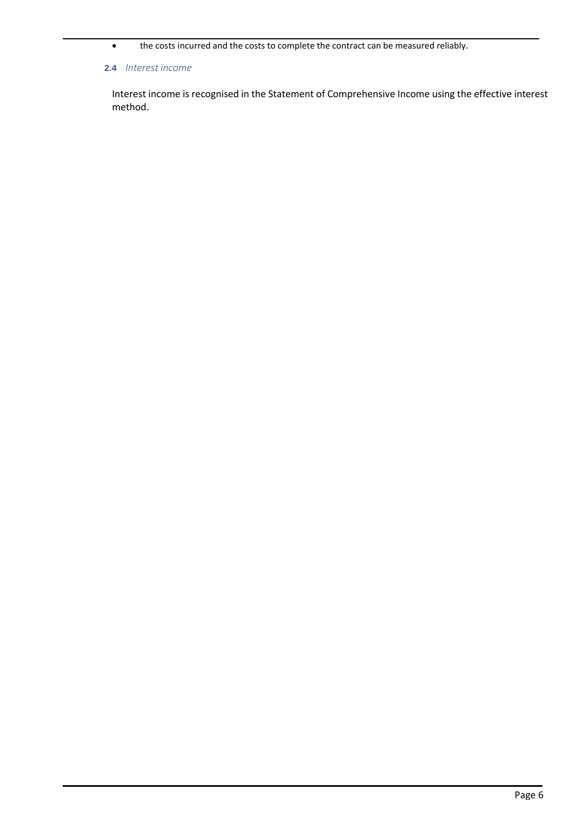• the costs incurred and the costs to complete the contract can be measured reliably.

#### **2.4** *Interest income*

Interest income is recognised in the Statement of Comprehensive Income using the effective interest method.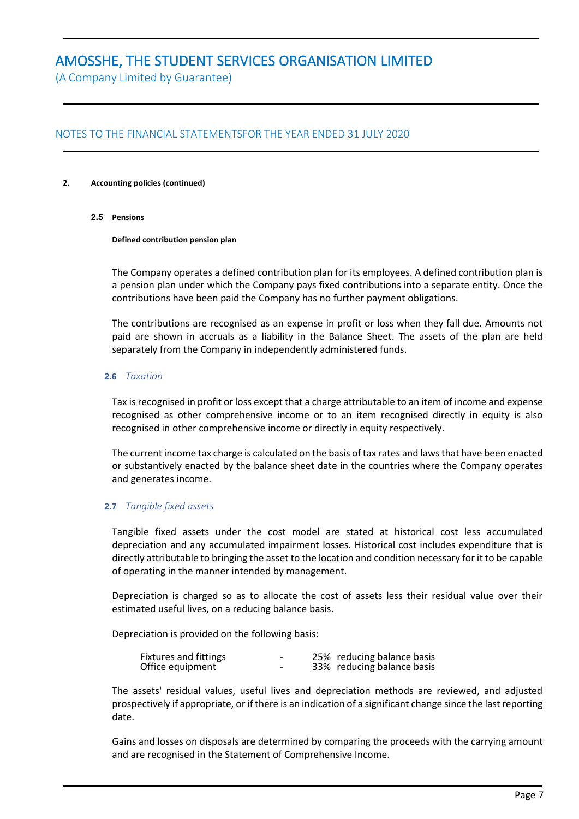(A Company Limited by Guarantee)

### NOTES TO THE FINANCIAL STATEMENTSFOR THE YEAR ENDED 31 JULY 2020

#### **2. Accounting policies (continued)**

**2.5 Pensions**

**Defined contribution pension plan**

The Company operates a defined contribution plan for its employees. A defined contribution plan is a pension plan under which the Company pays fixed contributions into a separate entity. Once the contributions have been paid the Company has no further payment obligations.

The contributions are recognised as an expense in profit or loss when they fall due. Amounts not paid are shown in accruals as a liability in the Balance Sheet. The assets of the plan are held separately from the Company in independently administered funds.

#### **2.6** *Taxation*

Tax isrecognised in profit or loss except that a charge attributable to an item of income and expense recognised as other comprehensive income or to an item recognised directly in equity is also recognised in other comprehensive income or directly in equity respectively.

The current income tax charge is calculated on the basis of tax rates and laws that have been enacted or substantively enacted by the balance sheet date in the countries where the Company operates and generates income.

#### **2.7** *Tangible fixed assets*

Tangible fixed assets under the cost model are stated at historical cost less accumulated depreciation and any accumulated impairment losses. Historical cost includes expenditure that is directly attributable to bringing the asset to the location and condition necessary for it to be capable of operating in the manner intended by management.

Depreciation is charged so as to allocate the cost of assets less their residual value over their estimated useful lives, on a reducing balance basis.

Depreciation is provided on the following basis:

| Fixtures and fittings | - | 25% reducing balance basis |
|-----------------------|---|----------------------------|
| Office equipment      | - | 33% reducing balance basis |

The assets' residual values, useful lives and depreciation methods are reviewed, and adjusted prospectively if appropriate, or if there is an indication of a significant change since the last reporting date.

Gains and losses on disposals are determined by comparing the proceeds with the carrying amount and are recognised in the Statement of Comprehensive Income.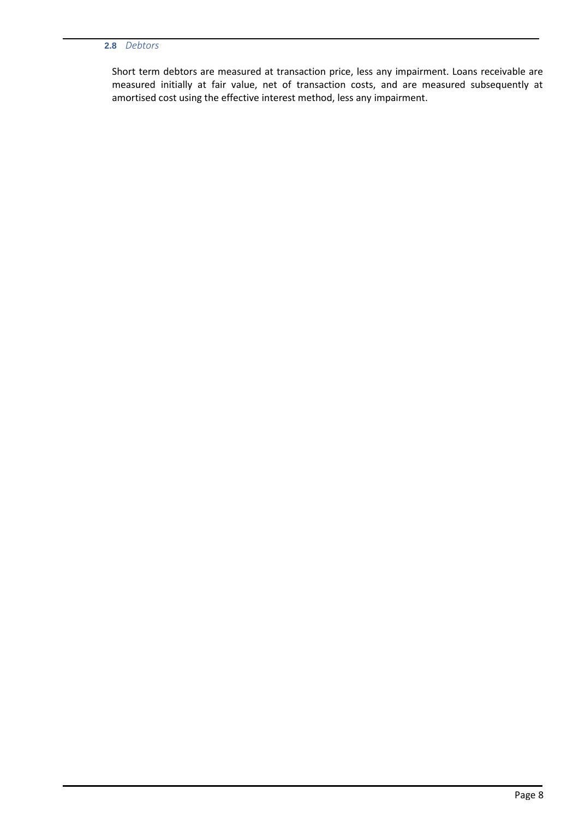### **2.8** *Debtors*

Short term debtors are measured at transaction price, less any impairment. Loans receivable are measured initially at fair value, net of transaction costs, and are measured subsequently at amortised cost using the effective interest method, less any impairment.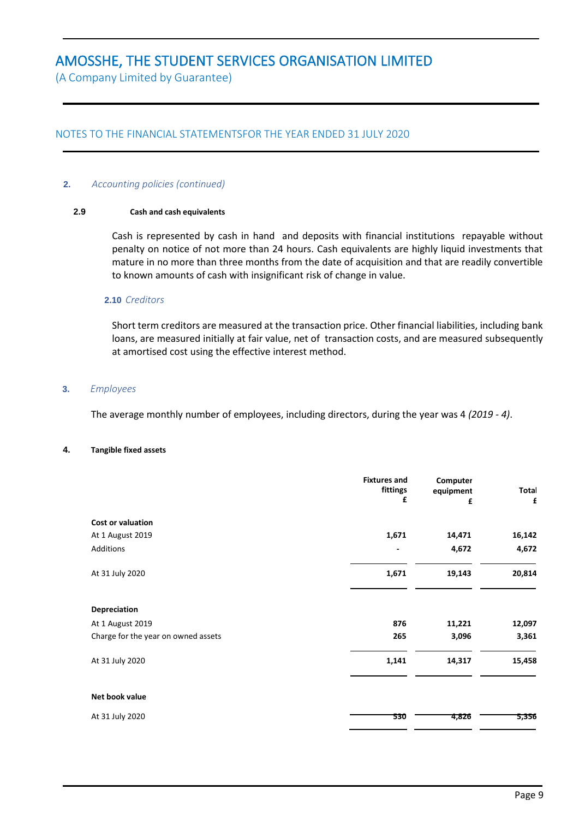(A Company Limited by Guarantee)

### NOTES TO THE FINANCIAL STATEMENTSFOR THE YEAR ENDED 31 JULY 2020

#### **2.** *Accounting policies (continued)*

#### **2.9 Cash and cash equivalents**

Cash is represented by cash in hand and deposits with financial institutions repayable without penalty on notice of not more than 24 hours. Cash equivalents are highly liquid investments that mature in no more than three months from the date of acquisition and that are readily convertible to known amounts of cash with insignificant risk of change in value.

#### **2.10** *Creditors*

Short term creditors are measured at the transaction price. Other financial liabilities, including bank loans, are measured initially at fair value, net of transaction costs, and are measured subsequently at amortised cost using the effective interest method.

#### **3.** *Employees*

The average monthly number of employees, including directors, during the year was 4 *(2019 - 4)*.

#### **4. Tangible fixed assets**

|                                     | <b>Fixtures and</b><br>fittings<br>£ | Computer<br>equipment<br>£ | Total<br>£ |
|-------------------------------------|--------------------------------------|----------------------------|------------|
| <b>Cost or valuation</b>            |                                      |                            |            |
| At 1 August 2019                    | 1,671                                | 14,471                     | 16,142     |
| Additions                           | -                                    | 4,672                      | 4,672      |
| At 31 July 2020                     | 1,671                                | 19,143                     | 20,814     |
| Depreciation                        |                                      |                            |            |
| At 1 August 2019                    | 876                                  | 11,221                     | 12,097     |
| Charge for the year on owned assets | 265                                  | 3,096                      | 3,361      |
| At 31 July 2020                     | 1,141                                | 14,317                     | 15,458     |
| Net book value                      |                                      |                            |            |
| At 31 July 2020                     | 530                                  | 4,826                      | 5,356      |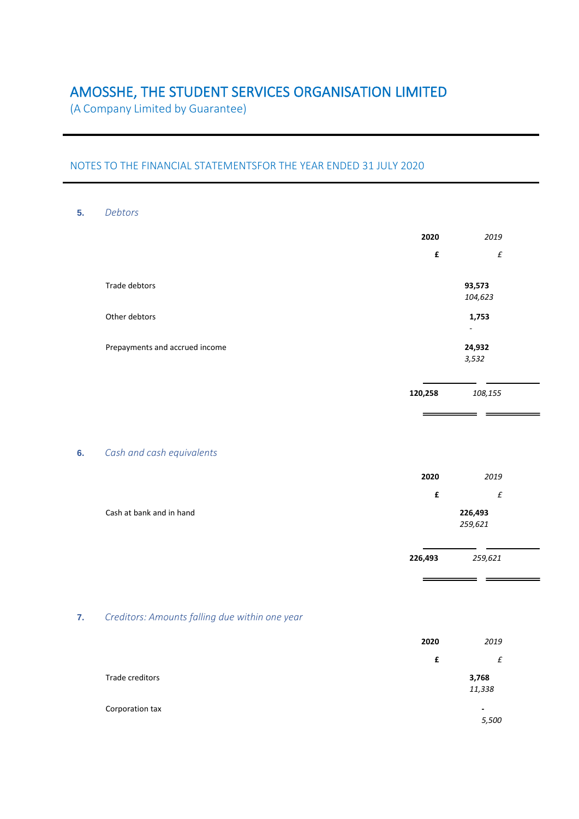(A Company Limited by Guarantee)

## NOTES TO THE FINANCIAL STATEMENTSFOR THE YEAR ENDED 31 JULY 2020

#### **5.** *Debtors*

|                                | 2020<br>2019 |        |  |
|--------------------------------|--------------|--------|--|
|                                | £            | £      |  |
| Trade debtors                  |              | 93,573 |  |
|                                | 104,623      |        |  |
| Other debtors                  |              | 1,753  |  |
|                                |              | ٠      |  |
| Prepayments and accrued income |              | 24,932 |  |
|                                |              | 3,532  |  |
|                                |              |        |  |

**120,258** *108,155*

\_\_\_

 $\overline{\phantom{0}}$ 

#### **6.** *Cash and cash equivalents*

|                          | 2020 | 2019    |  |
|--------------------------|------|---------|--|
|                          | £    | £       |  |
| Cash at bank and in hand |      | 226,493 |  |
|                          |      | 259,621 |  |
|                          |      |         |  |

**226,493** *259,621*

 $\frac{1}{2}$ 

 $\equiv$   $\equiv$ 

## **7.** *Creditors: Amounts falling due within one year*

|                 | 2020 | 2019                              |
|-----------------|------|-----------------------------------|
|                 | £    | £                                 |
| Trade creditors |      | 3,768<br>11,338                   |
| Corporation tax |      | $\overline{\phantom{a}}$<br>5,500 |